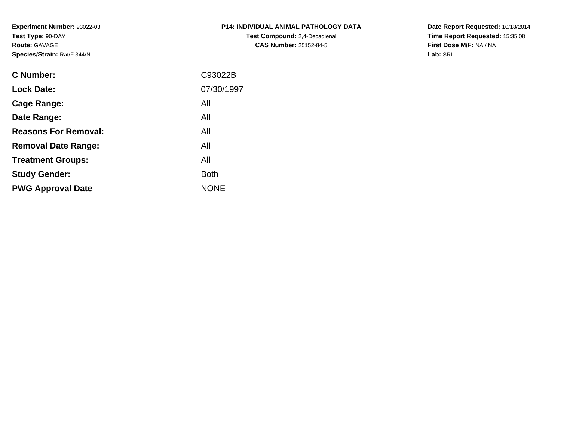**Experiment Number:** 93022-03**Test Type:** 90-DAY**Route:** GAVAGE**Species/Strain:** Rat/F 344/N

| P14: INDIVIDUAL ANIMAL PATHOLOGY DATA |
|---------------------------------------|
| <b>Test Compound: 2.4-Decadienal</b>  |
| <b>CAS Number: 25152-84-5</b>         |

**Date Report Requested:** 10/18/2014 **Time Report Requested:** 15:35:08**First Dose M/F:** NA / NA**Lab:** SRI

| C93022B     |
|-------------|
| 07/30/1997  |
| All         |
| All         |
| All         |
| All         |
| All         |
| <b>Both</b> |
| <b>NONE</b> |
|             |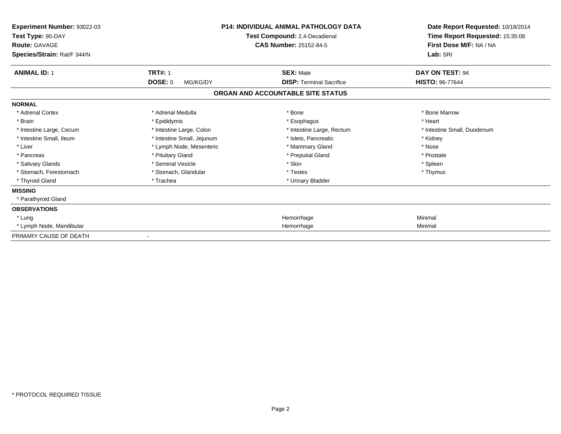| Experiment Number: 93022-03<br>Test Type: 90-DAY<br><b>Route: GAVAGE</b><br>Species/Strain: Rat/F 344/N |                            | <b>P14: INDIVIDUAL ANIMAL PATHOLOGY DATA</b><br>Test Compound: 2,4-Decadienal<br><b>CAS Number: 25152-84-5</b> | Date Report Requested: 10/18/2014<br>Time Report Requested: 15:35:08<br>First Dose M/F: NA / NA<br>Lab: SRI |
|---------------------------------------------------------------------------------------------------------|----------------------------|----------------------------------------------------------------------------------------------------------------|-------------------------------------------------------------------------------------------------------------|
| <b>ANIMAL ID: 1</b>                                                                                     | <b>TRT#: 1</b>             | <b>SEX: Male</b>                                                                                               | DAY ON TEST: 94                                                                                             |
|                                                                                                         | <b>DOSE: 0</b><br>MG/KG/DY | <b>DISP: Terminal Sacrifice</b>                                                                                | <b>HISTO: 96-77644</b>                                                                                      |
|                                                                                                         |                            | ORGAN AND ACCOUNTABLE SITE STATUS                                                                              |                                                                                                             |
| <b>NORMAL</b>                                                                                           |                            |                                                                                                                |                                                                                                             |
| * Adrenal Cortex                                                                                        | * Adrenal Medulla          | * Bone                                                                                                         | * Bone Marrow                                                                                               |
| * Brain                                                                                                 | * Epididymis               | * Esophagus                                                                                                    | * Heart                                                                                                     |
| * Intestine Large, Cecum                                                                                | * Intestine Large, Colon   | * Intestine Large, Rectum                                                                                      | * Intestine Small, Duodenum                                                                                 |
| * Intestine Small, Ileum                                                                                | * Intestine Small, Jejunum | * Islets, Pancreatic                                                                                           | * Kidney                                                                                                    |
| * Liver                                                                                                 | * Lymph Node, Mesenteric   | * Mammary Gland                                                                                                | * Nose                                                                                                      |
| * Pancreas                                                                                              | * Pituitary Gland          | * Preputial Gland                                                                                              | * Prostate                                                                                                  |
| * Salivary Glands                                                                                       | * Seminal Vesicle          | * Skin                                                                                                         | * Spleen                                                                                                    |
| * Stomach, Forestomach                                                                                  | * Stomach, Glandular       | * Testes                                                                                                       | * Thymus                                                                                                    |
| * Thyroid Gland                                                                                         | * Trachea                  | * Urinary Bladder                                                                                              |                                                                                                             |
| <b>MISSING</b>                                                                                          |                            |                                                                                                                |                                                                                                             |
| * Parathyroid Gland                                                                                     |                            |                                                                                                                |                                                                                                             |
| <b>OBSERVATIONS</b>                                                                                     |                            |                                                                                                                |                                                                                                             |
| * Lung                                                                                                  |                            | Hemorrhage                                                                                                     | Minimal                                                                                                     |
| * Lymph Node, Mandibular                                                                                |                            | Hemorrhage                                                                                                     | Minimal                                                                                                     |
| PRIMARY CAUSE OF DEATH                                                                                  | $\blacksquare$             |                                                                                                                |                                                                                                             |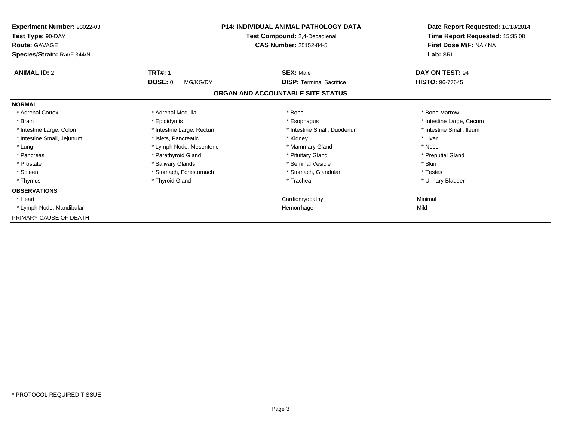| Experiment Number: 93022-03<br>Test Type: 90-DAY<br><b>Route: GAVAGE</b><br>Species/Strain: Rat/F 344/N | <b>P14: INDIVIDUAL ANIMAL PATHOLOGY DATA</b><br>Test Compound: 2,4-Decadienal<br><b>CAS Number: 25152-84-5</b> |                                   | Date Report Requested: 10/18/2014<br>Time Report Requested: 15:35:08<br>First Dose M/F: NA / NA<br>Lab: SRI |
|---------------------------------------------------------------------------------------------------------|----------------------------------------------------------------------------------------------------------------|-----------------------------------|-------------------------------------------------------------------------------------------------------------|
| <b>ANIMAL ID: 2</b>                                                                                     | <b>TRT#: 1</b>                                                                                                 | <b>SEX: Male</b>                  | DAY ON TEST: 94                                                                                             |
|                                                                                                         | <b>DOSE: 0</b><br>MG/KG/DY                                                                                     | <b>DISP: Terminal Sacrifice</b>   | <b>HISTO: 96-77645</b>                                                                                      |
|                                                                                                         |                                                                                                                | ORGAN AND ACCOUNTABLE SITE STATUS |                                                                                                             |
| <b>NORMAL</b>                                                                                           |                                                                                                                |                                   |                                                                                                             |
| * Adrenal Cortex                                                                                        | * Adrenal Medulla                                                                                              | * Bone                            | * Bone Marrow                                                                                               |
| * Brain                                                                                                 | * Epididymis                                                                                                   | * Esophagus                       | * Intestine Large, Cecum                                                                                    |
| * Intestine Large, Colon                                                                                | * Intestine Large, Rectum                                                                                      | * Intestine Small, Duodenum       | * Intestine Small, Ileum                                                                                    |
| * Intestine Small, Jejunum                                                                              | * Islets, Pancreatic                                                                                           | * Kidney                          | * Liver                                                                                                     |
| * Lung                                                                                                  | * Lymph Node, Mesenteric                                                                                       | * Mammary Gland                   | * Nose                                                                                                      |
| * Pancreas                                                                                              | * Parathyroid Gland                                                                                            | * Pituitary Gland                 | * Preputial Gland                                                                                           |
| * Prostate                                                                                              | * Salivary Glands                                                                                              | * Seminal Vesicle                 | * Skin                                                                                                      |
| * Spleen                                                                                                | * Stomach, Forestomach                                                                                         | * Stomach, Glandular              | * Testes                                                                                                    |
| * Thymus                                                                                                | * Thyroid Gland                                                                                                | * Trachea                         | * Urinary Bladder                                                                                           |
| <b>OBSERVATIONS</b>                                                                                     |                                                                                                                |                                   |                                                                                                             |
| * Heart                                                                                                 |                                                                                                                | Cardiomyopathy                    | Minimal                                                                                                     |
| * Lymph Node, Mandibular                                                                                |                                                                                                                | Hemorrhage                        | Mild                                                                                                        |
| PRIMARY CAUSE OF DEATH                                                                                  |                                                                                                                |                                   |                                                                                                             |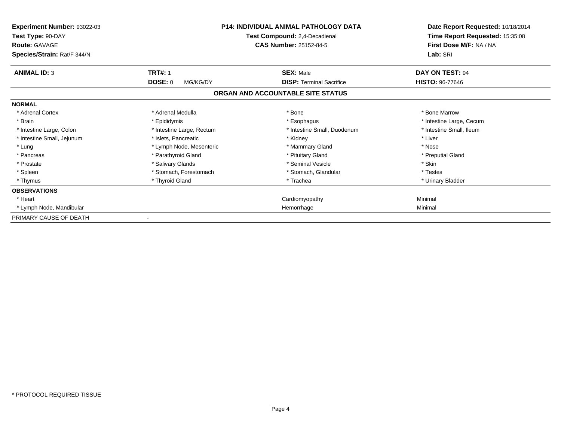| Experiment Number: 93022-03<br>Test Type: 90-DAY<br><b>Route: GAVAGE</b><br>Species/Strain: Rat/F 344/N |                            | <b>P14: INDIVIDUAL ANIMAL PATHOLOGY DATA</b><br>Test Compound: 2,4-Decadienal<br><b>CAS Number: 25152-84-5</b> | Date Report Requested: 10/18/2014<br>Time Report Requested: 15:35:08<br>First Dose M/F: NA / NA<br>Lab: SRI |
|---------------------------------------------------------------------------------------------------------|----------------------------|----------------------------------------------------------------------------------------------------------------|-------------------------------------------------------------------------------------------------------------|
| <b>ANIMAL ID: 3</b>                                                                                     | <b>TRT#: 1</b>             | <b>SEX: Male</b>                                                                                               | DAY ON TEST: 94                                                                                             |
|                                                                                                         | <b>DOSE: 0</b><br>MG/KG/DY | <b>DISP: Terminal Sacrifice</b>                                                                                | <b>HISTO: 96-77646</b>                                                                                      |
|                                                                                                         |                            | ORGAN AND ACCOUNTABLE SITE STATUS                                                                              |                                                                                                             |
| <b>NORMAL</b>                                                                                           |                            |                                                                                                                |                                                                                                             |
| * Adrenal Cortex                                                                                        | * Adrenal Medulla          | * Bone                                                                                                         | * Bone Marrow                                                                                               |
| * Brain                                                                                                 | * Epididymis               | * Esophagus                                                                                                    | * Intestine Large, Cecum                                                                                    |
| * Intestine Large, Colon                                                                                | * Intestine Large, Rectum  | * Intestine Small, Duodenum                                                                                    | * Intestine Small, Ileum                                                                                    |
| * Intestine Small, Jejunum                                                                              | * Islets, Pancreatic       | * Kidney                                                                                                       | * Liver                                                                                                     |
| * Lung                                                                                                  | * Lymph Node, Mesenteric   | * Mammary Gland                                                                                                | * Nose                                                                                                      |
| * Pancreas                                                                                              | * Parathyroid Gland        | * Pituitary Gland                                                                                              | * Preputial Gland                                                                                           |
| * Prostate                                                                                              | * Salivary Glands          | * Seminal Vesicle                                                                                              | * Skin                                                                                                      |
| * Spleen                                                                                                | * Stomach, Forestomach     | * Stomach, Glandular                                                                                           | * Testes                                                                                                    |
| * Thymus                                                                                                | * Thyroid Gland            | * Trachea                                                                                                      | * Urinary Bladder                                                                                           |
| <b>OBSERVATIONS</b>                                                                                     |                            |                                                                                                                |                                                                                                             |
| * Heart                                                                                                 |                            | Cardiomyopathy                                                                                                 | Minimal                                                                                                     |
| * Lymph Node, Mandibular                                                                                |                            | Hemorrhage                                                                                                     | Minimal                                                                                                     |
| PRIMARY CAUSE OF DEATH                                                                                  |                            |                                                                                                                |                                                                                                             |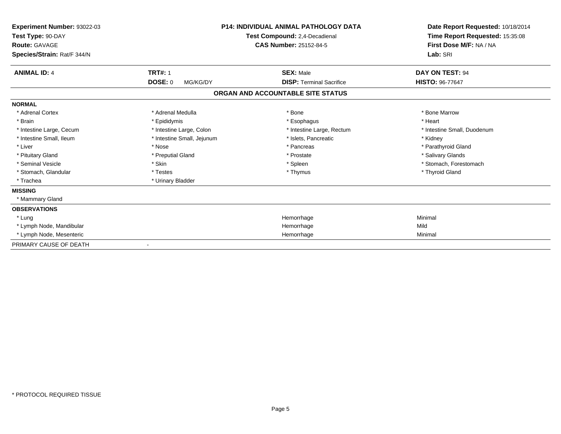| Experiment Number: 93022-03<br>Test Type: 90-DAY<br><b>Route: GAVAGE</b><br>Species/Strain: Rat/F 344/N |                            | <b>P14: INDIVIDUAL ANIMAL PATHOLOGY DATA</b><br>Test Compound: 2,4-Decadienal<br><b>CAS Number: 25152-84-5</b> | Date Report Requested: 10/18/2014<br>Time Report Requested: 15:35:08<br>First Dose M/F: NA / NA<br>Lab: SRI |
|---------------------------------------------------------------------------------------------------------|----------------------------|----------------------------------------------------------------------------------------------------------------|-------------------------------------------------------------------------------------------------------------|
| <b>ANIMAL ID: 4</b>                                                                                     | <b>TRT#: 1</b>             | <b>SEX: Male</b>                                                                                               | DAY ON TEST: 94                                                                                             |
|                                                                                                         | <b>DOSE: 0</b><br>MG/KG/DY | <b>DISP: Terminal Sacrifice</b>                                                                                | <b>HISTO: 96-77647</b>                                                                                      |
|                                                                                                         |                            | ORGAN AND ACCOUNTABLE SITE STATUS                                                                              |                                                                                                             |
| <b>NORMAL</b>                                                                                           |                            |                                                                                                                |                                                                                                             |
| * Adrenal Cortex                                                                                        | * Adrenal Medulla          | * Bone                                                                                                         | * Bone Marrow                                                                                               |
| * Brain                                                                                                 | * Epididymis               | * Esophagus                                                                                                    | * Heart                                                                                                     |
| * Intestine Large, Cecum                                                                                | * Intestine Large, Colon   | * Intestine Large, Rectum                                                                                      | * Intestine Small, Duodenum                                                                                 |
| * Intestine Small, Ileum                                                                                | * Intestine Small, Jejunum | * Islets, Pancreatic                                                                                           | * Kidney                                                                                                    |
| * Liver                                                                                                 | * Nose                     | * Pancreas                                                                                                     | * Parathyroid Gland                                                                                         |
| * Pituitary Gland                                                                                       | * Preputial Gland          | * Prostate                                                                                                     | * Salivary Glands                                                                                           |
| * Seminal Vesicle                                                                                       | * Skin                     | * Spleen                                                                                                       | * Stomach, Forestomach                                                                                      |
| * Stomach, Glandular                                                                                    | * Testes                   | * Thymus                                                                                                       | * Thyroid Gland                                                                                             |
| * Trachea                                                                                               | * Urinary Bladder          |                                                                                                                |                                                                                                             |
| <b>MISSING</b>                                                                                          |                            |                                                                                                                |                                                                                                             |
| * Mammary Gland                                                                                         |                            |                                                                                                                |                                                                                                             |
| <b>OBSERVATIONS</b>                                                                                     |                            |                                                                                                                |                                                                                                             |
| * Lung                                                                                                  |                            | Hemorrhage                                                                                                     | Minimal                                                                                                     |
| * Lymph Node, Mandibular                                                                                |                            | Hemorrhage                                                                                                     | Mild                                                                                                        |
| * Lymph Node, Mesenteric                                                                                |                            | Hemorrhage                                                                                                     | Minimal                                                                                                     |
| PRIMARY CAUSE OF DEATH                                                                                  |                            |                                                                                                                |                                                                                                             |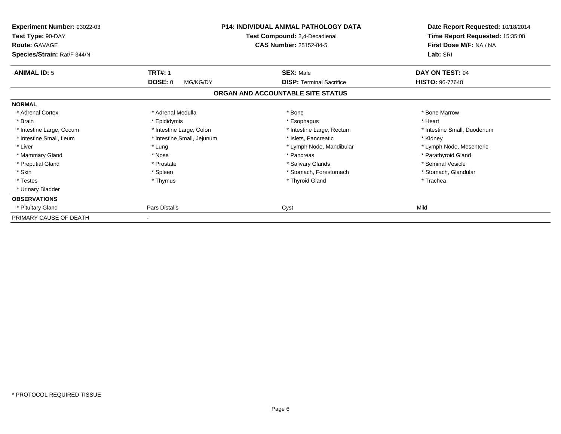| Experiment Number: 93022-03<br>Test Type: 90-DAY<br><b>Route: GAVAGE</b><br>Species/Strain: Rat/F 344/N |                                              | <b>P14: INDIVIDUAL ANIMAL PATHOLOGY DATA</b><br>Test Compound: 2,4-Decadienal<br><b>CAS Number: 25152-84-5</b> | Date Report Requested: 10/18/2014<br>Time Report Requested: 15:35:08<br>First Dose M/F: NA / NA<br>Lab: SRI |
|---------------------------------------------------------------------------------------------------------|----------------------------------------------|----------------------------------------------------------------------------------------------------------------|-------------------------------------------------------------------------------------------------------------|
|                                                                                                         |                                              |                                                                                                                |                                                                                                             |
| <b>ANIMAL ID: 5</b>                                                                                     | <b>TRT#: 1</b><br><b>DOSE: 0</b><br>MG/KG/DY | <b>SEX: Male</b><br><b>DISP: Terminal Sacrifice</b>                                                            | DAY ON TEST: 94<br><b>HISTO: 96-77648</b>                                                                   |
|                                                                                                         |                                              | ORGAN AND ACCOUNTABLE SITE STATUS                                                                              |                                                                                                             |
| <b>NORMAL</b>                                                                                           |                                              |                                                                                                                |                                                                                                             |
| * Adrenal Cortex                                                                                        | * Adrenal Medulla                            | * Bone                                                                                                         | * Bone Marrow                                                                                               |
| * Brain                                                                                                 | * Epididymis                                 | * Esophagus                                                                                                    | * Heart                                                                                                     |
| * Intestine Large, Cecum                                                                                | * Intestine Large, Colon                     | * Intestine Large, Rectum                                                                                      | * Intestine Small, Duodenum                                                                                 |
| * Intestine Small, Ileum                                                                                | * Intestine Small, Jejunum                   | * Islets, Pancreatic                                                                                           | * Kidney                                                                                                    |
| * Liver                                                                                                 | * Lung                                       | * Lymph Node, Mandibular                                                                                       | * Lymph Node, Mesenteric                                                                                    |
| * Mammary Gland                                                                                         | * Nose                                       | * Pancreas                                                                                                     | * Parathyroid Gland                                                                                         |
| * Preputial Gland                                                                                       | * Prostate                                   | * Salivary Glands                                                                                              | * Seminal Vesicle                                                                                           |
| * Skin                                                                                                  | * Spleen                                     | * Stomach, Forestomach                                                                                         | * Stomach, Glandular                                                                                        |
| * Testes                                                                                                | * Thymus                                     | * Thyroid Gland                                                                                                | * Trachea                                                                                                   |
| * Urinary Bladder                                                                                       |                                              |                                                                                                                |                                                                                                             |
| <b>OBSERVATIONS</b>                                                                                     |                                              |                                                                                                                |                                                                                                             |
| * Pituitary Gland                                                                                       | Pars Distalis                                | Cyst                                                                                                           | Mild                                                                                                        |
| PRIMARY CAUSE OF DEATH                                                                                  |                                              |                                                                                                                |                                                                                                             |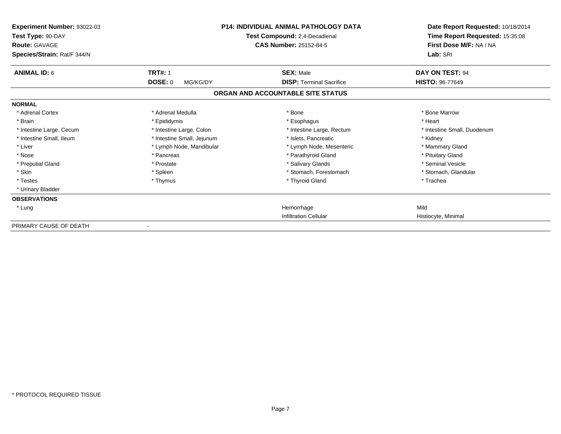| Experiment Number: 93022-03<br>Test Type: 90-DAY<br><b>Route: GAVAGE</b><br>Species/Strain: Rat/F 344/N |                            | <b>P14: INDIVIDUAL ANIMAL PATHOLOGY DATA</b><br>Test Compound: 2,4-Decadienal<br><b>CAS Number: 25152-84-5</b> | Date Report Requested: 10/18/2014<br>Time Report Requested: 15:35:08<br>First Dose M/F: NA / NA<br>Lab: SRI |
|---------------------------------------------------------------------------------------------------------|----------------------------|----------------------------------------------------------------------------------------------------------------|-------------------------------------------------------------------------------------------------------------|
| <b>ANIMAL ID: 6</b>                                                                                     | <b>TRT#: 1</b>             | <b>SEX: Male</b>                                                                                               | DAY ON TEST: 94                                                                                             |
|                                                                                                         | DOSE: 0<br>MG/KG/DY        | <b>DISP: Terminal Sacrifice</b><br>ORGAN AND ACCOUNTABLE SITE STATUS                                           | <b>HISTO: 96-77649</b>                                                                                      |
| <b>NORMAL</b>                                                                                           |                            |                                                                                                                |                                                                                                             |
| * Adrenal Cortex                                                                                        | * Adrenal Medulla          | * Bone                                                                                                         | * Bone Marrow                                                                                               |
| * Brain                                                                                                 | * Epididymis               | * Esophagus                                                                                                    | * Heart                                                                                                     |
| * Intestine Large, Cecum                                                                                | * Intestine Large, Colon   | * Intestine Large, Rectum                                                                                      | * Intestine Small, Duodenum                                                                                 |
| * Intestine Small, Ileum                                                                                | * Intestine Small, Jejunum | * Islets. Pancreatic                                                                                           | * Kidney                                                                                                    |
| * Liver                                                                                                 | * Lymph Node, Mandibular   | * Lymph Node, Mesenteric                                                                                       | * Mammary Gland                                                                                             |
| * Nose                                                                                                  | * Pancreas                 | * Parathyroid Gland                                                                                            | * Pituitary Gland                                                                                           |
| * Preputial Gland                                                                                       | * Prostate                 | * Salivary Glands                                                                                              | * Seminal Vesicle                                                                                           |
| * Skin                                                                                                  | * Spleen                   | * Stomach, Forestomach                                                                                         | * Stomach, Glandular                                                                                        |
| * Testes                                                                                                | * Thymus                   | * Thyroid Gland                                                                                                | * Trachea                                                                                                   |
| * Urinary Bladder                                                                                       |                            |                                                                                                                |                                                                                                             |
| <b>OBSERVATIONS</b>                                                                                     |                            |                                                                                                                |                                                                                                             |
| * Lung                                                                                                  |                            | Hemorrhage                                                                                                     | Mild                                                                                                        |
|                                                                                                         |                            | <b>Infiltration Cellular</b>                                                                                   | Histiocyte, Minimal                                                                                         |
| PRIMARY CAUSE OF DEATH                                                                                  |                            |                                                                                                                |                                                                                                             |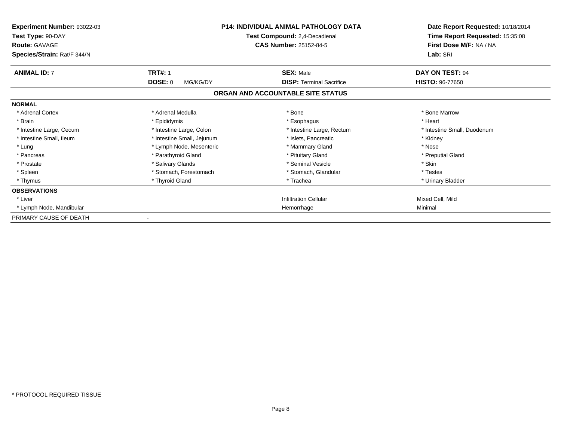| <b>Experiment Number: 93022-03</b><br>Test Type: 90-DAY<br><b>Route: GAVAGE</b><br>Species/Strain: Rat/F 344/N |                            | <b>P14: INDIVIDUAL ANIMAL PATHOLOGY DATA</b><br>Test Compound: 2,4-Decadienal<br><b>CAS Number: 25152-84-5</b> | Date Report Requested: 10/18/2014<br>Time Report Requested: 15:35:08<br>First Dose M/F: NA / NA<br>Lab: SRI |
|----------------------------------------------------------------------------------------------------------------|----------------------------|----------------------------------------------------------------------------------------------------------------|-------------------------------------------------------------------------------------------------------------|
| <b>ANIMAL ID: 7</b>                                                                                            | <b>TRT#: 1</b>             | <b>SEX: Male</b>                                                                                               | DAY ON TEST: 94                                                                                             |
|                                                                                                                | <b>DOSE: 0</b><br>MG/KG/DY | <b>DISP: Terminal Sacrifice</b>                                                                                | <b>HISTO: 96-77650</b>                                                                                      |
|                                                                                                                |                            | ORGAN AND ACCOUNTABLE SITE STATUS                                                                              |                                                                                                             |
| <b>NORMAL</b>                                                                                                  |                            |                                                                                                                |                                                                                                             |
| * Adrenal Cortex                                                                                               | * Adrenal Medulla          | * Bone                                                                                                         | * Bone Marrow                                                                                               |
| * Brain                                                                                                        | * Epididymis               | * Esophagus                                                                                                    | * Heart                                                                                                     |
| * Intestine Large, Cecum                                                                                       | * Intestine Large, Colon   | * Intestine Large, Rectum                                                                                      | * Intestine Small, Duodenum                                                                                 |
| * Intestine Small, Ileum                                                                                       | * Intestine Small, Jejunum | * Islets, Pancreatic                                                                                           | * Kidney                                                                                                    |
| * Lung                                                                                                         | * Lymph Node, Mesenteric   | * Mammary Gland                                                                                                | * Nose                                                                                                      |
| * Pancreas                                                                                                     | * Parathyroid Gland        | * Pituitary Gland                                                                                              | * Preputial Gland                                                                                           |
| * Prostate                                                                                                     | * Salivary Glands          | * Seminal Vesicle                                                                                              | * Skin                                                                                                      |
| * Spleen                                                                                                       | * Stomach. Forestomach     | * Stomach, Glandular                                                                                           | * Testes                                                                                                    |
| * Thymus                                                                                                       | * Thyroid Gland            | * Trachea                                                                                                      | * Urinary Bladder                                                                                           |
| <b>OBSERVATIONS</b>                                                                                            |                            |                                                                                                                |                                                                                                             |
| * Liver                                                                                                        |                            | <b>Infiltration Cellular</b>                                                                                   | Mixed Cell, Mild                                                                                            |
| * Lymph Node, Mandibular                                                                                       |                            | Hemorrhage                                                                                                     | Minimal                                                                                                     |
| PRIMARY CAUSE OF DEATH                                                                                         |                            |                                                                                                                |                                                                                                             |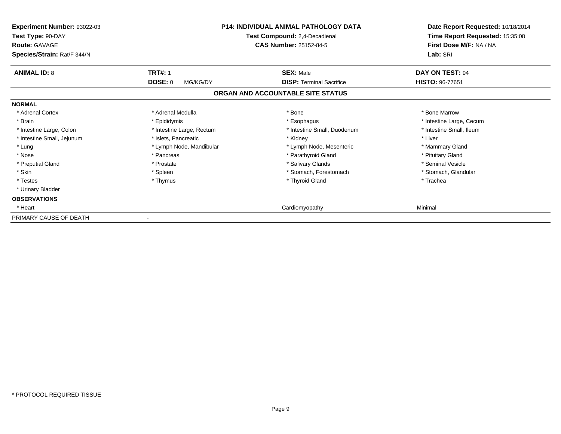| Experiment Number: 93022-03<br>Test Type: 90-DAY<br><b>Route: GAVAGE</b><br>Species/Strain: Rat/F 344/N |                           | <b>P14: INDIVIDUAL ANIMAL PATHOLOGY DATA</b><br>Test Compound: 2,4-Decadienal<br><b>CAS Number: 25152-84-5</b> | Date Report Requested: 10/18/2014<br>Time Report Requested: 15:35:08<br>First Dose M/F: NA / NA<br>Lab: SRI |
|---------------------------------------------------------------------------------------------------------|---------------------------|----------------------------------------------------------------------------------------------------------------|-------------------------------------------------------------------------------------------------------------|
| <b>ANIMAL ID: 8</b>                                                                                     | <b>TRT#: 1</b>            | <b>SEX: Male</b>                                                                                               | DAY ON TEST: 94                                                                                             |
|                                                                                                         | DOSE: 0<br>MG/KG/DY       | <b>DISP: Terminal Sacrifice</b>                                                                                | <b>HISTO: 96-77651</b>                                                                                      |
|                                                                                                         |                           | ORGAN AND ACCOUNTABLE SITE STATUS                                                                              |                                                                                                             |
| <b>NORMAL</b>                                                                                           |                           |                                                                                                                |                                                                                                             |
| * Adrenal Cortex                                                                                        | * Adrenal Medulla         | * Bone                                                                                                         | * Bone Marrow                                                                                               |
| * Brain                                                                                                 | * Epididymis              | * Esophagus                                                                                                    | * Intestine Large, Cecum                                                                                    |
| * Intestine Large, Colon                                                                                | * Intestine Large, Rectum | * Intestine Small, Duodenum                                                                                    | * Intestine Small, Ileum                                                                                    |
| * Intestine Small, Jejunum                                                                              | * Islets, Pancreatic      | * Kidney                                                                                                       | * Liver                                                                                                     |
| * Lung                                                                                                  | * Lymph Node, Mandibular  | * Lymph Node, Mesenteric                                                                                       | * Mammary Gland                                                                                             |
| * Nose                                                                                                  | * Pancreas                | * Parathyroid Gland                                                                                            | * Pituitary Gland                                                                                           |
| * Preputial Gland                                                                                       | * Prostate                | * Salivary Glands                                                                                              | * Seminal Vesicle                                                                                           |
| * Skin                                                                                                  | * Spleen                  | * Stomach. Forestomach                                                                                         | * Stomach, Glandular                                                                                        |
| * Testes                                                                                                | * Thymus                  | * Thyroid Gland                                                                                                | * Trachea                                                                                                   |
| * Urinary Bladder                                                                                       |                           |                                                                                                                |                                                                                                             |
| <b>OBSERVATIONS</b>                                                                                     |                           |                                                                                                                |                                                                                                             |
| * Heart                                                                                                 |                           | Cardiomyopathy                                                                                                 | Minimal                                                                                                     |
| PRIMARY CAUSE OF DEATH                                                                                  |                           |                                                                                                                |                                                                                                             |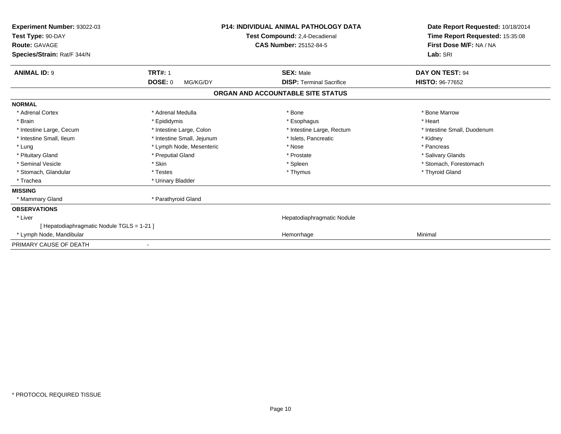| Experiment Number: 93022-03<br>Test Type: 90-DAY<br>Route: GAVAGE<br>Species/Strain: Rat/F 344/N |                            | <b>P14: INDIVIDUAL ANIMAL PATHOLOGY DATA</b><br>Test Compound: 2,4-Decadienal<br><b>CAS Number: 25152-84-5</b> | Date Report Requested: 10/18/2014<br>Time Report Requested: 15:35:08<br>First Dose M/F: NA / NA<br>Lab: SRI |
|--------------------------------------------------------------------------------------------------|----------------------------|----------------------------------------------------------------------------------------------------------------|-------------------------------------------------------------------------------------------------------------|
| <b>ANIMAL ID: 9</b>                                                                              | <b>TRT#: 1</b>             | <b>SEX: Male</b>                                                                                               | <b>DAY ON TEST: 94</b>                                                                                      |
|                                                                                                  | <b>DOSE: 0</b><br>MG/KG/DY | <b>DISP: Terminal Sacrifice</b>                                                                                | <b>HISTO: 96-77652</b>                                                                                      |
|                                                                                                  |                            | ORGAN AND ACCOUNTABLE SITE STATUS                                                                              |                                                                                                             |
| <b>NORMAL</b>                                                                                    |                            |                                                                                                                |                                                                                                             |
| * Adrenal Cortex                                                                                 | * Adrenal Medulla          | * Bone                                                                                                         | * Bone Marrow                                                                                               |
| * Brain                                                                                          | * Epididymis               | * Esophagus                                                                                                    | * Heart                                                                                                     |
| * Intestine Large, Cecum                                                                         | * Intestine Large, Colon   | * Intestine Large, Rectum                                                                                      | * Intestine Small, Duodenum                                                                                 |
| * Intestine Small, Ileum                                                                         | * Intestine Small, Jejunum | * Islets, Pancreatic                                                                                           | * Kidney                                                                                                    |
| * Lung                                                                                           | * Lymph Node, Mesenteric   | * Nose                                                                                                         | * Pancreas                                                                                                  |
| * Pituitary Gland                                                                                | * Preputial Gland          | * Prostate                                                                                                     | * Salivary Glands                                                                                           |
| * Seminal Vesicle                                                                                | * Skin                     | * Spleen                                                                                                       | * Stomach, Forestomach                                                                                      |
| * Stomach, Glandular                                                                             | * Testes                   | * Thymus                                                                                                       | * Thyroid Gland                                                                                             |
| * Trachea                                                                                        | * Urinary Bladder          |                                                                                                                |                                                                                                             |
| <b>MISSING</b>                                                                                   |                            |                                                                                                                |                                                                                                             |
| * Mammary Gland                                                                                  | * Parathyroid Gland        |                                                                                                                |                                                                                                             |
| <b>OBSERVATIONS</b>                                                                              |                            |                                                                                                                |                                                                                                             |
| * Liver                                                                                          |                            | Hepatodiaphragmatic Nodule                                                                                     |                                                                                                             |
| [ Hepatodiaphragmatic Nodule TGLS = 1-21 ]                                                       |                            |                                                                                                                |                                                                                                             |
| * Lymph Node, Mandibular                                                                         |                            | Hemorrhage                                                                                                     | Minimal                                                                                                     |
| PRIMARY CAUSE OF DEATH                                                                           |                            |                                                                                                                |                                                                                                             |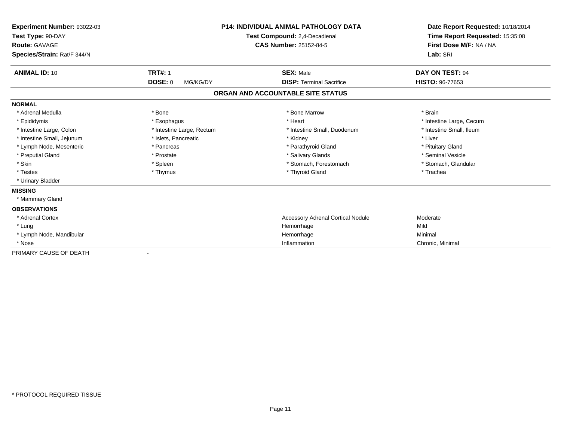| Experiment Number: 93022-03<br>Test Type: 90-DAY<br>Route: GAVAGE<br>Species/Strain: Rat/F 344/N |                            | <b>P14: INDIVIDUAL ANIMAL PATHOLOGY DATA</b><br>Test Compound: 2,4-Decadienal<br><b>CAS Number: 25152-84-5</b> | Date Report Requested: 10/18/2014<br>Time Report Requested: 15:35:08<br>First Dose M/F: NA / NA<br>Lab: SRI |
|--------------------------------------------------------------------------------------------------|----------------------------|----------------------------------------------------------------------------------------------------------------|-------------------------------------------------------------------------------------------------------------|
| <b>ANIMAL ID: 10</b>                                                                             | <b>TRT#: 1</b>             | <b>SEX: Male</b>                                                                                               | DAY ON TEST: 94                                                                                             |
|                                                                                                  | <b>DOSE: 0</b><br>MG/KG/DY | <b>DISP: Terminal Sacrifice</b>                                                                                | HISTO: 96-77653                                                                                             |
|                                                                                                  |                            | ORGAN AND ACCOUNTABLE SITE STATUS                                                                              |                                                                                                             |
| <b>NORMAL</b>                                                                                    |                            |                                                                                                                |                                                                                                             |
| * Adrenal Medulla                                                                                | * Bone                     | * Bone Marrow                                                                                                  | * Brain                                                                                                     |
| * Epididymis                                                                                     | * Esophagus                | * Heart                                                                                                        | * Intestine Large, Cecum                                                                                    |
| * Intestine Large, Colon                                                                         | * Intestine Large, Rectum  | * Intestine Small, Duodenum                                                                                    | * Intestine Small, Ileum                                                                                    |
| * Intestine Small, Jejunum                                                                       | * Islets, Pancreatic       | * Kidney                                                                                                       | * Liver                                                                                                     |
| * Lymph Node, Mesenteric                                                                         | * Pancreas                 | * Parathyroid Gland                                                                                            | * Pituitary Gland                                                                                           |
| * Preputial Gland                                                                                | * Prostate                 | * Salivary Glands                                                                                              | * Seminal Vesicle                                                                                           |
| * Skin                                                                                           | * Spleen                   | * Stomach, Forestomach                                                                                         | * Stomach, Glandular                                                                                        |
| * Testes                                                                                         | * Thymus                   | * Thyroid Gland                                                                                                | * Trachea                                                                                                   |
| * Urinary Bladder                                                                                |                            |                                                                                                                |                                                                                                             |
| <b>MISSING</b>                                                                                   |                            |                                                                                                                |                                                                                                             |
| * Mammary Gland                                                                                  |                            |                                                                                                                |                                                                                                             |
| <b>OBSERVATIONS</b>                                                                              |                            |                                                                                                                |                                                                                                             |
| * Adrenal Cortex                                                                                 |                            | <b>Accessory Adrenal Cortical Nodule</b>                                                                       | Moderate                                                                                                    |
| * Lung                                                                                           |                            | Hemorrhage                                                                                                     | Mild                                                                                                        |
| * Lymph Node, Mandibular                                                                         |                            | Hemorrhage                                                                                                     | Minimal                                                                                                     |
| * Nose                                                                                           |                            | Inflammation                                                                                                   | Chronic, Minimal                                                                                            |
| PRIMARY CAUSE OF DEATH                                                                           |                            |                                                                                                                |                                                                                                             |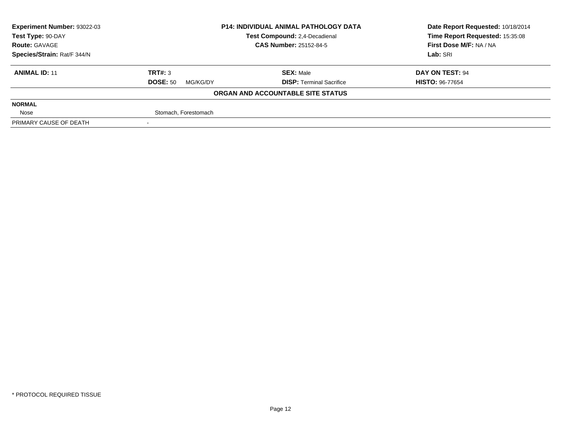| Experiment Number: 93022-03 | <b>P14: INDIVIDUAL ANIMAL PATHOLOGY DATA</b><br>Test Compound: 2,4-Decadienal |                                   | Date Report Requested: 10/18/2014 |
|-----------------------------|-------------------------------------------------------------------------------|-----------------------------------|-----------------------------------|
| Test Type: 90-DAY           |                                                                               |                                   | Time Report Requested: 15:35:08   |
| <b>Route: GAVAGE</b>        |                                                                               | <b>CAS Number: 25152-84-5</b>     | First Dose M/F: NA / NA           |
| Species/Strain: Rat/F 344/N |                                                                               |                                   | Lab: SRI                          |
| <b>ANIMAL ID: 11</b>        | TRT#: 3                                                                       | <b>SEX: Male</b>                  | DAY ON TEST: 94                   |
|                             | <b>DOSE: 50</b><br>MG/KG/DY                                                   | <b>DISP: Terminal Sacrifice</b>   | <b>HISTO: 96-77654</b>            |
|                             |                                                                               | ORGAN AND ACCOUNTABLE SITE STATUS |                                   |
| <b>NORMAL</b>               |                                                                               |                                   |                                   |
| Nose                        | Stomach, Forestomach                                                          |                                   |                                   |
| PRIMARY CAUSE OF DEATH      |                                                                               |                                   |                                   |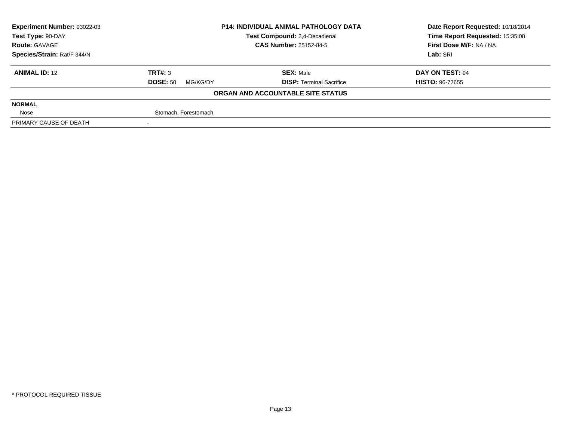| <b>Experiment Number: 93022-03</b> | <b>P14: INDIVIDUAL ANIMAL PATHOLOGY DATA</b><br>Test Compound: 2,4-Decadienal |                                   | Date Report Requested: 10/18/2014 |
|------------------------------------|-------------------------------------------------------------------------------|-----------------------------------|-----------------------------------|
| Test Type: 90-DAY                  |                                                                               |                                   | Time Report Requested: 15:35:08   |
| <b>Route: GAVAGE</b>               |                                                                               | <b>CAS Number: 25152-84-5</b>     | First Dose M/F: NA / NA           |
| Species/Strain: Rat/F 344/N        |                                                                               |                                   | Lab: SRI                          |
| <b>ANIMAL ID: 12</b>               | TRT#: 3                                                                       | <b>SEX: Male</b>                  | DAY ON TEST: 94                   |
|                                    | <b>DOSE: 50</b><br>MG/KG/DY                                                   | <b>DISP:</b> Terminal Sacrifice   | <b>HISTO: 96-77655</b>            |
|                                    |                                                                               | ORGAN AND ACCOUNTABLE SITE STATUS |                                   |
| <b>NORMAL</b>                      |                                                                               |                                   |                                   |
| Nose                               | Stomach, Forestomach                                                          |                                   |                                   |
| PRIMARY CAUSE OF DEATH             |                                                                               |                                   |                                   |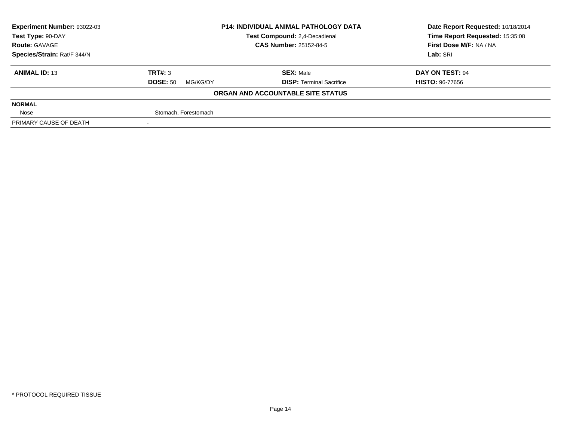| <b>Experiment Number: 93022-03</b> | <b>P14: INDIVIDUAL ANIMAL PATHOLOGY DATA</b><br>Test Compound: 2,4-Decadienal |                                   | Date Report Requested: 10/18/2014 |
|------------------------------------|-------------------------------------------------------------------------------|-----------------------------------|-----------------------------------|
| Test Type: 90-DAY                  |                                                                               |                                   | Time Report Requested: 15:35:08   |
| <b>Route: GAVAGE</b>               |                                                                               | <b>CAS Number: 25152-84-5</b>     | First Dose M/F: NA / NA           |
| Species/Strain: Rat/F 344/N        |                                                                               |                                   | Lab: SRI                          |
| <b>ANIMAL ID: 13</b>               | TRT#: 3                                                                       | <b>SEX: Male</b>                  | DAY ON TEST: 94                   |
|                                    | <b>DOSE: 50</b><br>MG/KG/DY                                                   | <b>DISP:</b> Terminal Sacrifice   | <b>HISTO: 96-77656</b>            |
|                                    |                                                                               | ORGAN AND ACCOUNTABLE SITE STATUS |                                   |
| <b>NORMAL</b>                      |                                                                               |                                   |                                   |
| Nose                               | Stomach, Forestomach                                                          |                                   |                                   |
| PRIMARY CAUSE OF DEATH             |                                                                               |                                   |                                   |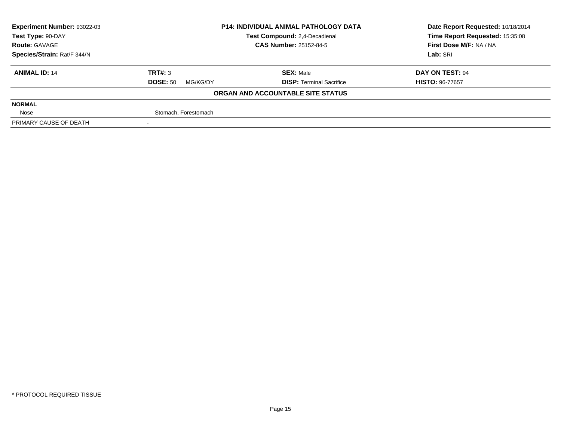| <b>Experiment Number: 93022-03</b> | <b>P14: INDIVIDUAL ANIMAL PATHOLOGY DATA</b> |                                   | Date Report Requested: 10/18/2014 |
|------------------------------------|----------------------------------------------|-----------------------------------|-----------------------------------|
| Test Type: 90-DAY                  |                                              | Test Compound: 2,4-Decadienal     | Time Report Requested: 15:35:08   |
| <b>Route: GAVAGE</b>               |                                              | <b>CAS Number: 25152-84-5</b>     | First Dose M/F: NA / NA           |
| Species/Strain: Rat/F 344/N        |                                              |                                   | Lab: SRI                          |
| <b>ANIMAL ID: 14</b>               | TRT#: 3                                      | <b>SEX: Male</b>                  | DAY ON TEST: 94                   |
|                                    | <b>DOSE: 50</b><br>MG/KG/DY                  | <b>DISP: Terminal Sacrifice</b>   | <b>HISTO: 96-77657</b>            |
|                                    |                                              | ORGAN AND ACCOUNTABLE SITE STATUS |                                   |
| <b>NORMAL</b>                      |                                              |                                   |                                   |
| Nose                               | Stomach, Forestomach                         |                                   |                                   |
| PRIMARY CAUSE OF DEATH             |                                              |                                   |                                   |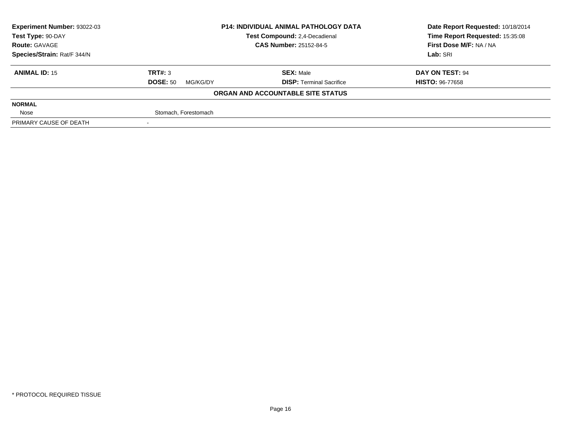| <b>Experiment Number: 93022-03</b> | <b>P14: INDIVIDUAL ANIMAL PATHOLOGY DATA</b><br>Test Compound: 2,4-Decadienal |                                   | Date Report Requested: 10/18/2014 |
|------------------------------------|-------------------------------------------------------------------------------|-----------------------------------|-----------------------------------|
| Test Type: 90-DAY                  |                                                                               |                                   | Time Report Requested: 15:35:08   |
| <b>Route: GAVAGE</b>               |                                                                               | <b>CAS Number: 25152-84-5</b>     | First Dose M/F: NA / NA           |
| Species/Strain: Rat/F 344/N        |                                                                               |                                   | Lab: SRI                          |
| <b>ANIMAL ID: 15</b>               | TRT#: 3                                                                       | <b>SEX: Male</b>                  | DAY ON TEST: 94                   |
|                                    | <b>DOSE: 50</b><br>MG/KG/DY                                                   | <b>DISP:</b> Terminal Sacrifice   | <b>HISTO: 96-77658</b>            |
|                                    |                                                                               | ORGAN AND ACCOUNTABLE SITE STATUS |                                   |
| <b>NORMAL</b>                      |                                                                               |                                   |                                   |
| Nose                               | Stomach, Forestomach                                                          |                                   |                                   |
| PRIMARY CAUSE OF DEATH             |                                                                               |                                   |                                   |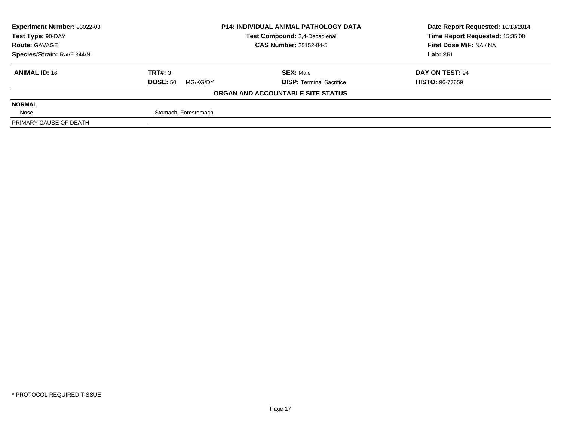| <b>Experiment Number: 93022-03</b> | <b>P14: INDIVIDUAL ANIMAL PATHOLOGY DATA</b><br>Test Compound: 2,4-Decadienal |                                   | Date Report Requested: 10/18/2014 |
|------------------------------------|-------------------------------------------------------------------------------|-----------------------------------|-----------------------------------|
| Test Type: 90-DAY                  |                                                                               |                                   | Time Report Requested: 15:35:08   |
| <b>Route: GAVAGE</b>               |                                                                               | <b>CAS Number: 25152-84-5</b>     | First Dose M/F: NA / NA           |
| Species/Strain: Rat/F 344/N        |                                                                               |                                   | Lab: SRI                          |
| <b>ANIMAL ID: 16</b>               | TRT#: 3                                                                       | <b>SEX: Male</b>                  | DAY ON TEST: 94                   |
|                                    | <b>DOSE: 50</b><br>MG/KG/DY                                                   | <b>DISP:</b> Terminal Sacrifice   | <b>HISTO: 96-77659</b>            |
|                                    |                                                                               | ORGAN AND ACCOUNTABLE SITE STATUS |                                   |
| <b>NORMAL</b>                      |                                                                               |                                   |                                   |
| Nose                               | Stomach, Forestomach                                                          |                                   |                                   |
| PRIMARY CAUSE OF DEATH             |                                                                               |                                   |                                   |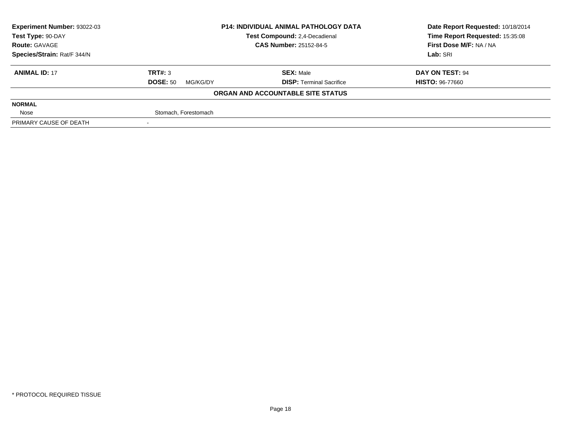| <b>Experiment Number: 93022-03</b> | <b>P14: INDIVIDUAL ANIMAL PATHOLOGY DATA</b><br>Test Compound: 2,4-Decadienal |                                   | Date Report Requested: 10/18/2014 |
|------------------------------------|-------------------------------------------------------------------------------|-----------------------------------|-----------------------------------|
| Test Type: 90-DAY                  |                                                                               |                                   | Time Report Requested: 15:35:08   |
| <b>Route: GAVAGE</b>               |                                                                               | <b>CAS Number: 25152-84-5</b>     | First Dose M/F: NA / NA           |
| Species/Strain: Rat/F 344/N        |                                                                               |                                   | Lab: SRI                          |
| <b>ANIMAL ID: 17</b>               | TRT#: 3                                                                       | <b>SEX: Male</b>                  | DAY ON TEST: 94                   |
|                                    | <b>DOSE: 50</b><br>MG/KG/DY                                                   | <b>DISP: Terminal Sacrifice</b>   | <b>HISTO: 96-77660</b>            |
|                                    |                                                                               | ORGAN AND ACCOUNTABLE SITE STATUS |                                   |
| <b>NORMAL</b>                      |                                                                               |                                   |                                   |
| Nose                               | Stomach, Forestomach                                                          |                                   |                                   |
| PRIMARY CAUSE OF DEATH             |                                                                               |                                   |                                   |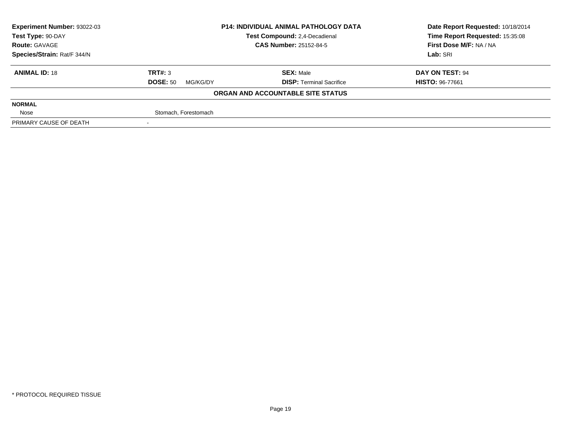| <b>Experiment Number: 93022-03</b> | <b>P14: INDIVIDUAL ANIMAL PATHOLOGY DATA</b><br>Test Compound: 2,4-Decadienal |                                   | Date Report Requested: 10/18/2014 |
|------------------------------------|-------------------------------------------------------------------------------|-----------------------------------|-----------------------------------|
| Test Type: 90-DAY                  |                                                                               |                                   | Time Report Requested: 15:35:08   |
| <b>Route: GAVAGE</b>               |                                                                               | <b>CAS Number: 25152-84-5</b>     | First Dose M/F: NA / NA           |
| Species/Strain: Rat/F 344/N        |                                                                               |                                   | Lab: SRI                          |
| <b>ANIMAL ID: 18</b>               | TRT#: 3                                                                       | <b>SEX: Male</b>                  | DAY ON TEST: 94                   |
|                                    | <b>DOSE: 50</b><br>MG/KG/DY                                                   | <b>DISP:</b> Terminal Sacrifice   | <b>HISTO: 96-77661</b>            |
|                                    |                                                                               | ORGAN AND ACCOUNTABLE SITE STATUS |                                   |
| <b>NORMAL</b>                      |                                                                               |                                   |                                   |
| Nose                               | Stomach, Forestomach                                                          |                                   |                                   |
| PRIMARY CAUSE OF DEATH             |                                                                               |                                   |                                   |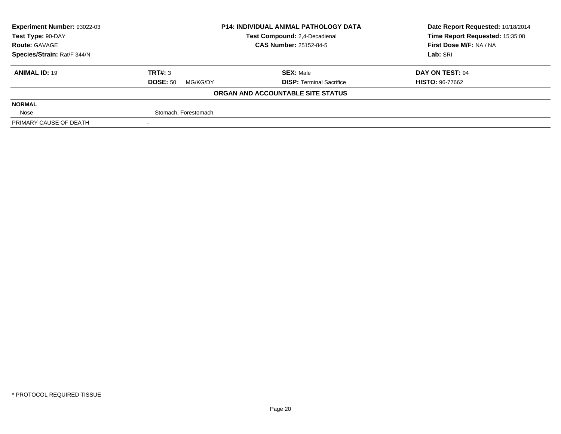| <b>Experiment Number: 93022-03</b>                 | <b>P14: INDIVIDUAL ANIMAL PATHOLOGY DATA</b> |                                   | Date Report Requested: 10/18/2014 |
|----------------------------------------------------|----------------------------------------------|-----------------------------------|-----------------------------------|
| Test Compound: 2,4-Decadienal<br>Test Type: 90-DAY |                                              |                                   | Time Report Requested: 15:35:08   |
| <b>Route: GAVAGE</b>                               |                                              | <b>CAS Number: 25152-84-5</b>     | First Dose M/F: NA / NA           |
| Species/Strain: Rat/F 344/N                        |                                              |                                   | Lab: SRI                          |
| <b>ANIMAL ID: 19</b>                               | TRT#: 3                                      | <b>SEX: Male</b>                  | DAY ON TEST: 94                   |
|                                                    | <b>DOSE: 50</b><br>MG/KG/DY                  | <b>DISP: Terminal Sacrifice</b>   | <b>HISTO: 96-77662</b>            |
|                                                    |                                              | ORGAN AND ACCOUNTABLE SITE STATUS |                                   |
| <b>NORMAL</b>                                      |                                              |                                   |                                   |
| Nose                                               | Stomach, Forestomach                         |                                   |                                   |
| PRIMARY CAUSE OF DEATH                             |                                              |                                   |                                   |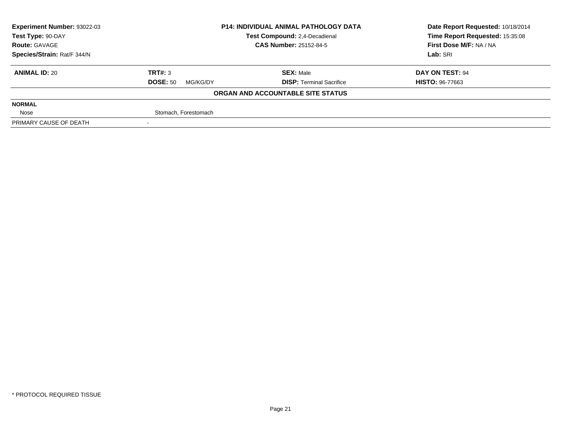| <b>Experiment Number: 93022-03</b> | <b>P14: INDIVIDUAL ANIMAL PATHOLOGY DATA</b><br>Test Compound: 2,4-Decadienal |                                   | Date Report Requested: 10/18/2014 |
|------------------------------------|-------------------------------------------------------------------------------|-----------------------------------|-----------------------------------|
| Test Type: 90-DAY                  |                                                                               |                                   | Time Report Requested: 15:35:08   |
| <b>Route: GAVAGE</b>               |                                                                               | <b>CAS Number: 25152-84-5</b>     | First Dose M/F: NA / NA           |
| Species/Strain: Rat/F 344/N        |                                                                               |                                   | Lab: SRI                          |
| <b>ANIMAL ID: 20</b>               | TRT#: 3                                                                       | <b>SEX: Male</b>                  | DAY ON TEST: 94                   |
|                                    | <b>DOSE: 50</b><br>MG/KG/DY                                                   | <b>DISP:</b> Terminal Sacrifice   | <b>HISTO: 96-77663</b>            |
|                                    |                                                                               | ORGAN AND ACCOUNTABLE SITE STATUS |                                   |
| <b>NORMAL</b>                      |                                                                               |                                   |                                   |
| Nose                               | Stomach, Forestomach                                                          |                                   |                                   |
| PRIMARY CAUSE OF DEATH             |                                                                               |                                   |                                   |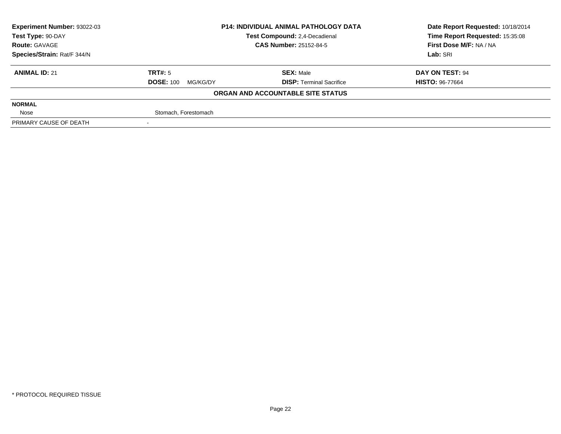| <b>Experiment Number: 93022-03</b> | <b>P14: INDIVIDUAL ANIMAL PATHOLOGY DATA</b><br>Test Compound: 2,4-Decadienal |                                   | Date Report Requested: 10/18/2014 |
|------------------------------------|-------------------------------------------------------------------------------|-----------------------------------|-----------------------------------|
| Test Type: 90-DAY                  |                                                                               |                                   | Time Report Requested: 15:35:08   |
| <b>Route: GAVAGE</b>               |                                                                               | <b>CAS Number: 25152-84-5</b>     | First Dose M/F: NA / NA           |
| Species/Strain: Rat/F 344/N        |                                                                               |                                   | Lab: SRI                          |
| <b>ANIMAL ID: 21</b>               | TRT#: 5                                                                       | <b>SEX: Male</b>                  | DAY ON TEST: 94                   |
|                                    | <b>DOSE: 100</b><br>MG/KG/DY                                                  | <b>DISP:</b> Terminal Sacrifice   | <b>HISTO: 96-77664</b>            |
|                                    |                                                                               | ORGAN AND ACCOUNTABLE SITE STATUS |                                   |
| <b>NORMAL</b>                      |                                                                               |                                   |                                   |
| Nose                               | Stomach, Forestomach                                                          |                                   |                                   |
| PRIMARY CAUSE OF DEATH             |                                                                               |                                   |                                   |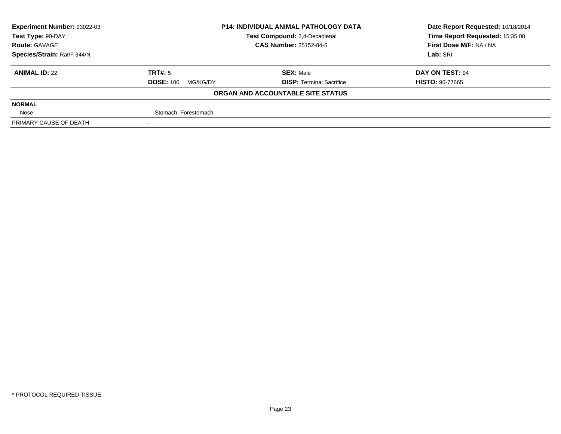| <b>Experiment Number: 93022-03</b> | <b>P14: INDIVIDUAL ANIMAL PATHOLOGY DATA</b><br>Test Compound: 2,4-Decadienal |                                   | Date Report Requested: 10/18/2014 |
|------------------------------------|-------------------------------------------------------------------------------|-----------------------------------|-----------------------------------|
| Test Type: 90-DAY                  |                                                                               |                                   | Time Report Requested: 15:35:08   |
| <b>Route: GAVAGE</b>               |                                                                               | <b>CAS Number: 25152-84-5</b>     | First Dose M/F: NA / NA           |
| Species/Strain: Rat/F 344/N        |                                                                               |                                   | Lab: SRI                          |
| <b>ANIMAL ID: 22</b>               | TRT#: 5                                                                       | <b>SEX: Male</b>                  | DAY ON TEST: 94                   |
|                                    | <b>DOSE: 100</b><br>MG/KG/DY                                                  | <b>DISP:</b> Terminal Sacrifice   | <b>HISTO: 96-77665</b>            |
|                                    |                                                                               | ORGAN AND ACCOUNTABLE SITE STATUS |                                   |
| <b>NORMAL</b>                      |                                                                               |                                   |                                   |
| Nose                               | Stomach, Forestomach                                                          |                                   |                                   |
| PRIMARY CAUSE OF DEATH             |                                                                               |                                   |                                   |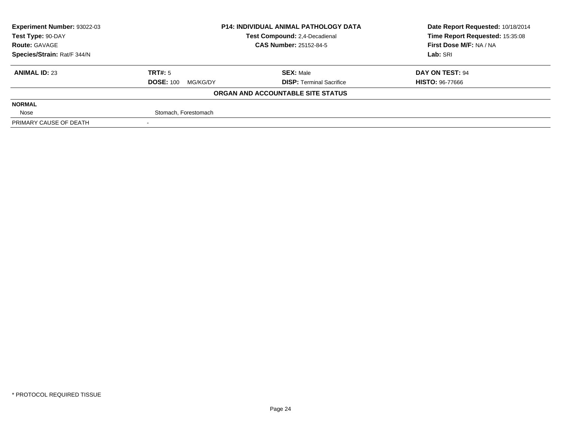| <b>Experiment Number: 93022-03</b><br><b>P14: INDIVIDUAL ANIMAL PATHOLOGY DATA</b> |                              |                                   | Date Report Requested: 10/18/2014 |
|------------------------------------------------------------------------------------|------------------------------|-----------------------------------|-----------------------------------|
| Test Type: 90-DAY                                                                  |                              | Test Compound: 2,4-Decadienal     | Time Report Requested: 15:35:08   |
| <b>Route: GAVAGE</b>                                                               |                              | <b>CAS Number: 25152-84-5</b>     | First Dose M/F: NA / NA           |
| Species/Strain: Rat/F 344/N                                                        |                              |                                   | Lab: SRI                          |
| <b>ANIMAL ID: 23</b>                                                               | TRT#: 5                      | <b>SEX: Male</b>                  | DAY ON TEST: 94                   |
|                                                                                    | <b>DOSE: 100</b><br>MG/KG/DY | <b>DISP:</b> Terminal Sacrifice   | <b>HISTO: 96-77666</b>            |
|                                                                                    |                              | ORGAN AND ACCOUNTABLE SITE STATUS |                                   |
| <b>NORMAL</b>                                                                      |                              |                                   |                                   |
| Nose                                                                               | Stomach, Forestomach         |                                   |                                   |
| PRIMARY CAUSE OF DEATH                                                             |                              |                                   |                                   |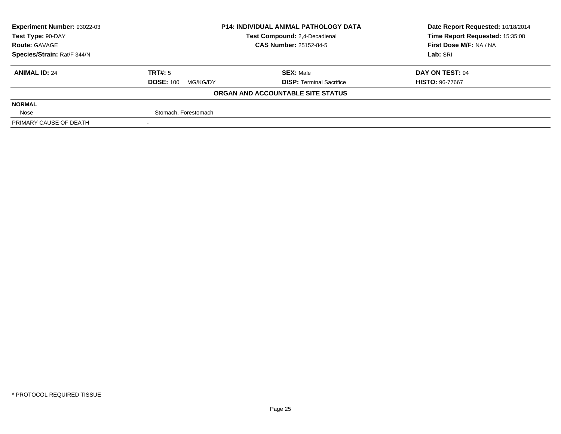| <b>Experiment Number: 93022-03</b><br><b>P14: INDIVIDUAL ANIMAL PATHOLOGY DATA</b> |                              |                                   | Date Report Requested: 10/18/2014 |
|------------------------------------------------------------------------------------|------------------------------|-----------------------------------|-----------------------------------|
| Test Type: 90-DAY                                                                  |                              | Test Compound: 2,4-Decadienal     | Time Report Requested: 15:35:08   |
| <b>Route: GAVAGE</b>                                                               |                              | <b>CAS Number: 25152-84-5</b>     | First Dose M/F: NA / NA           |
| Species/Strain: Rat/F 344/N                                                        |                              |                                   | Lab: SRI                          |
| <b>ANIMAL ID: 24</b>                                                               | TRT#: 5                      | <b>SEX: Male</b>                  | DAY ON TEST: 94                   |
|                                                                                    | <b>DOSE: 100</b><br>MG/KG/DY | <b>DISP:</b> Terminal Sacrifice   | <b>HISTO: 96-77667</b>            |
|                                                                                    |                              | ORGAN AND ACCOUNTABLE SITE STATUS |                                   |
| <b>NORMAL</b>                                                                      |                              |                                   |                                   |
| Nose                                                                               | Stomach, Forestomach         |                                   |                                   |
| PRIMARY CAUSE OF DEATH                                                             |                              |                                   |                                   |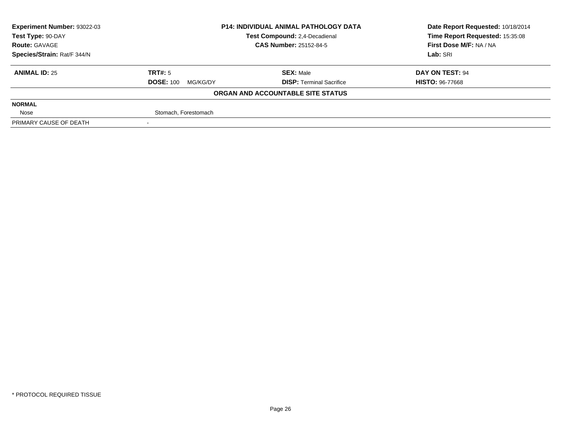| <b>Experiment Number: 93022-03</b> | <b>P14: INDIVIDUAL ANIMAL PATHOLOGY DATA</b><br>Test Compound: 2,4-Decadienal |                                   | Date Report Requested: 10/18/2014 |
|------------------------------------|-------------------------------------------------------------------------------|-----------------------------------|-----------------------------------|
| Test Type: 90-DAY                  |                                                                               |                                   | Time Report Requested: 15:35:08   |
| <b>Route: GAVAGE</b>               |                                                                               | <b>CAS Number: 25152-84-5</b>     | First Dose M/F: NA / NA           |
| Species/Strain: Rat/F 344/N        |                                                                               |                                   | Lab: SRI                          |
| <b>ANIMAL ID: 25</b>               | TRT#: 5                                                                       | <b>SEX: Male</b>                  | DAY ON TEST: 94                   |
|                                    | <b>DOSE: 100</b><br>MG/KG/DY                                                  | <b>DISP: Terminal Sacrifice</b>   | <b>HISTO: 96-77668</b>            |
|                                    |                                                                               | ORGAN AND ACCOUNTABLE SITE STATUS |                                   |
| <b>NORMAL</b>                      |                                                                               |                                   |                                   |
| Nose                               | Stomach, Forestomach                                                          |                                   |                                   |
| PRIMARY CAUSE OF DEATH             |                                                                               |                                   |                                   |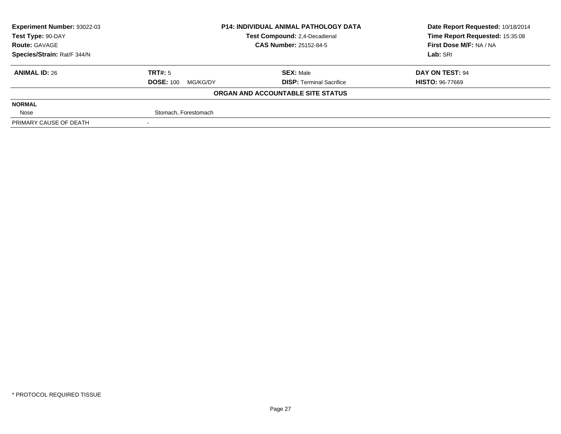| <b>Experiment Number: 93022-03</b> | <b>P14: INDIVIDUAL ANIMAL PATHOLOGY DATA</b><br>Test Compound: 2,4-Decadienal |                                   | Date Report Requested: 10/18/2014 |
|------------------------------------|-------------------------------------------------------------------------------|-----------------------------------|-----------------------------------|
| Test Type: 90-DAY                  |                                                                               |                                   | Time Report Requested: 15:35:08   |
| <b>Route: GAVAGE</b>               |                                                                               | <b>CAS Number: 25152-84-5</b>     | First Dose M/F: NA / NA           |
| Species/Strain: Rat/F 344/N        |                                                                               |                                   | Lab: SRI                          |
| <b>ANIMAL ID: 26</b>               | TRT#: 5                                                                       | <b>SEX: Male</b>                  | DAY ON TEST: 94                   |
|                                    | <b>DOSE: 100</b><br>MG/KG/DY                                                  | <b>DISP: Terminal Sacrifice</b>   | <b>HISTO: 96-77669</b>            |
|                                    |                                                                               | ORGAN AND ACCOUNTABLE SITE STATUS |                                   |
| <b>NORMAL</b>                      |                                                                               |                                   |                                   |
| Nose                               | Stomach, Forestomach                                                          |                                   |                                   |
| PRIMARY CAUSE OF DEATH             |                                                                               |                                   |                                   |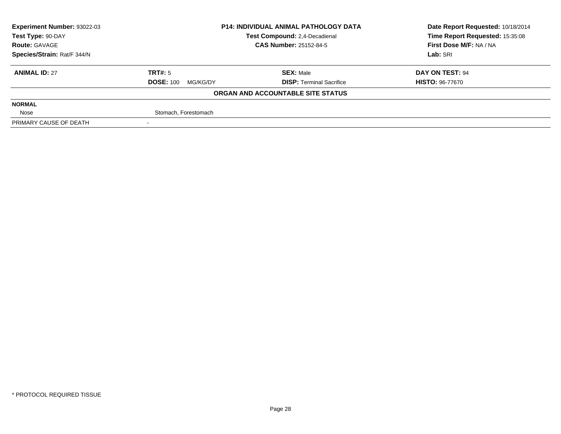| <b>Experiment Number: 93022-03</b> | <b>P14: INDIVIDUAL ANIMAL PATHOLOGY DATA</b> |                                   | Date Report Requested: 10/18/2014 |  |
|------------------------------------|----------------------------------------------|-----------------------------------|-----------------------------------|--|
| Test Type: 90-DAY                  |                                              | Test Compound: 2,4-Decadienal     | Time Report Requested: 15:35:08   |  |
| <b>Route: GAVAGE</b>               |                                              | <b>CAS Number: 25152-84-5</b>     | First Dose M/F: NA / NA           |  |
| Species/Strain: Rat/F 344/N        |                                              |                                   | Lab: SRI                          |  |
| <b>ANIMAL ID: 27</b>               | TRT#: 5                                      | <b>SEX: Male</b>                  | DAY ON TEST: 94                   |  |
|                                    | <b>DOSE: 100</b><br>MG/KG/DY                 | <b>DISP:</b> Terminal Sacrifice   | <b>HISTO: 96-77670</b>            |  |
|                                    |                                              | ORGAN AND ACCOUNTABLE SITE STATUS |                                   |  |
| <b>NORMAL</b>                      |                                              |                                   |                                   |  |
| Nose                               | Stomach, Forestomach                         |                                   |                                   |  |
| PRIMARY CAUSE OF DEATH             |                                              |                                   |                                   |  |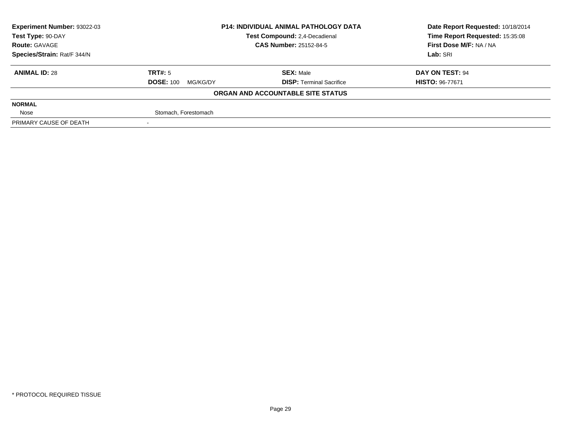| Experiment Number: 93022-03 | <b>P14: INDIVIDUAL ANIMAL PATHOLOGY DATA</b><br>Test Compound: 2,4-Decadienal |                                   | Date Report Requested: 10/18/2014 |
|-----------------------------|-------------------------------------------------------------------------------|-----------------------------------|-----------------------------------|
| Test Type: 90-DAY           |                                                                               |                                   | Time Report Requested: 15:35:08   |
| <b>Route: GAVAGE</b>        |                                                                               | <b>CAS Number: 25152-84-5</b>     | First Dose M/F: NA / NA           |
| Species/Strain: Rat/F 344/N |                                                                               |                                   | Lab: SRI                          |
| <b>ANIMAL ID: 28</b>        | TRT#: 5                                                                       | <b>SEX: Male</b>                  | DAY ON TEST: 94                   |
|                             | <b>DOSE: 100</b><br>MG/KG/DY                                                  | <b>DISP: Terminal Sacrifice</b>   | <b>HISTO: 96-77671</b>            |
|                             |                                                                               | ORGAN AND ACCOUNTABLE SITE STATUS |                                   |
| <b>NORMAL</b>               |                                                                               |                                   |                                   |
| Nose                        | Stomach, Forestomach                                                          |                                   |                                   |
| PRIMARY CAUSE OF DEATH      |                                                                               |                                   |                                   |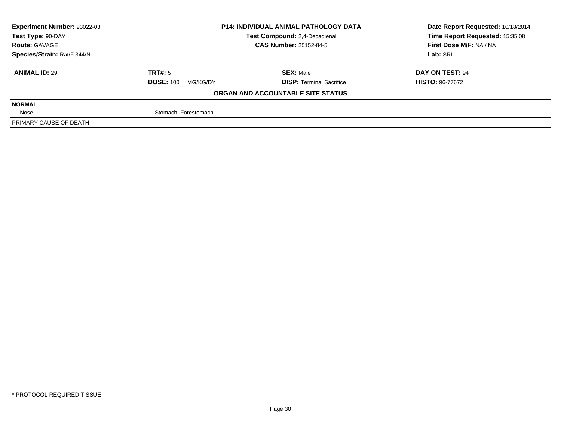| <b>Experiment Number: 93022-03</b> |                              | <b>P14: INDIVIDUAL ANIMAL PATHOLOGY DATA</b> | Date Report Requested: 10/18/2014 |
|------------------------------------|------------------------------|----------------------------------------------|-----------------------------------|
| Test Type: 90-DAY                  |                              | Test Compound: 2,4-Decadienal                | Time Report Requested: 15:35:08   |
| <b>Route: GAVAGE</b>               |                              | <b>CAS Number: 25152-84-5</b>                | First Dose M/F: NA / NA           |
| Species/Strain: Rat/F 344/N        |                              |                                              | Lab: SRI                          |
| <b>ANIMAL ID: 29</b>               | TRT#: 5                      | <b>SEX: Male</b>                             | DAY ON TEST: 94                   |
|                                    | <b>DOSE: 100</b><br>MG/KG/DY | <b>DISP:</b> Terminal Sacrifice              | <b>HISTO: 96-77672</b>            |
|                                    |                              | ORGAN AND ACCOUNTABLE SITE STATUS            |                                   |
| <b>NORMAL</b>                      |                              |                                              |                                   |
| Nose                               | Stomach, Forestomach         |                                              |                                   |
| PRIMARY CAUSE OF DEATH             |                              |                                              |                                   |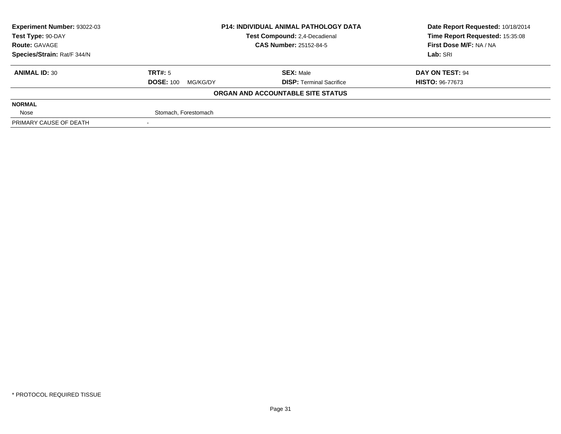| <b>Experiment Number: 93022-03</b> |                              | <b>P14: INDIVIDUAL ANIMAL PATHOLOGY DATA</b> | Date Report Requested: 10/18/2014 |
|------------------------------------|------------------------------|----------------------------------------------|-----------------------------------|
| Test Type: 90-DAY                  |                              | Test Compound: 2,4-Decadienal                | Time Report Requested: 15:35:08   |
| <b>Route: GAVAGE</b>               |                              | <b>CAS Number: 25152-84-5</b>                | First Dose M/F: NA / NA           |
| Species/Strain: Rat/F 344/N        |                              |                                              | Lab: SRI                          |
| <b>ANIMAL ID: 30</b>               | TRT#: 5                      | <b>SEX: Male</b>                             | DAY ON TEST: 94                   |
|                                    | <b>DOSE: 100</b><br>MG/KG/DY | <b>DISP:</b> Terminal Sacrifice              | <b>HISTO: 96-77673</b>            |
|                                    |                              | ORGAN AND ACCOUNTABLE SITE STATUS            |                                   |
| <b>NORMAL</b>                      |                              |                                              |                                   |
| Nose                               | Stomach, Forestomach         |                                              |                                   |
| PRIMARY CAUSE OF DEATH             |                              |                                              |                                   |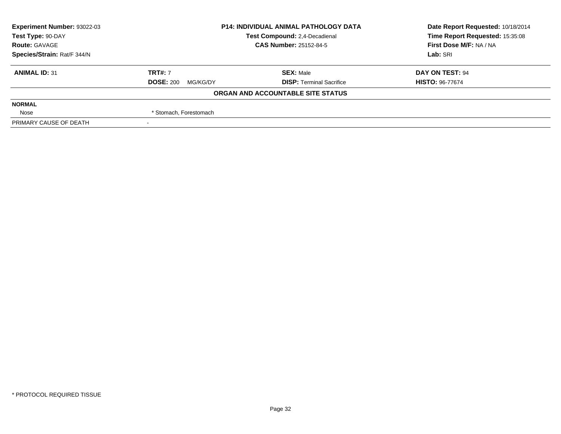| <b>Experiment Number: 93022-03</b> | <b>P14: INDIVIDUAL ANIMAL PATHOLOGY DATA</b><br>Test Compound: 2,4-Decadienal |                                   | Date Report Requested: 10/18/2014 |
|------------------------------------|-------------------------------------------------------------------------------|-----------------------------------|-----------------------------------|
| Test Type: 90-DAY                  |                                                                               |                                   | Time Report Requested: 15:35:08   |
| <b>Route: GAVAGE</b>               |                                                                               | <b>CAS Number: 25152-84-5</b>     | First Dose M/F: NA / NA           |
| Species/Strain: Rat/F 344/N        |                                                                               |                                   | Lab: SRI                          |
| <b>ANIMAL ID: 31</b>               | <b>TRT#: 7</b>                                                                | <b>SEX: Male</b>                  | DAY ON TEST: 94                   |
|                                    | <b>DOSE: 200</b><br>MG/KG/DY                                                  | <b>DISP: Terminal Sacrifice</b>   | <b>HISTO: 96-77674</b>            |
|                                    |                                                                               | ORGAN AND ACCOUNTABLE SITE STATUS |                                   |
| <b>NORMAL</b>                      |                                                                               |                                   |                                   |
| Nose                               | * Stomach, Forestomach                                                        |                                   |                                   |
| PRIMARY CAUSE OF DEATH             |                                                                               |                                   |                                   |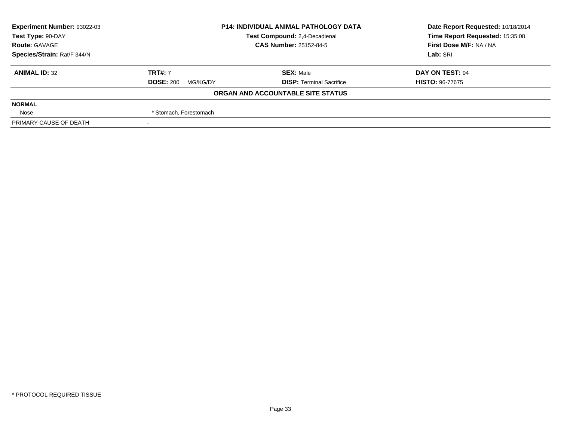| <b>Experiment Number: 93022-03</b> | <b>P14: INDIVIDUAL ANIMAL PATHOLOGY DATA</b><br>Test Compound: 2,4-Decadienal |                                   | Date Report Requested: 10/18/2014 |
|------------------------------------|-------------------------------------------------------------------------------|-----------------------------------|-----------------------------------|
| Test Type: 90-DAY                  |                                                                               |                                   | Time Report Requested: 15:35:08   |
| <b>Route: GAVAGE</b>               |                                                                               | <b>CAS Number: 25152-84-5</b>     | First Dose M/F: NA / NA           |
| Species/Strain: Rat/F 344/N        |                                                                               |                                   | Lab: SRI                          |
| <b>ANIMAL ID: 32</b>               | <b>TRT#: 7</b>                                                                | <b>SEX: Male</b>                  | DAY ON TEST: 94                   |
|                                    | <b>DOSE: 200</b><br>MG/KG/DY                                                  | <b>DISP: Terminal Sacrifice</b>   | <b>HISTO: 96-77675</b>            |
|                                    |                                                                               | ORGAN AND ACCOUNTABLE SITE STATUS |                                   |
| <b>NORMAL</b>                      |                                                                               |                                   |                                   |
| Nose                               | * Stomach, Forestomach                                                        |                                   |                                   |
| PRIMARY CAUSE OF DEATH             |                                                                               |                                   |                                   |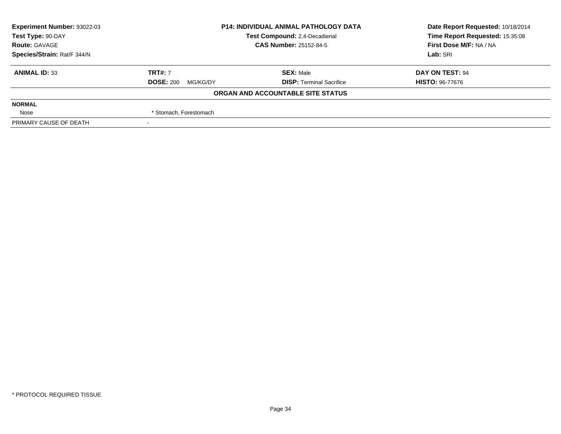| <b>Experiment Number: 93022-03</b> | <b>P14: INDIVIDUAL ANIMAL PATHOLOGY DATA</b><br>Test Compound: 2,4-Decadienal |                                   | Date Report Requested: 10/18/2014 |
|------------------------------------|-------------------------------------------------------------------------------|-----------------------------------|-----------------------------------|
| Test Type: 90-DAY                  |                                                                               |                                   | Time Report Requested: 15:35:08   |
| <b>Route: GAVAGE</b>               |                                                                               | <b>CAS Number: 25152-84-5</b>     | First Dose M/F: NA / NA           |
| Species/Strain: Rat/F 344/N        |                                                                               |                                   | Lab: SRI                          |
| <b>ANIMAL ID: 33</b>               | <b>TRT#: 7</b>                                                                | <b>SEX: Male</b>                  | DAY ON TEST: 94                   |
|                                    | <b>DOSE: 200</b><br>MG/KG/DY                                                  | <b>DISP: Terminal Sacrifice</b>   | <b>HISTO: 96-77676</b>            |
|                                    |                                                                               | ORGAN AND ACCOUNTABLE SITE STATUS |                                   |
| <b>NORMAL</b>                      |                                                                               |                                   |                                   |
| Nose                               | * Stomach, Forestomach                                                        |                                   |                                   |
| PRIMARY CAUSE OF DEATH             |                                                                               |                                   |                                   |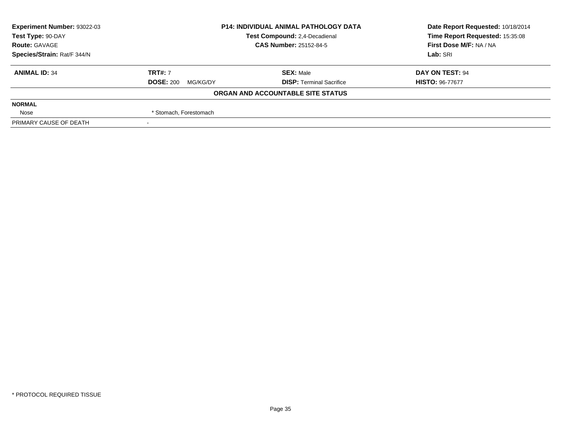| <b>Experiment Number: 93022-03</b> |                              | <b>P14: INDIVIDUAL ANIMAL PATHOLOGY DATA</b> | Date Report Requested: 10/18/2014 |
|------------------------------------|------------------------------|----------------------------------------------|-----------------------------------|
| Test Type: 90-DAY                  |                              | Test Compound: 2,4-Decadienal                | Time Report Requested: 15:35:08   |
| <b>Route: GAVAGE</b>               |                              | <b>CAS Number: 25152-84-5</b>                | First Dose M/F: NA / NA           |
| Species/Strain: Rat/F 344/N        |                              |                                              | Lab: SRI                          |
| <b>ANIMAL ID: 34</b>               | <b>TRT#: 7</b>               | <b>SEX: Male</b>                             | DAY ON TEST: 94                   |
|                                    | <b>DOSE: 200</b><br>MG/KG/DY | <b>DISP:</b> Terminal Sacrifice              | <b>HISTO: 96-77677</b>            |
|                                    |                              | ORGAN AND ACCOUNTABLE SITE STATUS            |                                   |
| <b>NORMAL</b>                      |                              |                                              |                                   |
| Nose                               | * Stomach, Forestomach       |                                              |                                   |
| PRIMARY CAUSE OF DEATH             |                              |                                              |                                   |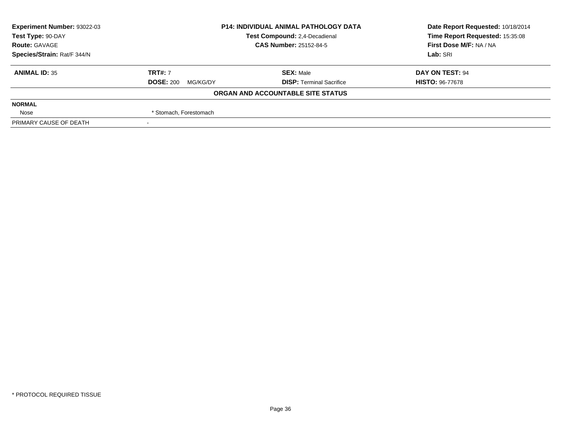| <b>Experiment Number: 93022-03</b> | <b>P14: INDIVIDUAL ANIMAL PATHOLOGY DATA</b><br>Test Compound: 2,4-Decadienal<br><b>CAS Number: 25152-84-5</b> |                                   | Date Report Requested: 10/18/2014<br>Time Report Requested: 15:35:08<br>First Dose M/F: NA / NA<br>Lab: SRI |
|------------------------------------|----------------------------------------------------------------------------------------------------------------|-----------------------------------|-------------------------------------------------------------------------------------------------------------|
| Test Type: 90-DAY                  |                                                                                                                |                                   |                                                                                                             |
| <b>Route: GAVAGE</b>               |                                                                                                                |                                   |                                                                                                             |
| Species/Strain: Rat/F 344/N        |                                                                                                                |                                   |                                                                                                             |
| <b>ANIMAL ID: 35</b>               | <b>TRT#: 7</b>                                                                                                 | <b>SEX: Male</b>                  | DAY ON TEST: 94                                                                                             |
|                                    | <b>DOSE: 200</b><br>MG/KG/DY                                                                                   | <b>DISP: Terminal Sacrifice</b>   | <b>HISTO: 96-77678</b>                                                                                      |
|                                    |                                                                                                                | ORGAN AND ACCOUNTABLE SITE STATUS |                                                                                                             |
| <b>NORMAL</b>                      |                                                                                                                |                                   |                                                                                                             |
| Nose                               | * Stomach, Forestomach                                                                                         |                                   |                                                                                                             |
| PRIMARY CAUSE OF DEATH             |                                                                                                                |                                   |                                                                                                             |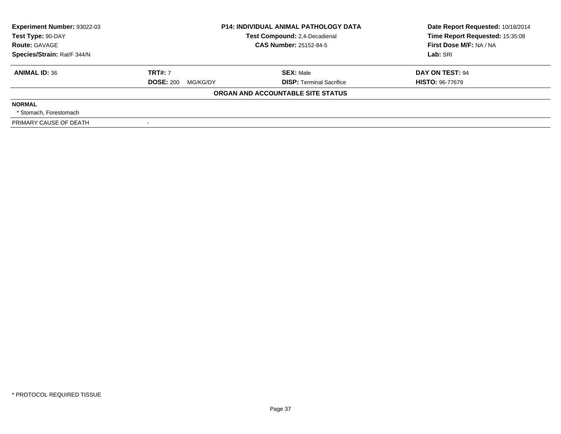| Experiment Number: 93022-03<br>Test Type: 90-DAY | <b>P14: INDIVIDUAL ANIMAL PATHOLOGY DATA</b><br>Test Compound: 2,4-Decadienal<br><b>CAS Number: 25152-84-5</b> |                                   | Date Report Requested: 10/18/2014<br>Time Report Requested: 15:35:08 |  |
|--------------------------------------------------|----------------------------------------------------------------------------------------------------------------|-----------------------------------|----------------------------------------------------------------------|--|
| <b>Route: GAVAGE</b>                             |                                                                                                                |                                   | First Dose M/F: NA / NA                                              |  |
| Species/Strain: Rat/F 344/N                      |                                                                                                                |                                   | Lab: SRI                                                             |  |
| <b>ANIMAL ID: 36</b>                             | <b>TRT#: 7</b>                                                                                                 | <b>SEX: Male</b>                  | DAY ON TEST: 94                                                      |  |
|                                                  | <b>DOSE: 200</b><br>MG/KG/DY                                                                                   | <b>DISP: Terminal Sacrifice</b>   | <b>HISTO: 96-77679</b>                                               |  |
|                                                  |                                                                                                                | ORGAN AND ACCOUNTABLE SITE STATUS |                                                                      |  |
| <b>NORMAL</b>                                    |                                                                                                                |                                   |                                                                      |  |
| * Stomach. Forestomach                           |                                                                                                                |                                   |                                                                      |  |
| PRIMARY CAUSE OF DEATH                           |                                                                                                                |                                   |                                                                      |  |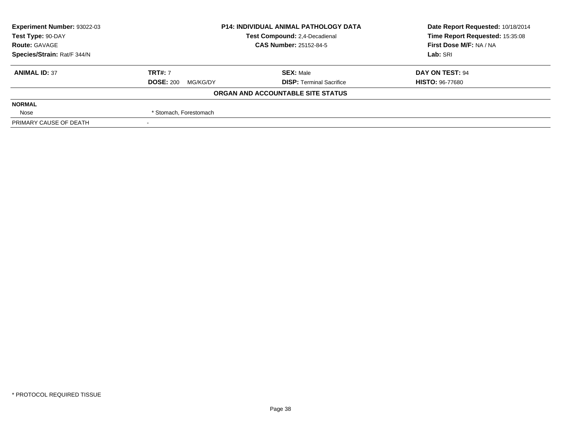| Experiment Number: 93022-03 | <b>P14: INDIVIDUAL ANIMAL PATHOLOGY DATA</b> |                                   | Date Report Requested: 10/18/2014 |  |
|-----------------------------|----------------------------------------------|-----------------------------------|-----------------------------------|--|
| Test Type: 90-DAY           |                                              | Test Compound: 2,4-Decadienal     | Time Report Requested: 15:35:08   |  |
| <b>Route: GAVAGE</b>        |                                              | <b>CAS Number: 25152-84-5</b>     | First Dose M/F: NA / NA           |  |
| Species/Strain: Rat/F 344/N |                                              |                                   | Lab: SRI                          |  |
| <b>ANIMAL ID: 37</b>        | <b>TRT#: 7</b>                               | <b>SEX: Male</b>                  | DAY ON TEST: 94                   |  |
|                             | <b>DOSE: 200</b><br>MG/KG/DY                 | <b>DISP: Terminal Sacrifice</b>   | <b>HISTO: 96-77680</b>            |  |
|                             |                                              | ORGAN AND ACCOUNTABLE SITE STATUS |                                   |  |
| <b>NORMAL</b>               |                                              |                                   |                                   |  |
| Nose                        | * Stomach, Forestomach                       |                                   |                                   |  |
| PRIMARY CAUSE OF DEATH      |                                              |                                   |                                   |  |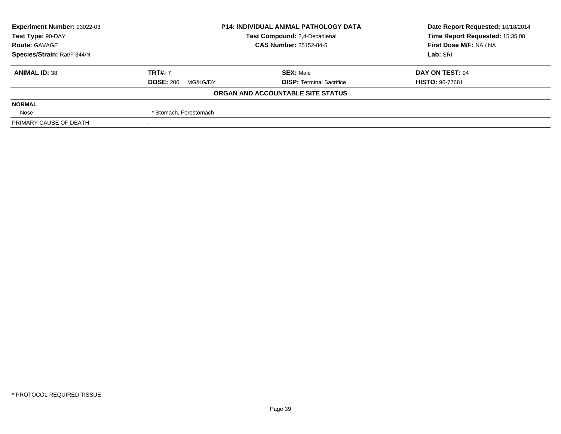| Experiment Number: 93022-03 | <b>P14: INDIVIDUAL ANIMAL PATHOLOGY DATA</b> |                                   | Date Report Requested: 10/18/2014 |  |
|-----------------------------|----------------------------------------------|-----------------------------------|-----------------------------------|--|
| Test Type: 90-DAY           |                                              | Test Compound: 2,4-Decadienal     | Time Report Requested: 15:35:08   |  |
| <b>Route: GAVAGE</b>        |                                              | <b>CAS Number: 25152-84-5</b>     | First Dose M/F: NA / NA           |  |
| Species/Strain: Rat/F 344/N |                                              |                                   | Lab: SRI                          |  |
| <b>ANIMAL ID: 38</b>        | <b>TRT#: 7</b>                               | <b>SEX: Male</b>                  | DAY ON TEST: 94                   |  |
|                             | <b>DOSE: 200</b><br>MG/KG/DY                 | <b>DISP: Terminal Sacrifice</b>   | <b>HISTO: 96-77681</b>            |  |
|                             |                                              | ORGAN AND ACCOUNTABLE SITE STATUS |                                   |  |
| <b>NORMAL</b>               |                                              |                                   |                                   |  |
| Nose                        | * Stomach, Forestomach                       |                                   |                                   |  |
| PRIMARY CAUSE OF DEATH      |                                              |                                   |                                   |  |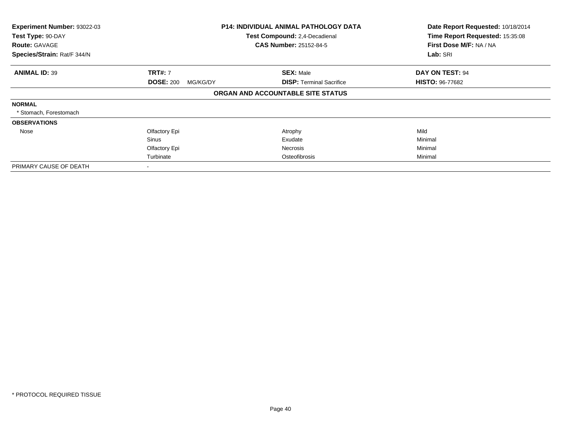| Experiment Number: 93022-03<br>Test Type: 90-DAY<br><b>Route: GAVAGE</b> |                              | <b>P14: INDIVIDUAL ANIMAL PATHOLOGY DATA</b><br>Test Compound: 2,4-Decadienal<br><b>CAS Number: 25152-84-5</b> | Date Report Requested: 10/18/2014<br>Time Report Requested: 15:35:08<br>First Dose M/F: NA / NA |
|--------------------------------------------------------------------------|------------------------------|----------------------------------------------------------------------------------------------------------------|-------------------------------------------------------------------------------------------------|
| Species/Strain: Rat/F 344/N                                              |                              |                                                                                                                | Lab: SRI                                                                                        |
| <b>ANIMAL ID: 39</b>                                                     | <b>TRT#: 7</b>               | <b>SEX: Male</b>                                                                                               | DAY ON TEST: 94                                                                                 |
|                                                                          | <b>DOSE: 200</b><br>MG/KG/DY | <b>DISP:</b> Terminal Sacrifice                                                                                | <b>HISTO: 96-77682</b>                                                                          |
|                                                                          |                              | ORGAN AND ACCOUNTABLE SITE STATUS                                                                              |                                                                                                 |
| <b>NORMAL</b>                                                            |                              |                                                                                                                |                                                                                                 |
| * Stomach, Forestomach                                                   |                              |                                                                                                                |                                                                                                 |
| <b>OBSERVATIONS</b>                                                      |                              |                                                                                                                |                                                                                                 |
| Nose                                                                     | Olfactory Epi                | Atrophy                                                                                                        | Mild                                                                                            |
|                                                                          | <b>Sinus</b>                 | Exudate                                                                                                        | Minimal                                                                                         |
|                                                                          | Olfactory Epi                | Necrosis                                                                                                       | Minimal                                                                                         |
|                                                                          | Turbinate                    | Osteofibrosis                                                                                                  | Minimal                                                                                         |
| PRIMARY CAUSE OF DEATH                                                   |                              |                                                                                                                |                                                                                                 |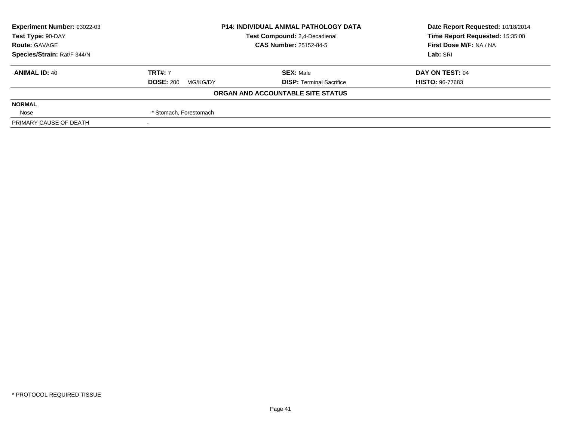| Experiment Number: 93022-03 | <b>P14: INDIVIDUAL ANIMAL PATHOLOGY DATA</b> |                                   | Date Report Requested: 10/18/2014 |  |
|-----------------------------|----------------------------------------------|-----------------------------------|-----------------------------------|--|
| Test Type: 90-DAY           |                                              | Test Compound: 2,4-Decadienal     | Time Report Requested: 15:35:08   |  |
| <b>Route: GAVAGE</b>        |                                              | <b>CAS Number: 25152-84-5</b>     | First Dose M/F: NA / NA           |  |
| Species/Strain: Rat/F 344/N |                                              |                                   | Lab: SRI                          |  |
| <b>ANIMAL ID: 40</b>        | <b>TRT#: 7</b>                               | <b>SEX: Male</b>                  | DAY ON TEST: 94                   |  |
|                             | <b>DOSE: 200</b><br>MG/KG/DY                 | <b>DISP: Terminal Sacrifice</b>   | <b>HISTO: 96-77683</b>            |  |
|                             |                                              | ORGAN AND ACCOUNTABLE SITE STATUS |                                   |  |
| <b>NORMAL</b>               |                                              |                                   |                                   |  |
| Nose                        | * Stomach, Forestomach                       |                                   |                                   |  |
| PRIMARY CAUSE OF DEATH      |                                              |                                   |                                   |  |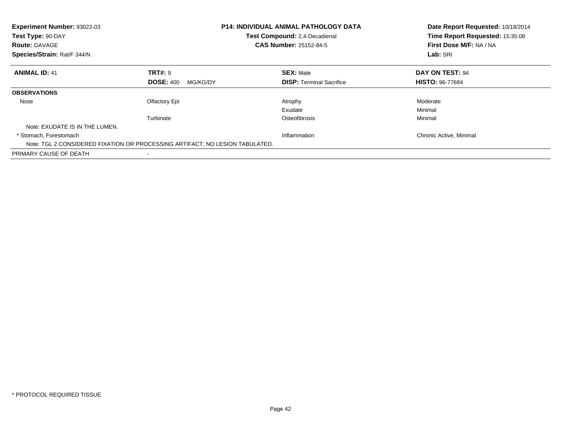| <b>Experiment Number: 93022-03</b><br>Test Type: 90-DAY<br><b>Route: GAVAGE</b><br>Species/Strain: Rat/F 344/N |                              | <b>P14: INDIVIDUAL ANIMAL PATHOLOGY DATA</b><br>Test Compound: 2,4-Decadienal<br><b>CAS Number: 25152-84-5</b> | Date Report Requested: 10/18/2014<br>Time Report Requested: 15:35:08<br>First Dose M/F: NA / NA<br>Lab: SRI |
|----------------------------------------------------------------------------------------------------------------|------------------------------|----------------------------------------------------------------------------------------------------------------|-------------------------------------------------------------------------------------------------------------|
| <b>ANIMAL ID: 41</b>                                                                                           | <b>TRT#: 9</b>               | <b>SEX: Male</b>                                                                                               | DAY ON TEST: 94                                                                                             |
|                                                                                                                | <b>DOSE: 400</b><br>MG/KG/DY | <b>DISP:</b> Terminal Sacrifice                                                                                | <b>HISTO: 96-77684</b>                                                                                      |
| <b>OBSERVATIONS</b>                                                                                            |                              |                                                                                                                |                                                                                                             |
| Nose                                                                                                           | Olfactory Epi                | Atrophy                                                                                                        | Moderate                                                                                                    |
|                                                                                                                |                              | Exudate                                                                                                        | Minimal                                                                                                     |
|                                                                                                                | Turbinate                    | Osteofibrosis                                                                                                  | Minimal                                                                                                     |
| Note: EXUDATE IS IN THE LUMEN.                                                                                 |                              |                                                                                                                |                                                                                                             |
| * Stomach. Forestomach                                                                                         |                              | Inflammation                                                                                                   | Chronic Active, Minimal                                                                                     |
| Note: TGL 2 CONSIDERED FIXATION OR PROCESSING ARTIFACT; NO LESION TABULATED.                                   |                              |                                                                                                                |                                                                                                             |
| PRIMARY CAUSE OF DEATH                                                                                         |                              |                                                                                                                |                                                                                                             |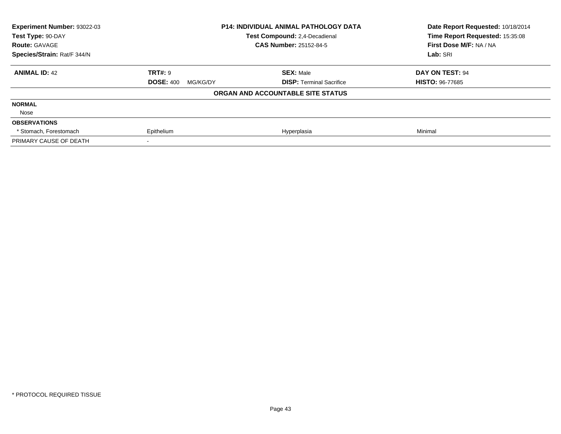| <b>Experiment Number: 93022-03</b> |                              | <b>P14: INDIVIDUAL ANIMAL PATHOLOGY DATA</b> | Date Report Requested: 10/18/2014<br>Time Report Requested: 15:35:08 |
|------------------------------------|------------------------------|----------------------------------------------|----------------------------------------------------------------------|
| Test Type: 90-DAY                  |                              | <b>Test Compound: 2.4-Decadienal</b>         |                                                                      |
| <b>Route: GAVAGE</b>               |                              | <b>CAS Number: 25152-84-5</b>                | First Dose M/F: NA / NA                                              |
| Species/Strain: Rat/F 344/N        |                              |                                              | Lab: SRI                                                             |
| <b>ANIMAL ID: 42</b>               | <b>TRT#: 9</b>               | <b>SEX: Male</b>                             | DAY ON TEST: 94                                                      |
|                                    | <b>DOSE: 400</b><br>MG/KG/DY | <b>DISP:</b> Terminal Sacrifice              | <b>HISTO: 96-77685</b>                                               |
|                                    |                              | ORGAN AND ACCOUNTABLE SITE STATUS            |                                                                      |
| <b>NORMAL</b>                      |                              |                                              |                                                                      |
| Nose                               |                              |                                              |                                                                      |
| <b>OBSERVATIONS</b>                |                              |                                              |                                                                      |
| * Stomach, Forestomach             | Epithelium                   | Hyperplasia                                  | Minimal                                                              |
| PRIMARY CAUSE OF DEATH             |                              |                                              |                                                                      |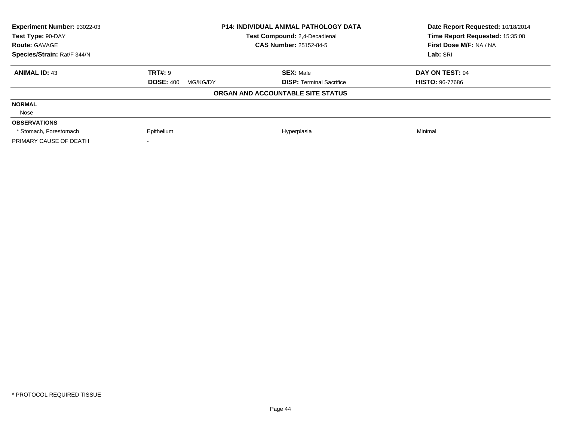| <b>Experiment Number: 93022-03</b> |                              | <b>P14: INDIVIDUAL ANIMAL PATHOLOGY DATA</b> | Date Report Requested: 10/18/2014<br>Time Report Requested: 15:35:08 |
|------------------------------------|------------------------------|----------------------------------------------|----------------------------------------------------------------------|
| Test Type: 90-DAY                  |                              | <b>Test Compound: 2.4-Decadienal</b>         |                                                                      |
| <b>Route: GAVAGE</b>               |                              | <b>CAS Number: 25152-84-5</b>                | First Dose M/F: NA / NA                                              |
| Species/Strain: Rat/F 344/N        |                              |                                              | Lab: SRI                                                             |
| <b>ANIMAL ID: 43</b>               | <b>TRT#: 9</b>               | <b>SEX: Male</b>                             | DAY ON TEST: 94                                                      |
|                                    | <b>DOSE: 400</b><br>MG/KG/DY | <b>DISP:</b> Terminal Sacrifice              | <b>HISTO: 96-77686</b>                                               |
|                                    |                              | ORGAN AND ACCOUNTABLE SITE STATUS            |                                                                      |
| <b>NORMAL</b>                      |                              |                                              |                                                                      |
| Nose                               |                              |                                              |                                                                      |
| <b>OBSERVATIONS</b>                |                              |                                              |                                                                      |
| * Stomach, Forestomach             | Epithelium                   | Hyperplasia                                  | Minimal                                                              |
| PRIMARY CAUSE OF DEATH             |                              |                                              |                                                                      |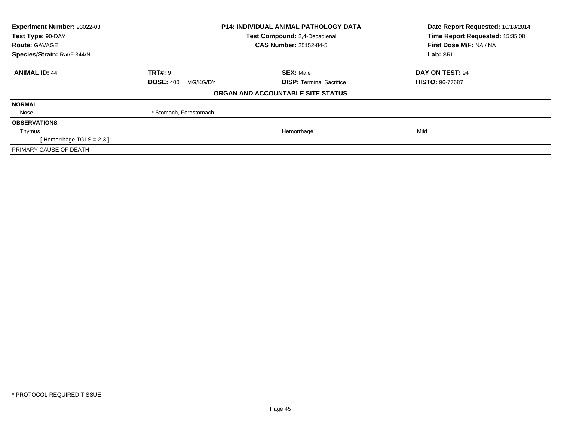| Experiment Number: 93022-03 |                               | <b>P14: INDIVIDUAL ANIMAL PATHOLOGY DATA</b> | Date Report Requested: 10/18/2014<br>Time Report Requested: 15:35:08 |
|-----------------------------|-------------------------------|----------------------------------------------|----------------------------------------------------------------------|
| Test Type: 90-DAY           | Test Compound: 2,4-Decadienal |                                              |                                                                      |
| <b>Route: GAVAGE</b>        |                               | <b>CAS Number: 25152-84-5</b>                | First Dose M/F: NA / NA                                              |
| Species/Strain: Rat/F 344/N |                               |                                              | Lab: SRI                                                             |
| <b>ANIMAL ID: 44</b>        | <b>TRT#: 9</b>                | <b>SEX: Male</b>                             | DAY ON TEST: 94                                                      |
|                             | <b>DOSE: 400</b><br>MG/KG/DY  | <b>DISP: Terminal Sacrifice</b>              | <b>HISTO: 96-77687</b>                                               |
|                             |                               | ORGAN AND ACCOUNTABLE SITE STATUS            |                                                                      |
| <b>NORMAL</b>               |                               |                                              |                                                                      |
| Nose                        | * Stomach, Forestomach        |                                              |                                                                      |
| <b>OBSERVATIONS</b>         |                               |                                              |                                                                      |
| Thymus                      |                               | Hemorrhage                                   | Mild                                                                 |
| [Hemorrhage TGLS = $2-3$ ]  |                               |                                              |                                                                      |
| PRIMARY CAUSE OF DEATH      |                               |                                              |                                                                      |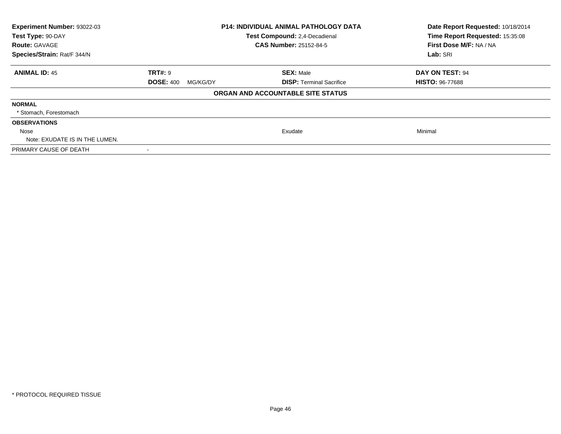| Experiment Number: 93022-03<br>Test Type: 90-DAY<br><b>Route: GAVAGE</b><br>Species/Strain: Rat/F 344/N | <b>P14: INDIVIDUAL ANIMAL PATHOLOGY DATA</b><br>Test Compound: 2,4-Decadienal<br><b>CAS Number: 25152-84-5</b> |                                   | Date Report Requested: 10/18/2014<br>Time Report Requested: 15:35:08<br>First Dose M/F: NA / NA<br>Lab: SRI |
|---------------------------------------------------------------------------------------------------------|----------------------------------------------------------------------------------------------------------------|-----------------------------------|-------------------------------------------------------------------------------------------------------------|
| <b>ANIMAL ID: 45</b>                                                                                    | <b>TRT#: 9</b>                                                                                                 | <b>SEX: Male</b>                  | DAY ON TEST: 94                                                                                             |
|                                                                                                         | <b>DOSE: 400</b><br>MG/KG/DY                                                                                   | <b>DISP:</b> Terminal Sacrifice   | <b>HISTO: 96-77688</b>                                                                                      |
|                                                                                                         |                                                                                                                | ORGAN AND ACCOUNTABLE SITE STATUS |                                                                                                             |
| <b>NORMAL</b>                                                                                           |                                                                                                                |                                   |                                                                                                             |
| * Stomach, Forestomach                                                                                  |                                                                                                                |                                   |                                                                                                             |
| <b>OBSERVATIONS</b>                                                                                     |                                                                                                                |                                   |                                                                                                             |
| Nose                                                                                                    |                                                                                                                | Exudate                           | Minimal                                                                                                     |
| Note: EXUDATE IS IN THE LUMEN.                                                                          |                                                                                                                |                                   |                                                                                                             |
| PRIMARY CAUSE OF DEATH                                                                                  |                                                                                                                |                                   |                                                                                                             |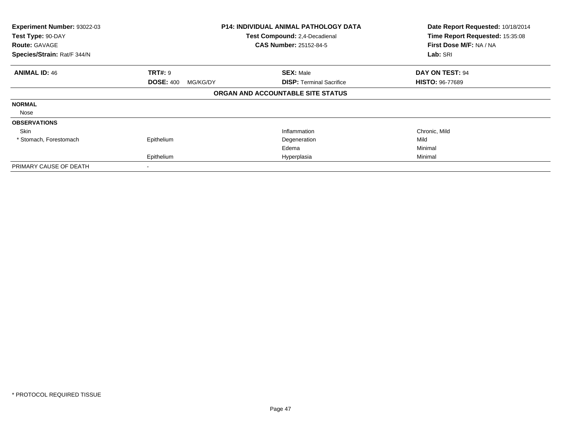| Experiment Number: 93022-03<br>Test Type: 90-DAY<br><b>Route: GAVAGE</b> |                              | <b>P14: INDIVIDUAL ANIMAL PATHOLOGY DATA</b><br>Test Compound: 2,4-Decadienal<br><b>CAS Number: 25152-84-5</b> | Date Report Requested: 10/18/2014<br>Time Report Requested: 15:35:08<br>First Dose M/F: NA / NA |
|--------------------------------------------------------------------------|------------------------------|----------------------------------------------------------------------------------------------------------------|-------------------------------------------------------------------------------------------------|
| Species/Strain: Rat/F 344/N                                              |                              |                                                                                                                | Lab: SRI                                                                                        |
| <b>ANIMAL ID: 46</b>                                                     | <b>TRT#: 9</b>               | <b>SEX: Male</b>                                                                                               | DAY ON TEST: 94                                                                                 |
|                                                                          | <b>DOSE: 400</b><br>MG/KG/DY | <b>DISP:</b> Terminal Sacrifice                                                                                | <b>HISTO: 96-77689</b>                                                                          |
|                                                                          |                              | ORGAN AND ACCOUNTABLE SITE STATUS                                                                              |                                                                                                 |
| <b>NORMAL</b>                                                            |                              |                                                                                                                |                                                                                                 |
| Nose                                                                     |                              |                                                                                                                |                                                                                                 |
| <b>OBSERVATIONS</b>                                                      |                              |                                                                                                                |                                                                                                 |
| Skin                                                                     |                              | Inflammation                                                                                                   | Chronic, Mild                                                                                   |
| * Stomach, Forestomach                                                   | Epithelium                   | Degeneration                                                                                                   | Mild                                                                                            |
|                                                                          |                              | Edema                                                                                                          | Minimal                                                                                         |
|                                                                          | Epithelium                   | Hyperplasia                                                                                                    | Minimal                                                                                         |
| PRIMARY CAUSE OF DEATH                                                   |                              |                                                                                                                |                                                                                                 |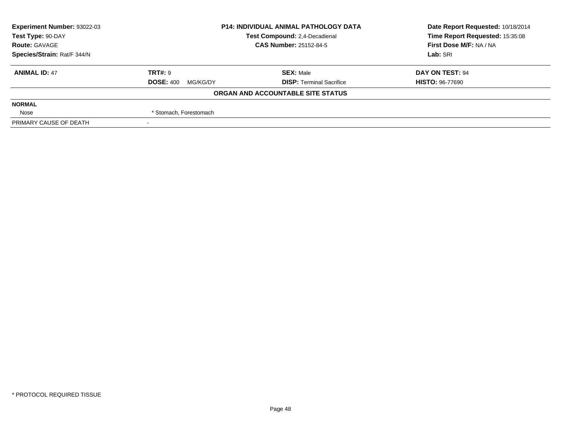| Experiment Number: 93022-03 | <b>P14: INDIVIDUAL ANIMAL PATHOLOGY DATA</b> |                                   | Date Report Requested: 10/18/2014 |  |
|-----------------------------|----------------------------------------------|-----------------------------------|-----------------------------------|--|
| Test Type: 90-DAY           |                                              | Test Compound: 2,4-Decadienal     | Time Report Requested: 15:35:08   |  |
| <b>Route: GAVAGE</b>        |                                              | <b>CAS Number: 25152-84-5</b>     | First Dose M/F: NA / NA           |  |
| Species/Strain: Rat/F 344/N |                                              |                                   | Lab: SRI                          |  |
| <b>ANIMAL ID: 47</b>        | <b>TRT#: 9</b>                               | <b>SEX: Male</b>                  | DAY ON TEST: 94                   |  |
|                             | <b>DOSE: 400</b><br>MG/KG/DY                 | <b>DISP: Terminal Sacrifice</b>   | <b>HISTO: 96-77690</b>            |  |
|                             |                                              | ORGAN AND ACCOUNTABLE SITE STATUS |                                   |  |
| <b>NORMAL</b>               |                                              |                                   |                                   |  |
| Nose                        | * Stomach, Forestomach                       |                                   |                                   |  |
| PRIMARY CAUSE OF DEATH      |                                              |                                   |                                   |  |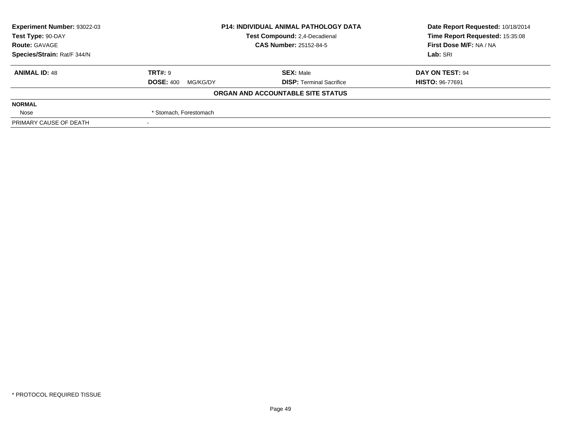| Experiment Number: 93022-03 | <b>P14: INDIVIDUAL ANIMAL PATHOLOGY DATA</b><br>Test Compound: 2,4-Decadienal<br><b>CAS Number: 25152-84-5</b> |                                   | Date Report Requested: 10/18/2014 |  |
|-----------------------------|----------------------------------------------------------------------------------------------------------------|-----------------------------------|-----------------------------------|--|
| Test Type: 90-DAY           |                                                                                                                |                                   | Time Report Requested: 15:35:08   |  |
| <b>Route: GAVAGE</b>        |                                                                                                                |                                   | First Dose M/F: NA / NA           |  |
| Species/Strain: Rat/F 344/N |                                                                                                                |                                   | Lab: SRI                          |  |
| <b>ANIMAL ID: 48</b>        | <b>TRT#: 9</b>                                                                                                 | <b>SEX: Male</b>                  | DAY ON TEST: 94                   |  |
|                             | <b>DOSE: 400</b><br>MG/KG/DY                                                                                   | <b>DISP: Terminal Sacrifice</b>   | <b>HISTO: 96-77691</b>            |  |
|                             |                                                                                                                | ORGAN AND ACCOUNTABLE SITE STATUS |                                   |  |
| <b>NORMAL</b>               |                                                                                                                |                                   |                                   |  |
| Nose                        | * Stomach, Forestomach                                                                                         |                                   |                                   |  |
| PRIMARY CAUSE OF DEATH      |                                                                                                                |                                   |                                   |  |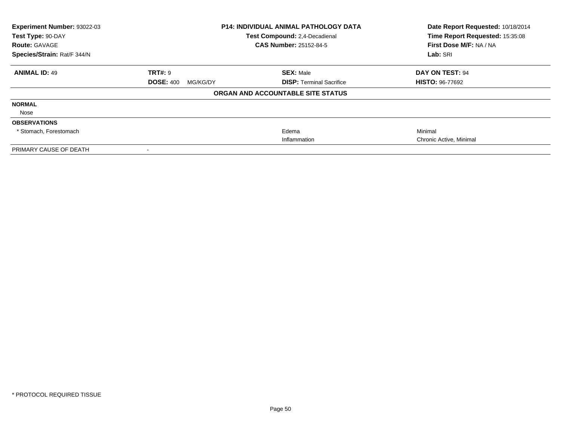| Experiment Number: 93022-03<br>Test Type: 90-DAY<br><b>Route: GAVAGE</b> | <b>P14: INDIVIDUAL ANIMAL PATHOLOGY DATA</b><br>Test Compound: 2,4-Decadienal<br><b>CAS Number: 25152-84-5</b> |                                   | Date Report Requested: 10/18/2014<br>Time Report Requested: 15:35:08<br>First Dose M/F: NA / NA |  |
|--------------------------------------------------------------------------|----------------------------------------------------------------------------------------------------------------|-----------------------------------|-------------------------------------------------------------------------------------------------|--|
| Species/Strain: Rat/F 344/N                                              |                                                                                                                |                                   | Lab: SRI                                                                                        |  |
| <b>ANIMAL ID: 49</b>                                                     | <b>TRT#: 9</b>                                                                                                 | <b>SEX: Male</b>                  | DAY ON TEST: 94                                                                                 |  |
|                                                                          | <b>DOSE: 400</b><br>MG/KG/DY                                                                                   | <b>DISP:</b> Terminal Sacrifice   | <b>HISTO: 96-77692</b>                                                                          |  |
|                                                                          |                                                                                                                | ORGAN AND ACCOUNTABLE SITE STATUS |                                                                                                 |  |
| <b>NORMAL</b>                                                            |                                                                                                                |                                   |                                                                                                 |  |
| Nose                                                                     |                                                                                                                |                                   |                                                                                                 |  |
| <b>OBSERVATIONS</b>                                                      |                                                                                                                |                                   |                                                                                                 |  |
| * Stomach, Forestomach                                                   |                                                                                                                | Edema                             | Minimal                                                                                         |  |
|                                                                          |                                                                                                                | Inflammation                      | Chronic Active, Minimal                                                                         |  |
| PRIMARY CAUSE OF DEATH                                                   |                                                                                                                |                                   |                                                                                                 |  |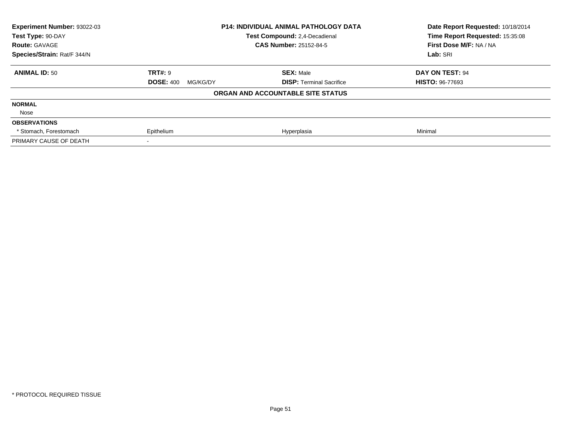| <b>Experiment Number: 93022-03</b> |                              | <b>P14: INDIVIDUAL ANIMAL PATHOLOGY DATA</b> | Date Report Requested: 10/18/2014 |
|------------------------------------|------------------------------|----------------------------------------------|-----------------------------------|
| Test Type: 90-DAY                  |                              | <b>Test Compound: 2.4-Decadienal</b>         |                                   |
| <b>Route: GAVAGE</b>               |                              | <b>CAS Number: 25152-84-5</b>                | First Dose M/F: NA / NA           |
| Species/Strain: Rat/F 344/N        |                              |                                              | Lab: SRI                          |
| <b>ANIMAL ID: 50</b>               | <b>TRT#: 9</b>               | <b>SEX: Male</b>                             | DAY ON TEST: 94                   |
|                                    | <b>DOSE: 400</b><br>MG/KG/DY | <b>DISP:</b> Terminal Sacrifice              | <b>HISTO: 96-77693</b>            |
|                                    |                              | ORGAN AND ACCOUNTABLE SITE STATUS            |                                   |
| <b>NORMAL</b>                      |                              |                                              |                                   |
| Nose                               |                              |                                              |                                   |
| <b>OBSERVATIONS</b>                |                              |                                              |                                   |
| * Stomach, Forestomach             | Epithelium                   | Hyperplasia                                  | Minimal                           |
| PRIMARY CAUSE OF DEATH             |                              |                                              |                                   |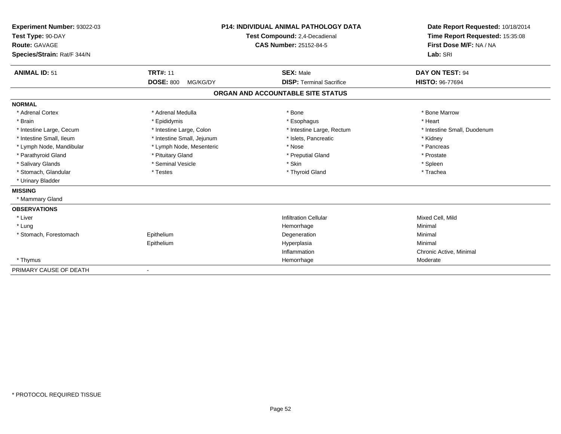| Experiment Number: 93022-03<br>Test Type: 90-DAY<br>Route: GAVAGE<br>Species/Strain: Rat/F 344/N |                                                 | <b>P14: INDIVIDUAL ANIMAL PATHOLOGY DATA</b><br>Test Compound: 2,4-Decadienal<br><b>CAS Number: 25152-84-5</b> | Date Report Requested: 10/18/2014<br>Time Report Requested: 15:35:08<br>First Dose M/F: NA / NA<br>Lab: SRI |
|--------------------------------------------------------------------------------------------------|-------------------------------------------------|----------------------------------------------------------------------------------------------------------------|-------------------------------------------------------------------------------------------------------------|
| <b>ANIMAL ID: 51</b>                                                                             | <b>TRT#: 11</b><br><b>DOSE: 800</b><br>MG/KG/DY | <b>SEX: Male</b><br><b>DISP: Terminal Sacrifice</b>                                                            | DAY ON TEST: 94<br><b>HISTO: 96-77694</b>                                                                   |
|                                                                                                  |                                                 | ORGAN AND ACCOUNTABLE SITE STATUS                                                                              |                                                                                                             |
| <b>NORMAL</b>                                                                                    |                                                 |                                                                                                                |                                                                                                             |
| * Adrenal Cortex                                                                                 | * Adrenal Medulla                               | * Bone                                                                                                         | * Bone Marrow                                                                                               |
| * Brain                                                                                          | * Epididymis                                    | * Esophagus                                                                                                    | * Heart                                                                                                     |
| * Intestine Large, Cecum                                                                         | * Intestine Large, Colon                        | * Intestine Large, Rectum                                                                                      | * Intestine Small, Duodenum                                                                                 |
| * Intestine Small, Ileum                                                                         | * Intestine Small, Jejunum                      | * Islets. Pancreatic                                                                                           | * Kidney                                                                                                    |
| * Lymph Node, Mandibular                                                                         | * Lymph Node, Mesenteric                        | * Nose                                                                                                         | * Pancreas                                                                                                  |
| * Parathyroid Gland                                                                              | * Pituitary Gland                               | * Preputial Gland                                                                                              | * Prostate                                                                                                  |
| * Salivary Glands                                                                                | * Seminal Vesicle                               | * Skin                                                                                                         | * Spleen                                                                                                    |
| * Stomach, Glandular                                                                             | * Testes                                        | * Thyroid Gland                                                                                                | * Trachea                                                                                                   |
| * Urinary Bladder                                                                                |                                                 |                                                                                                                |                                                                                                             |
| <b>MISSING</b>                                                                                   |                                                 |                                                                                                                |                                                                                                             |
| * Mammary Gland                                                                                  |                                                 |                                                                                                                |                                                                                                             |
| <b>OBSERVATIONS</b>                                                                              |                                                 |                                                                                                                |                                                                                                             |
| * Liver                                                                                          |                                                 | <b>Infiltration Cellular</b>                                                                                   | Mixed Cell. Mild                                                                                            |
| * Lung                                                                                           |                                                 | Hemorrhage                                                                                                     | Minimal                                                                                                     |
| * Stomach, Forestomach                                                                           | Epithelium                                      | Degeneration                                                                                                   | Minimal                                                                                                     |
|                                                                                                  | Epithelium                                      | Hyperplasia                                                                                                    | Minimal                                                                                                     |
|                                                                                                  |                                                 | Inflammation                                                                                                   | Chronic Active, Minimal                                                                                     |
| * Thymus                                                                                         |                                                 | Hemorrhage                                                                                                     | Moderate                                                                                                    |
| PRIMARY CAUSE OF DEATH                                                                           | $\blacksquare$                                  |                                                                                                                |                                                                                                             |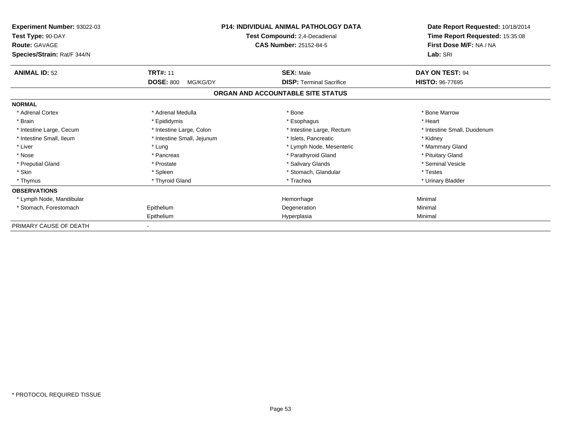| Experiment Number: 93022-03<br>Test Type: 90-DAY<br><b>Route: GAVAGE</b><br>Species/Strain: Rat/F 344/N | <b>P14: INDIVIDUAL ANIMAL PATHOLOGY DATA</b><br>Test Compound: 2,4-Decadienal<br><b>CAS Number: 25152-84-5</b> |                                                                      | Date Report Requested: 10/18/2014<br>Time Report Requested: 15:35:08<br>First Dose M/F: NA / NA<br>Lab: SRI |
|---------------------------------------------------------------------------------------------------------|----------------------------------------------------------------------------------------------------------------|----------------------------------------------------------------------|-------------------------------------------------------------------------------------------------------------|
| <b>ANIMAL ID: 52</b>                                                                                    | <b>TRT#: 11</b>                                                                                                | <b>SEX: Male</b>                                                     | DAY ON TEST: 94                                                                                             |
|                                                                                                         | <b>DOSE: 800</b><br>MG/KG/DY                                                                                   | <b>DISP: Terminal Sacrifice</b><br>ORGAN AND ACCOUNTABLE SITE STATUS | <b>HISTO: 96-77695</b>                                                                                      |
| <b>NORMAL</b>                                                                                           |                                                                                                                |                                                                      |                                                                                                             |
| * Adrenal Cortex                                                                                        | * Adrenal Medulla                                                                                              | * Bone                                                               | * Bone Marrow                                                                                               |
| * Brain                                                                                                 | * Epididymis                                                                                                   | * Esophagus                                                          | * Heart                                                                                                     |
| * Intestine Large, Cecum                                                                                | * Intestine Large, Colon                                                                                       | * Intestine Large, Rectum                                            | * Intestine Small, Duodenum                                                                                 |
| * Intestine Small, Ileum                                                                                | * Intestine Small, Jejunum                                                                                     | * Islets. Pancreatic                                                 | * Kidney                                                                                                    |
| * Liver                                                                                                 | * Lung                                                                                                         | * Lymph Node, Mesenteric                                             | * Mammary Gland                                                                                             |
| * Nose                                                                                                  | * Pancreas                                                                                                     | * Parathyroid Gland                                                  | * Pituitary Gland                                                                                           |
| * Preputial Gland                                                                                       | * Prostate                                                                                                     | * Salivary Glands                                                    | * Seminal Vesicle                                                                                           |
| * Skin                                                                                                  | * Spleen                                                                                                       | * Stomach, Glandular                                                 | * Testes                                                                                                    |
| * Thymus                                                                                                | * Thyroid Gland                                                                                                | * Trachea                                                            | * Urinary Bladder                                                                                           |
| <b>OBSERVATIONS</b>                                                                                     |                                                                                                                |                                                                      |                                                                                                             |
| * Lymph Node, Mandibular                                                                                |                                                                                                                | Hemorrhage                                                           | Minimal                                                                                                     |
| * Stomach, Forestomach                                                                                  | Epithelium                                                                                                     | Degeneration                                                         | Minimal                                                                                                     |
|                                                                                                         | Epithelium                                                                                                     | Hyperplasia                                                          | Minimal                                                                                                     |
| PRIMARY CAUSE OF DEATH                                                                                  |                                                                                                                |                                                                      |                                                                                                             |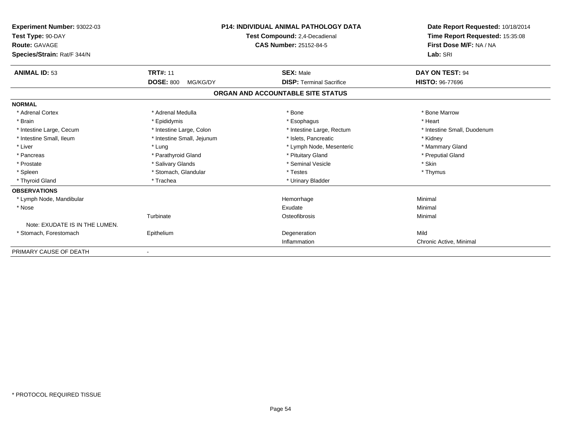| Experiment Number: 93022-03<br>Test Type: 90-DAY<br><b>Route: GAVAGE</b><br>Species/Strain: Rat/F 344/N |                              | <b>P14: INDIVIDUAL ANIMAL PATHOLOGY DATA</b><br>Test Compound: 2,4-Decadienal<br>CAS Number: 25152-84-5 | Date Report Requested: 10/18/2014<br>Time Report Requested: 15:35:08<br>First Dose M/F: NA / NA<br>Lab: SRI |
|---------------------------------------------------------------------------------------------------------|------------------------------|---------------------------------------------------------------------------------------------------------|-------------------------------------------------------------------------------------------------------------|
| <b>ANIMAL ID: 53</b>                                                                                    | <b>TRT#: 11</b>              | <b>SEX: Male</b>                                                                                        | <b>DAY ON TEST: 94</b>                                                                                      |
|                                                                                                         | <b>DOSE: 800</b><br>MG/KG/DY | <b>DISP: Terminal Sacrifice</b>                                                                         | <b>HISTO: 96-77696</b>                                                                                      |
|                                                                                                         |                              | ORGAN AND ACCOUNTABLE SITE STATUS                                                                       |                                                                                                             |
| <b>NORMAL</b>                                                                                           |                              |                                                                                                         |                                                                                                             |
| * Adrenal Cortex                                                                                        | * Adrenal Medulla            | * Bone                                                                                                  | * Bone Marrow                                                                                               |
| * Brain                                                                                                 | * Epididymis                 | * Esophagus                                                                                             | * Heart                                                                                                     |
| * Intestine Large, Cecum                                                                                | * Intestine Large, Colon     | * Intestine Large, Rectum                                                                               | * Intestine Small, Duodenum                                                                                 |
| * Intestine Small, Ileum                                                                                | * Intestine Small, Jejunum   | * Islets, Pancreatic                                                                                    | * Kidney                                                                                                    |
| * Liver                                                                                                 | * Lung                       | * Lymph Node, Mesenteric                                                                                | * Mammary Gland                                                                                             |
| * Pancreas                                                                                              | * Parathyroid Gland          | * Pituitary Gland                                                                                       | * Preputial Gland                                                                                           |
| * Prostate                                                                                              | * Salivary Glands            | * Seminal Vesicle                                                                                       | * Skin                                                                                                      |
| * Spleen                                                                                                | * Stomach, Glandular         | * Testes                                                                                                | * Thymus                                                                                                    |
| * Thyroid Gland                                                                                         | * Trachea                    | * Urinary Bladder                                                                                       |                                                                                                             |
| <b>OBSERVATIONS</b>                                                                                     |                              |                                                                                                         |                                                                                                             |
| * Lymph Node, Mandibular                                                                                |                              | Hemorrhage                                                                                              | Minimal                                                                                                     |
| * Nose                                                                                                  |                              | Exudate                                                                                                 | Minimal                                                                                                     |
|                                                                                                         | Turbinate                    | Osteofibrosis                                                                                           | Minimal                                                                                                     |
| Note: EXUDATE IS IN THE LUMEN.                                                                          |                              |                                                                                                         |                                                                                                             |
| * Stomach, Forestomach                                                                                  | Epithelium                   | Degeneration                                                                                            | Mild                                                                                                        |
|                                                                                                         |                              | Inflammation                                                                                            | Chronic Active, Minimal                                                                                     |
| PRIMARY CAUSE OF DEATH                                                                                  |                              |                                                                                                         |                                                                                                             |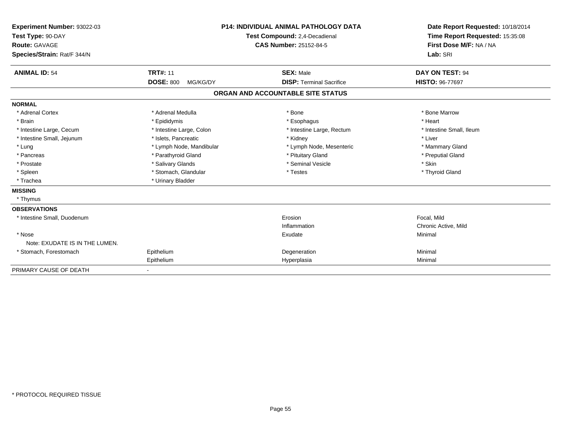| Experiment Number: 93022-03<br>Test Type: 90-DAY<br>Route: GAVAGE<br>Species/Strain: Rat/F 344/N |                                     | <b>P14: INDIVIDUAL ANIMAL PATHOLOGY DATA</b><br>Test Compound: 2,4-Decadienal<br><b>CAS Number: 25152-84-5</b> | Date Report Requested: 10/18/2014<br>Time Report Requested: 15:35:08<br>First Dose M/F: NA / NA<br>Lab: SRI |
|--------------------------------------------------------------------------------------------------|-------------------------------------|----------------------------------------------------------------------------------------------------------------|-------------------------------------------------------------------------------------------------------------|
| <b>ANIMAL ID: 54</b>                                                                             | <b>TRT#: 11</b><br><b>DOSE: 800</b> | <b>SEX: Male</b>                                                                                               | DAY ON TEST: 94                                                                                             |
|                                                                                                  | MG/KG/DY                            | <b>DISP: Terminal Sacrifice</b>                                                                                | <b>HISTO: 96-77697</b>                                                                                      |
|                                                                                                  |                                     | ORGAN AND ACCOUNTABLE SITE STATUS                                                                              |                                                                                                             |
| <b>NORMAL</b>                                                                                    |                                     |                                                                                                                |                                                                                                             |
| * Adrenal Cortex                                                                                 | * Adrenal Medulla                   | * Bone                                                                                                         | * Bone Marrow                                                                                               |
| * Brain                                                                                          | * Epididymis                        | * Esophagus                                                                                                    | * Heart                                                                                                     |
| * Intestine Large, Cecum                                                                         | * Intestine Large, Colon            | * Intestine Large, Rectum                                                                                      | * Intestine Small, Ileum                                                                                    |
| * Intestine Small, Jejunum                                                                       | * Islets, Pancreatic                | * Kidney                                                                                                       | * Liver                                                                                                     |
| * Lung                                                                                           | * Lymph Node, Mandibular            | * Lymph Node, Mesenteric                                                                                       | * Mammary Gland                                                                                             |
| * Pancreas                                                                                       | * Parathyroid Gland                 | * Pituitary Gland                                                                                              | * Preputial Gland                                                                                           |
| * Prostate                                                                                       | * Salivary Glands                   | * Seminal Vesicle                                                                                              | * Skin                                                                                                      |
| * Spleen                                                                                         | * Stomach, Glandular                | * Testes                                                                                                       | * Thyroid Gland                                                                                             |
| * Trachea                                                                                        | * Urinary Bladder                   |                                                                                                                |                                                                                                             |
| <b>MISSING</b>                                                                                   |                                     |                                                                                                                |                                                                                                             |
| * Thymus                                                                                         |                                     |                                                                                                                |                                                                                                             |
| <b>OBSERVATIONS</b>                                                                              |                                     |                                                                                                                |                                                                                                             |
| * Intestine Small, Duodenum                                                                      |                                     | Erosion                                                                                                        | Focal, Mild                                                                                                 |
|                                                                                                  |                                     | Inflammation                                                                                                   | Chronic Active, Mild                                                                                        |
| * Nose                                                                                           |                                     | Exudate                                                                                                        | Minimal                                                                                                     |
| Note: EXUDATE IS IN THE LUMEN.                                                                   |                                     |                                                                                                                |                                                                                                             |
| * Stomach, Forestomach                                                                           | Epithelium                          | Degeneration                                                                                                   | Minimal                                                                                                     |
|                                                                                                  | Epithelium                          | Hyperplasia                                                                                                    | Minimal                                                                                                     |
| PRIMARY CAUSE OF DEATH                                                                           |                                     |                                                                                                                |                                                                                                             |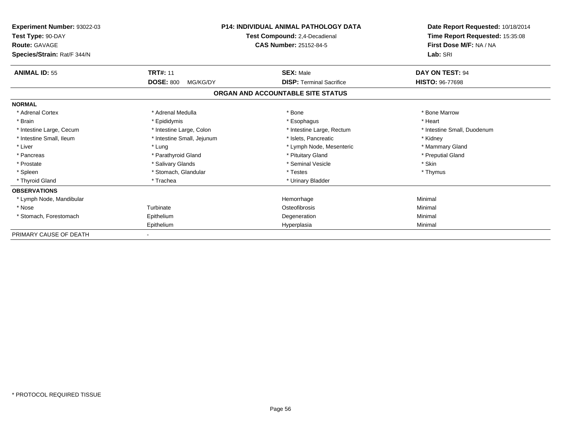| Experiment Number: 93022-03<br>Test Type: 90-DAY<br><b>Route: GAVAGE</b><br>Species/Strain: Rat/F 344/N |                              | <b>P14: INDIVIDUAL ANIMAL PATHOLOGY DATA</b><br>Test Compound: 2,4-Decadienal<br><b>CAS Number: 25152-84-5</b> | Date Report Requested: 10/18/2014<br>Time Report Requested: 15:35:08<br>First Dose M/F: NA / NA<br>Lab: SRI |
|---------------------------------------------------------------------------------------------------------|------------------------------|----------------------------------------------------------------------------------------------------------------|-------------------------------------------------------------------------------------------------------------|
| <b>ANIMAL ID: 55</b>                                                                                    | <b>TRT#: 11</b>              | <b>SEX: Male</b>                                                                                               | DAY ON TEST: 94                                                                                             |
|                                                                                                         | <b>DOSE: 800</b><br>MG/KG/DY | <b>DISP: Terminal Sacrifice</b>                                                                                | <b>HISTO: 96-77698</b>                                                                                      |
|                                                                                                         |                              | ORGAN AND ACCOUNTABLE SITE STATUS                                                                              |                                                                                                             |
| <b>NORMAL</b>                                                                                           |                              |                                                                                                                |                                                                                                             |
| * Adrenal Cortex                                                                                        | * Adrenal Medulla            | * Bone                                                                                                         | * Bone Marrow                                                                                               |
| * Brain                                                                                                 | * Epididymis                 | * Esophagus                                                                                                    | * Heart                                                                                                     |
| * Intestine Large, Cecum                                                                                | * Intestine Large, Colon     | * Intestine Large, Rectum                                                                                      | * Intestine Small, Duodenum                                                                                 |
| * Intestine Small, Ileum                                                                                | * Intestine Small, Jejunum   | * Islets, Pancreatic                                                                                           | * Kidney                                                                                                    |
| * Liver                                                                                                 | * Lung                       | * Lymph Node, Mesenteric                                                                                       | * Mammary Gland                                                                                             |
| * Pancreas                                                                                              | * Parathyroid Gland          | * Pituitary Gland                                                                                              | * Preputial Gland                                                                                           |
| * Prostate                                                                                              | * Salivary Glands            | * Seminal Vesicle                                                                                              | * Skin                                                                                                      |
| * Spleen                                                                                                | * Stomach, Glandular         | * Testes                                                                                                       | * Thymus                                                                                                    |
| * Thyroid Gland                                                                                         | * Trachea                    | * Urinary Bladder                                                                                              |                                                                                                             |
| <b>OBSERVATIONS</b>                                                                                     |                              |                                                                                                                |                                                                                                             |
| * Lymph Node, Mandibular                                                                                |                              | Hemorrhage                                                                                                     | Minimal                                                                                                     |
| * Nose                                                                                                  | Turbinate                    | Osteofibrosis                                                                                                  | Minimal                                                                                                     |
| * Stomach, Forestomach                                                                                  | Epithelium                   | Degeneration                                                                                                   | Minimal                                                                                                     |
|                                                                                                         | Epithelium                   | Hyperplasia                                                                                                    | Minimal                                                                                                     |
| PRIMARY CAUSE OF DEATH                                                                                  |                              |                                                                                                                |                                                                                                             |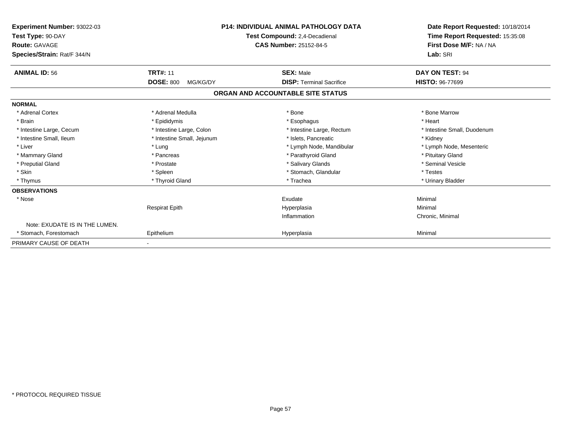| <b>Experiment Number: 93022-03</b><br>Test Type: 90-DAY<br><b>Route: GAVAGE</b><br>Species/Strain: Rat/F 344/N | P14: INDIVIDUAL ANIMAL PATHOLOGY DATA<br>Test Compound: 2,4-Decadienal<br><b>CAS Number: 25152-84-5</b> |                                   | Date Report Requested: 10/18/2014<br>Time Report Requested: 15:35:08<br>First Dose M/F: NA / NA<br>Lab: SRI |  |
|----------------------------------------------------------------------------------------------------------------|---------------------------------------------------------------------------------------------------------|-----------------------------------|-------------------------------------------------------------------------------------------------------------|--|
| <b>ANIMAL ID: 56</b>                                                                                           | <b>TRT#: 11</b>                                                                                         | <b>SEX: Male</b>                  | DAY ON TEST: 94                                                                                             |  |
|                                                                                                                | <b>DOSE: 800</b><br>MG/KG/DY                                                                            | <b>DISP: Terminal Sacrifice</b>   | <b>HISTO: 96-77699</b>                                                                                      |  |
|                                                                                                                |                                                                                                         | ORGAN AND ACCOUNTABLE SITE STATUS |                                                                                                             |  |
| <b>NORMAL</b>                                                                                                  |                                                                                                         |                                   |                                                                                                             |  |
| * Adrenal Cortex                                                                                               | * Adrenal Medulla                                                                                       | * Bone                            | * Bone Marrow                                                                                               |  |
| * Brain                                                                                                        | * Epididymis                                                                                            | * Esophagus                       | * Heart                                                                                                     |  |
| * Intestine Large, Cecum                                                                                       | * Intestine Large, Colon                                                                                | * Intestine Large, Rectum         | * Intestine Small, Duodenum                                                                                 |  |
| * Intestine Small, Ileum                                                                                       | * Intestine Small, Jejunum                                                                              | * Islets, Pancreatic              | * Kidney                                                                                                    |  |
| * Liver                                                                                                        | * Lung                                                                                                  | * Lymph Node, Mandibular          | * Lymph Node, Mesenteric                                                                                    |  |
| * Mammary Gland                                                                                                | * Pancreas                                                                                              | * Parathyroid Gland               | * Pituitary Gland                                                                                           |  |
| * Preputial Gland                                                                                              | * Prostate                                                                                              | * Salivary Glands                 | * Seminal Vesicle                                                                                           |  |
| * Skin                                                                                                         | * Spleen                                                                                                | * Stomach, Glandular              | * Testes                                                                                                    |  |
| * Thymus                                                                                                       | * Thyroid Gland                                                                                         | * Trachea                         | * Urinary Bladder                                                                                           |  |
| <b>OBSERVATIONS</b>                                                                                            |                                                                                                         |                                   |                                                                                                             |  |
| * Nose                                                                                                         |                                                                                                         | Exudate                           | Minimal                                                                                                     |  |
|                                                                                                                | <b>Respirat Epith</b>                                                                                   | Hyperplasia                       | Minimal                                                                                                     |  |
|                                                                                                                |                                                                                                         | Inflammation                      | Chronic, Minimal                                                                                            |  |
| Note: EXUDATE IS IN THE LUMEN.                                                                                 |                                                                                                         |                                   |                                                                                                             |  |
| * Stomach, Forestomach                                                                                         | Epithelium                                                                                              | Hyperplasia                       | Minimal                                                                                                     |  |
| PRIMARY CAUSE OF DEATH                                                                                         |                                                                                                         |                                   |                                                                                                             |  |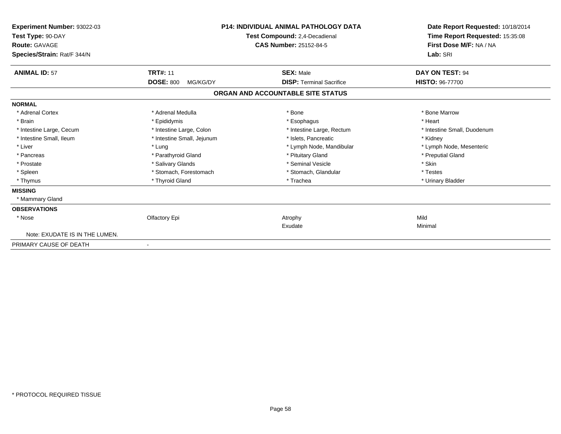| Experiment Number: 93022-03<br>Test Type: 90-DAY<br><b>Route: GAVAGE</b><br>Species/Strain: Rat/F 344/N | <b>P14: INDIVIDUAL ANIMAL PATHOLOGY DATA</b><br>Test Compound: 2,4-Decadienal<br>CAS Number: 25152-84-5 |                                   | Date Report Requested: 10/18/2014<br>Time Report Requested: 15:35:08<br>First Dose M/F: NA / NA<br>Lab: SRI |
|---------------------------------------------------------------------------------------------------------|---------------------------------------------------------------------------------------------------------|-----------------------------------|-------------------------------------------------------------------------------------------------------------|
| <b>ANIMAL ID: 57</b>                                                                                    | <b>TRT#: 11</b>                                                                                         | <b>SEX: Male</b>                  | DAY ON TEST: 94                                                                                             |
|                                                                                                         | <b>DOSE: 800</b><br>MG/KG/DY                                                                            | <b>DISP: Terminal Sacrifice</b>   | <b>HISTO: 96-77700</b>                                                                                      |
|                                                                                                         |                                                                                                         | ORGAN AND ACCOUNTABLE SITE STATUS |                                                                                                             |
| <b>NORMAL</b>                                                                                           |                                                                                                         |                                   |                                                                                                             |
| * Adrenal Cortex                                                                                        | * Adrenal Medulla                                                                                       | * Bone                            | * Bone Marrow                                                                                               |
| * Brain                                                                                                 | * Epididymis                                                                                            | * Esophagus                       | * Heart                                                                                                     |
| * Intestine Large, Cecum                                                                                | * Intestine Large, Colon                                                                                | * Intestine Large, Rectum         | * Intestine Small, Duodenum                                                                                 |
| * Intestine Small, Ileum                                                                                | * Intestine Small, Jejunum                                                                              | * Islets. Pancreatic              | * Kidney                                                                                                    |
| * Liver                                                                                                 | * Lung                                                                                                  | * Lymph Node, Mandibular          | * Lymph Node, Mesenteric                                                                                    |
| * Pancreas                                                                                              | * Parathyroid Gland                                                                                     | * Pituitary Gland                 | * Preputial Gland                                                                                           |
| * Prostate                                                                                              | * Salivary Glands                                                                                       | * Seminal Vesicle                 | * Skin                                                                                                      |
| * Spleen                                                                                                | * Stomach, Forestomach                                                                                  | * Stomach, Glandular              | * Testes                                                                                                    |
| * Thymus                                                                                                | * Thyroid Gland                                                                                         | * Trachea                         | * Urinary Bladder                                                                                           |
| <b>MISSING</b>                                                                                          |                                                                                                         |                                   |                                                                                                             |
| * Mammary Gland                                                                                         |                                                                                                         |                                   |                                                                                                             |
| <b>OBSERVATIONS</b>                                                                                     |                                                                                                         |                                   |                                                                                                             |
| * Nose                                                                                                  | Olfactory Epi                                                                                           | Atrophy                           | Mild                                                                                                        |
|                                                                                                         |                                                                                                         | Exudate                           | Minimal                                                                                                     |
| Note: EXUDATE IS IN THE LUMEN.                                                                          |                                                                                                         |                                   |                                                                                                             |
| PRIMARY CAUSE OF DEATH                                                                                  | $\overline{\phantom{a}}$                                                                                |                                   |                                                                                                             |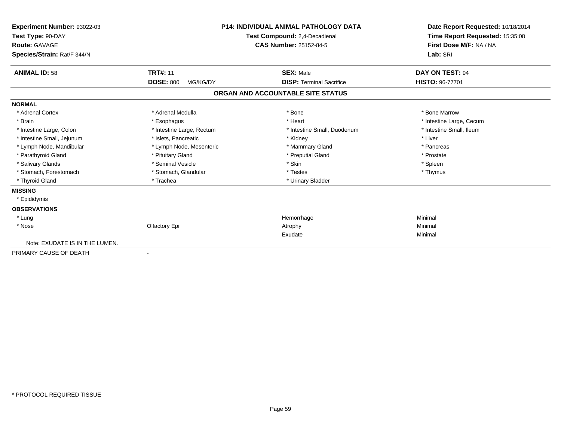| Experiment Number: 93022-03<br>Test Type: 90-DAY<br><b>Route: GAVAGE</b><br>Species/Strain: Rat/F 344/N |                              | <b>P14: INDIVIDUAL ANIMAL PATHOLOGY DATA</b><br>Test Compound: 2,4-Decadienal<br>CAS Number: 25152-84-5 | Date Report Requested: 10/18/2014<br>Time Report Requested: 15:35:08<br>First Dose M/F: NA / NA<br>Lab: SRI |
|---------------------------------------------------------------------------------------------------------|------------------------------|---------------------------------------------------------------------------------------------------------|-------------------------------------------------------------------------------------------------------------|
| <b>ANIMAL ID: 58</b>                                                                                    | <b>TRT#: 11</b>              | <b>SEX: Male</b>                                                                                        | DAY ON TEST: 94                                                                                             |
|                                                                                                         | <b>DOSE: 800</b><br>MG/KG/DY | <b>DISP: Terminal Sacrifice</b>                                                                         | HISTO: 96-77701                                                                                             |
|                                                                                                         |                              | ORGAN AND ACCOUNTABLE SITE STATUS                                                                       |                                                                                                             |
| <b>NORMAL</b>                                                                                           |                              |                                                                                                         |                                                                                                             |
| * Adrenal Cortex                                                                                        | * Adrenal Medulla            | * Bone                                                                                                  | * Bone Marrow                                                                                               |
| * Brain                                                                                                 | * Esophagus                  | * Heart                                                                                                 | * Intestine Large, Cecum                                                                                    |
| * Intestine Large, Colon                                                                                | * Intestine Large, Rectum    | * Intestine Small, Duodenum                                                                             | * Intestine Small, Ileum                                                                                    |
| * Intestine Small, Jejunum                                                                              | * Islets, Pancreatic         | * Kidney                                                                                                | * Liver                                                                                                     |
| * Lymph Node, Mandibular                                                                                | * Lymph Node, Mesenteric     | * Mammary Gland                                                                                         | * Pancreas                                                                                                  |
| * Parathyroid Gland                                                                                     | * Pituitary Gland            | * Preputial Gland                                                                                       | * Prostate                                                                                                  |
| * Salivary Glands                                                                                       | * Seminal Vesicle            | * Skin                                                                                                  | * Spleen                                                                                                    |
| * Stomach, Forestomach                                                                                  | * Stomach, Glandular         | * Testes                                                                                                | * Thymus                                                                                                    |
| * Thyroid Gland                                                                                         | * Trachea                    | * Urinary Bladder                                                                                       |                                                                                                             |
| <b>MISSING</b>                                                                                          |                              |                                                                                                         |                                                                                                             |
| * Epididymis                                                                                            |                              |                                                                                                         |                                                                                                             |
| <b>OBSERVATIONS</b>                                                                                     |                              |                                                                                                         |                                                                                                             |
| * Lung                                                                                                  |                              | Hemorrhage                                                                                              | Minimal                                                                                                     |
| * Nose                                                                                                  | Olfactory Epi                | Atrophy                                                                                                 | Minimal                                                                                                     |
|                                                                                                         |                              | Exudate                                                                                                 | Minimal                                                                                                     |
| Note: EXUDATE IS IN THE LUMEN.                                                                          |                              |                                                                                                         |                                                                                                             |
| PRIMARY CAUSE OF DEATH                                                                                  | $\overline{\phantom{a}}$     |                                                                                                         |                                                                                                             |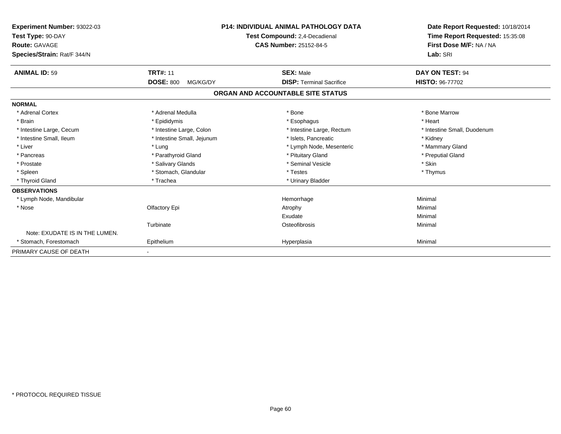| Experiment Number: 93022-03<br>Test Type: 90-DAY<br><b>Route: GAVAGE</b><br>Species/Strain: Rat/F 344/N |                              | <b>P14: INDIVIDUAL ANIMAL PATHOLOGY DATA</b><br>Test Compound: 2,4-Decadienal<br><b>CAS Number: 25152-84-5</b> | Date Report Requested: 10/18/2014<br>Time Report Requested: 15:35:08<br>First Dose M/F: NA / NA<br>Lab: SRI |
|---------------------------------------------------------------------------------------------------------|------------------------------|----------------------------------------------------------------------------------------------------------------|-------------------------------------------------------------------------------------------------------------|
| <b>ANIMAL ID: 59</b>                                                                                    | <b>TRT#: 11</b>              | <b>SEX: Male</b>                                                                                               | DAY ON TEST: 94                                                                                             |
|                                                                                                         | <b>DOSE: 800</b><br>MG/KG/DY | <b>DISP: Terminal Sacrifice</b>                                                                                | HISTO: 96-77702                                                                                             |
|                                                                                                         |                              | ORGAN AND ACCOUNTABLE SITE STATUS                                                                              |                                                                                                             |
| <b>NORMAL</b>                                                                                           |                              |                                                                                                                |                                                                                                             |
| * Adrenal Cortex                                                                                        | * Adrenal Medulla            | * Bone                                                                                                         | * Bone Marrow                                                                                               |
| * Brain                                                                                                 | * Epididymis                 | * Esophagus                                                                                                    | * Heart                                                                                                     |
| * Intestine Large, Cecum                                                                                | * Intestine Large, Colon     | * Intestine Large, Rectum                                                                                      | * Intestine Small, Duodenum                                                                                 |
| * Intestine Small, Ileum                                                                                | * Intestine Small, Jejunum   | * Islets, Pancreatic                                                                                           | * Kidney                                                                                                    |
| * Liver                                                                                                 | * Lung                       | * Lymph Node, Mesenteric                                                                                       | * Mammary Gland                                                                                             |
| * Pancreas                                                                                              | * Parathyroid Gland          | * Pituitary Gland                                                                                              | * Preputial Gland                                                                                           |
| * Prostate                                                                                              | * Salivary Glands            | * Seminal Vesicle                                                                                              | * Skin                                                                                                      |
| * Spleen                                                                                                | * Stomach, Glandular         | * Testes                                                                                                       | * Thymus                                                                                                    |
| * Thyroid Gland                                                                                         | * Trachea                    | * Urinary Bladder                                                                                              |                                                                                                             |
| <b>OBSERVATIONS</b>                                                                                     |                              |                                                                                                                |                                                                                                             |
| * Lymph Node, Mandibular                                                                                |                              | Hemorrhage                                                                                                     | Minimal                                                                                                     |
| * Nose                                                                                                  | Olfactory Epi                | Atrophy                                                                                                        | Minimal                                                                                                     |
|                                                                                                         |                              | Exudate                                                                                                        | Minimal                                                                                                     |
|                                                                                                         | Turbinate                    | Osteofibrosis                                                                                                  | Minimal                                                                                                     |
| Note: EXUDATE IS IN THE LUMEN.                                                                          |                              |                                                                                                                |                                                                                                             |
| * Stomach, Forestomach                                                                                  | Epithelium                   | Hyperplasia                                                                                                    | Minimal                                                                                                     |
| PRIMARY CAUSE OF DEATH                                                                                  |                              |                                                                                                                |                                                                                                             |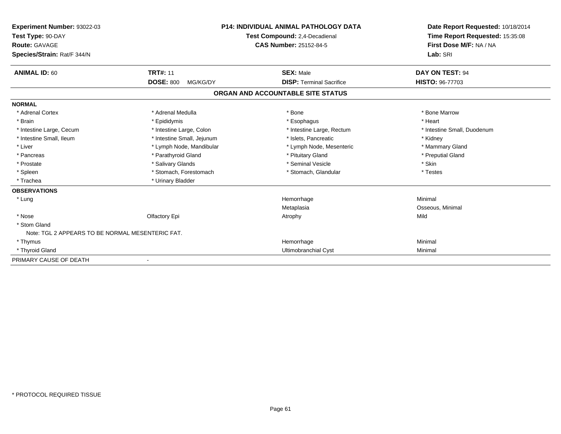| Experiment Number: 93022-03<br>Test Type: 90-DAY<br><b>Route: GAVAGE</b><br>Species/Strain: Rat/F 344/N |                              | <b>P14: INDIVIDUAL ANIMAL PATHOLOGY DATA</b><br>Test Compound: 2,4-Decadienal<br><b>CAS Number: 25152-84-5</b> | Date Report Requested: 10/18/2014<br>Time Report Requested: 15:35:08<br>First Dose M/F: NA / NA<br>Lab: SRI |
|---------------------------------------------------------------------------------------------------------|------------------------------|----------------------------------------------------------------------------------------------------------------|-------------------------------------------------------------------------------------------------------------|
| <b>ANIMAL ID: 60</b>                                                                                    | <b>TRT#: 11</b>              | <b>SEX: Male</b>                                                                                               | DAY ON TEST: 94                                                                                             |
|                                                                                                         | <b>DOSE: 800</b><br>MG/KG/DY | <b>DISP: Terminal Sacrifice</b>                                                                                | <b>HISTO: 96-77703</b>                                                                                      |
|                                                                                                         |                              | ORGAN AND ACCOUNTABLE SITE STATUS                                                                              |                                                                                                             |
| <b>NORMAL</b>                                                                                           |                              |                                                                                                                |                                                                                                             |
| * Adrenal Cortex                                                                                        | * Adrenal Medulla            | * Bone                                                                                                         | * Bone Marrow                                                                                               |
| * Brain                                                                                                 | * Epididymis                 | * Esophagus                                                                                                    | * Heart                                                                                                     |
| * Intestine Large, Cecum                                                                                | * Intestine Large, Colon     | * Intestine Large, Rectum                                                                                      | * Intestine Small, Duodenum                                                                                 |
| * Intestine Small. Ileum                                                                                | * Intestine Small, Jejunum   | * Islets. Pancreatic                                                                                           | * Kidney                                                                                                    |
| * Liver                                                                                                 | * Lymph Node, Mandibular     | * Lymph Node, Mesenteric                                                                                       | * Mammary Gland                                                                                             |
| * Pancreas                                                                                              | * Parathyroid Gland          | * Pituitary Gland                                                                                              | * Preputial Gland                                                                                           |
| * Prostate                                                                                              | * Salivary Glands            | * Seminal Vesicle                                                                                              | * Skin                                                                                                      |
| * Spleen                                                                                                | * Stomach, Forestomach       | * Stomach, Glandular                                                                                           | * Testes                                                                                                    |
| * Trachea                                                                                               | * Urinary Bladder            |                                                                                                                |                                                                                                             |
| <b>OBSERVATIONS</b>                                                                                     |                              |                                                                                                                |                                                                                                             |
| * Lung                                                                                                  |                              | Hemorrhage                                                                                                     | Minimal                                                                                                     |
|                                                                                                         |                              | Metaplasia                                                                                                     | Osseous, Minimal                                                                                            |
| * Nose                                                                                                  | Olfactory Epi                | Atrophy                                                                                                        | Mild                                                                                                        |
| * Stom Gland                                                                                            |                              |                                                                                                                |                                                                                                             |
| Note: TGL 2 APPEARS TO BE NORMAL MESENTERIC FAT.                                                        |                              |                                                                                                                |                                                                                                             |
| * Thymus                                                                                                |                              | Hemorrhage                                                                                                     | Minimal                                                                                                     |
| * Thyroid Gland                                                                                         |                              | Ultimobranchial Cyst                                                                                           | Minimal                                                                                                     |
| PRIMARY CAUSE OF DEATH                                                                                  |                              |                                                                                                                |                                                                                                             |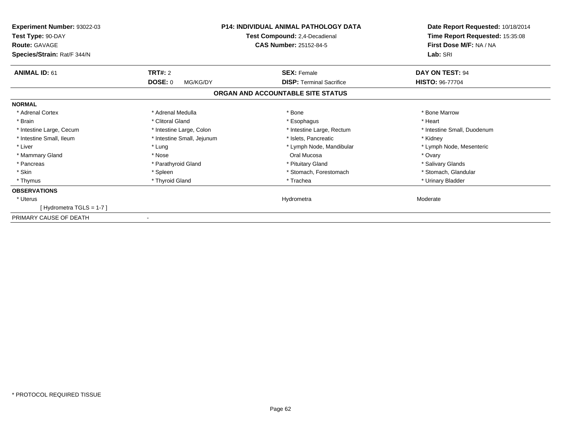| Experiment Number: 93022-03<br>Test Type: 90-DAY<br><b>Route: GAVAGE</b><br>Species/Strain: Rat/F 344/N | <b>P14: INDIVIDUAL ANIMAL PATHOLOGY DATA</b><br>Test Compound: 2,4-Decadienal<br><b>CAS Number: 25152-84-5</b> |                                   | Date Report Requested: 10/18/2014<br>Time Report Requested: 15:35:08<br>First Dose M/F: NA / NA<br>Lab: SRI |
|---------------------------------------------------------------------------------------------------------|----------------------------------------------------------------------------------------------------------------|-----------------------------------|-------------------------------------------------------------------------------------------------------------|
| <b>ANIMAL ID: 61</b>                                                                                    | TRT#: 2                                                                                                        | <b>SEX: Female</b>                | DAY ON TEST: 94                                                                                             |
|                                                                                                         | <b>DOSE: 0</b><br>MG/KG/DY                                                                                     | <b>DISP: Terminal Sacrifice</b>   | <b>HISTO: 96-77704</b>                                                                                      |
|                                                                                                         |                                                                                                                | ORGAN AND ACCOUNTABLE SITE STATUS |                                                                                                             |
| <b>NORMAL</b>                                                                                           |                                                                                                                |                                   |                                                                                                             |
| * Adrenal Cortex                                                                                        | * Adrenal Medulla                                                                                              | * Bone                            | * Bone Marrow                                                                                               |
| * Brain                                                                                                 | * Clitoral Gland                                                                                               | * Esophagus                       | * Heart                                                                                                     |
| * Intestine Large, Cecum                                                                                | * Intestine Large, Colon                                                                                       | * Intestine Large, Rectum         | * Intestine Small, Duodenum                                                                                 |
| * Intestine Small, Ileum                                                                                | * Intestine Small, Jejunum                                                                                     | * Islets, Pancreatic              | * Kidney                                                                                                    |
| * Liver                                                                                                 | * Lung                                                                                                         | * Lymph Node, Mandibular          | * Lymph Node, Mesenteric                                                                                    |
| * Mammary Gland                                                                                         | * Nose                                                                                                         | Oral Mucosa                       | * Ovary                                                                                                     |
| * Pancreas                                                                                              | * Parathyroid Gland                                                                                            | * Pituitary Gland                 | * Salivary Glands                                                                                           |
| * Skin                                                                                                  | * Spleen                                                                                                       | * Stomach, Forestomach            | * Stomach, Glandular                                                                                        |
| * Thymus                                                                                                | * Thyroid Gland                                                                                                | * Trachea                         | * Urinary Bladder                                                                                           |
| <b>OBSERVATIONS</b>                                                                                     |                                                                                                                |                                   |                                                                                                             |
| * Uterus                                                                                                |                                                                                                                | Hydrometra                        | Moderate                                                                                                    |
| [Hydrometra TGLS = 1-7]                                                                                 |                                                                                                                |                                   |                                                                                                             |
| PRIMARY CAUSE OF DEATH                                                                                  |                                                                                                                |                                   |                                                                                                             |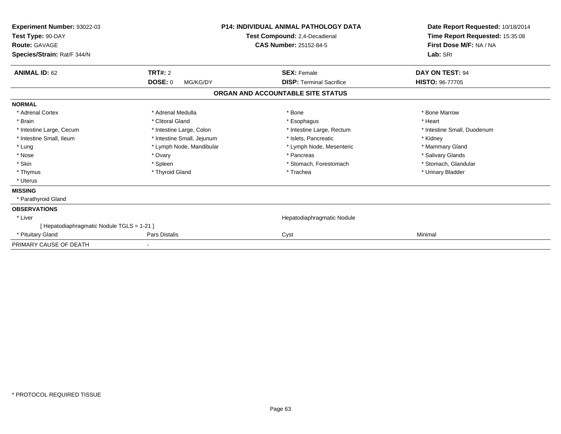| Experiment Number: 93022-03<br>Test Type: 90-DAY<br><b>Route: GAVAGE</b><br>Species/Strain: Rat/F 344/N | <b>P14: INDIVIDUAL ANIMAL PATHOLOGY DATA</b><br>Test Compound: 2,4-Decadienal<br><b>CAS Number: 25152-84-5</b> |                                   | Date Report Requested: 10/18/2014<br>Time Report Requested: 15:35:08<br>First Dose M/F: NA / NA<br>Lab: SRI |
|---------------------------------------------------------------------------------------------------------|----------------------------------------------------------------------------------------------------------------|-----------------------------------|-------------------------------------------------------------------------------------------------------------|
| <b>ANIMAL ID: 62</b>                                                                                    | TRT#: 2                                                                                                        | <b>SEX: Female</b>                | DAY ON TEST: 94                                                                                             |
|                                                                                                         | <b>DOSE: 0</b><br>MG/KG/DY                                                                                     | <b>DISP:</b> Terminal Sacrifice   | <b>HISTO: 96-77705</b>                                                                                      |
|                                                                                                         |                                                                                                                | ORGAN AND ACCOUNTABLE SITE STATUS |                                                                                                             |
| <b>NORMAL</b>                                                                                           |                                                                                                                |                                   |                                                                                                             |
| * Adrenal Cortex                                                                                        | * Adrenal Medulla                                                                                              | * Bone                            | * Bone Marrow                                                                                               |
| * Brain                                                                                                 | * Clitoral Gland                                                                                               | * Esophagus                       | * Heart                                                                                                     |
| * Intestine Large, Cecum                                                                                | * Intestine Large, Colon                                                                                       | * Intestine Large, Rectum         | * Intestine Small, Duodenum                                                                                 |
| * Intestine Small, Ileum                                                                                | * Intestine Small, Jejunum                                                                                     | * Islets, Pancreatic              | * Kidney                                                                                                    |
| * Lung                                                                                                  | * Lymph Node, Mandibular                                                                                       | * Lymph Node, Mesenteric          | * Mammary Gland                                                                                             |
| * Nose                                                                                                  | * Ovary                                                                                                        | * Pancreas                        | * Salivary Glands                                                                                           |
| * Skin                                                                                                  | * Spleen                                                                                                       | * Stomach, Forestomach            | * Stomach, Glandular                                                                                        |
| * Thymus                                                                                                | * Thyroid Gland                                                                                                | * Trachea                         | * Urinary Bladder                                                                                           |
| * Uterus                                                                                                |                                                                                                                |                                   |                                                                                                             |
| <b>MISSING</b>                                                                                          |                                                                                                                |                                   |                                                                                                             |
| * Parathyroid Gland                                                                                     |                                                                                                                |                                   |                                                                                                             |
| <b>OBSERVATIONS</b>                                                                                     |                                                                                                                |                                   |                                                                                                             |
| * Liver                                                                                                 |                                                                                                                | Hepatodiaphragmatic Nodule        |                                                                                                             |
| [ Hepatodiaphragmatic Nodule TGLS = 1-21 ]                                                              |                                                                                                                |                                   |                                                                                                             |
| * Pituitary Gland                                                                                       | Pars Distalis                                                                                                  | Cyst                              | Minimal                                                                                                     |
| PRIMARY CAUSE OF DEATH                                                                                  | $\blacksquare$                                                                                                 |                                   |                                                                                                             |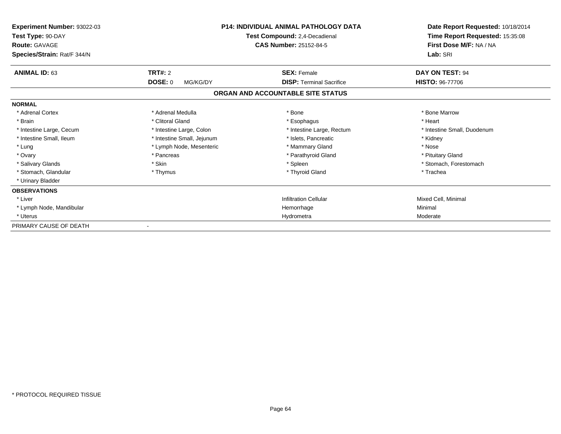| Experiment Number: 93022-03<br>Test Type: 90-DAY<br><b>Route: GAVAGE</b><br>Species/Strain: Rat/F 344/N | <b>P14: INDIVIDUAL ANIMAL PATHOLOGY DATA</b><br>Test Compound: 2,4-Decadienal<br><b>CAS Number: 25152-84-5</b> |                                                       | Date Report Requested: 10/18/2014<br>Time Report Requested: 15:35:08<br>First Dose M/F: NA / NA<br>Lab: SRI |
|---------------------------------------------------------------------------------------------------------|----------------------------------------------------------------------------------------------------------------|-------------------------------------------------------|-------------------------------------------------------------------------------------------------------------|
| <b>ANIMAL ID: 63</b>                                                                                    | <b>TRT#: 2</b><br><b>DOSE: 0</b><br>MG/KG/DY                                                                   | <b>SEX: Female</b><br><b>DISP: Terminal Sacrifice</b> | DAY ON TEST: 94<br><b>HISTO: 96-77706</b>                                                                   |
|                                                                                                         |                                                                                                                | ORGAN AND ACCOUNTABLE SITE STATUS                     |                                                                                                             |
| <b>NORMAL</b>                                                                                           |                                                                                                                |                                                       |                                                                                                             |
| * Adrenal Cortex                                                                                        | * Adrenal Medulla                                                                                              | * Bone                                                | * Bone Marrow                                                                                               |
| * Brain                                                                                                 | * Clitoral Gland                                                                                               | * Esophagus                                           | * Heart                                                                                                     |
| * Intestine Large, Cecum                                                                                | * Intestine Large, Colon                                                                                       | * Intestine Large, Rectum                             | * Intestine Small, Duodenum                                                                                 |
| * Intestine Small, Ileum                                                                                | * Intestine Small, Jejunum                                                                                     | * Islets, Pancreatic                                  | * Kidney                                                                                                    |
| * Lung                                                                                                  | * Lymph Node, Mesenteric                                                                                       | * Mammary Gland                                       | * Nose                                                                                                      |
| * Ovary                                                                                                 | * Pancreas                                                                                                     | * Parathyroid Gland                                   | * Pituitary Gland                                                                                           |
| * Salivary Glands                                                                                       | * Skin                                                                                                         | * Spleen                                              | * Stomach, Forestomach                                                                                      |
| * Stomach, Glandular                                                                                    | * Thymus                                                                                                       | * Thyroid Gland                                       | * Trachea                                                                                                   |
| * Urinary Bladder                                                                                       |                                                                                                                |                                                       |                                                                                                             |
| <b>OBSERVATIONS</b>                                                                                     |                                                                                                                |                                                       |                                                                                                             |
| * Liver                                                                                                 |                                                                                                                | <b>Infiltration Cellular</b>                          | Mixed Cell, Minimal                                                                                         |
| * Lymph Node, Mandibular                                                                                |                                                                                                                | Hemorrhage                                            | Minimal                                                                                                     |
| * Uterus                                                                                                |                                                                                                                | Hydrometra                                            | Moderate                                                                                                    |
| PRIMARY CAUSE OF DEATH                                                                                  |                                                                                                                |                                                       |                                                                                                             |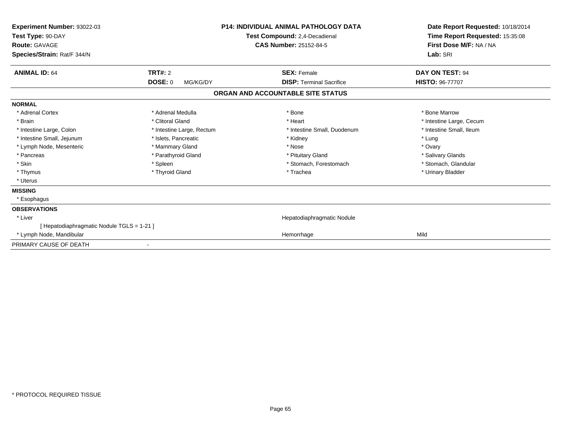| Experiment Number: 93022-03<br>Test Type: 90-DAY<br><b>Route: GAVAGE</b><br>Species/Strain: Rat/F 344/N | <b>P14: INDIVIDUAL ANIMAL PATHOLOGY DATA</b><br>Test Compound: 2,4-Decadienal<br><b>CAS Number: 25152-84-5</b> |                                   | Date Report Requested: 10/18/2014<br>Time Report Requested: 15:35:08<br>First Dose M/F: NA / NA<br>Lab: SRI |
|---------------------------------------------------------------------------------------------------------|----------------------------------------------------------------------------------------------------------------|-----------------------------------|-------------------------------------------------------------------------------------------------------------|
| <b>ANIMAL ID: 64</b>                                                                                    | <b>TRT#: 2</b>                                                                                                 | <b>SEX: Female</b>                | <b>DAY ON TEST: 94</b>                                                                                      |
|                                                                                                         | <b>DOSE: 0</b><br>MG/KG/DY                                                                                     | <b>DISP: Terminal Sacrifice</b>   | <b>HISTO: 96-77707</b>                                                                                      |
|                                                                                                         |                                                                                                                | ORGAN AND ACCOUNTABLE SITE STATUS |                                                                                                             |
| <b>NORMAL</b>                                                                                           |                                                                                                                |                                   |                                                                                                             |
| * Adrenal Cortex                                                                                        | * Adrenal Medulla                                                                                              | * Bone                            | * Bone Marrow                                                                                               |
| * Brain                                                                                                 | * Clitoral Gland                                                                                               | * Heart                           | * Intestine Large, Cecum                                                                                    |
| * Intestine Large, Colon                                                                                | * Intestine Large, Rectum                                                                                      | * Intestine Small, Duodenum       | * Intestine Small, Ileum                                                                                    |
| * Intestine Small, Jejunum                                                                              | * Islets, Pancreatic                                                                                           | * Kidney                          | * Lung                                                                                                      |
| * Lymph Node, Mesenteric                                                                                | * Mammary Gland                                                                                                | * Nose                            | * Ovary                                                                                                     |
| * Pancreas                                                                                              | * Parathyroid Gland                                                                                            | * Pituitary Gland                 | * Salivary Glands                                                                                           |
| * Skin                                                                                                  | * Spleen                                                                                                       | * Stomach, Forestomach            | * Stomach, Glandular                                                                                        |
| * Thymus                                                                                                | * Thyroid Gland                                                                                                | * Trachea                         | * Urinary Bladder                                                                                           |
| * Uterus                                                                                                |                                                                                                                |                                   |                                                                                                             |
| <b>MISSING</b>                                                                                          |                                                                                                                |                                   |                                                                                                             |
| * Esophagus                                                                                             |                                                                                                                |                                   |                                                                                                             |
| <b>OBSERVATIONS</b>                                                                                     |                                                                                                                |                                   |                                                                                                             |
| * Liver                                                                                                 |                                                                                                                | Hepatodiaphragmatic Nodule        |                                                                                                             |
| [ Hepatodiaphragmatic Nodule TGLS = 1-21 ]                                                              |                                                                                                                |                                   |                                                                                                             |
| * Lymph Node, Mandibular                                                                                |                                                                                                                | Hemorrhage                        | Mild                                                                                                        |
| PRIMARY CAUSE OF DEATH                                                                                  |                                                                                                                |                                   |                                                                                                             |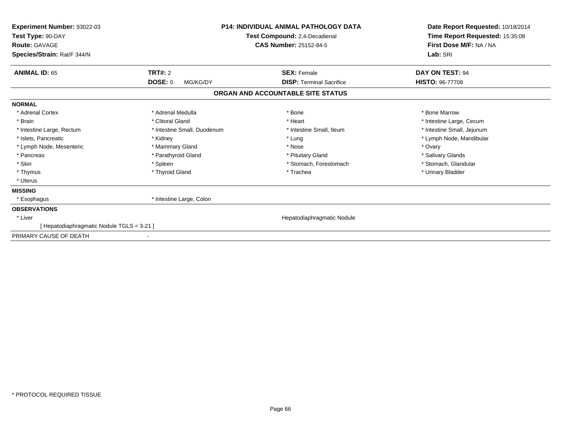| <b>Experiment Number: 93022-03</b><br>Test Type: 90-DAY<br><b>Route: GAVAGE</b><br>Species/Strain: Rat/F 344/N | <b>P14: INDIVIDUAL ANIMAL PATHOLOGY DATA</b><br>Test Compound: 2,4-Decadienal<br><b>CAS Number: 25152-84-5</b> |                                   | Date Report Requested: 10/18/2014<br>Time Report Requested: 15:35:08<br>First Dose M/F: NA / NA<br>Lab: SRI |  |
|----------------------------------------------------------------------------------------------------------------|----------------------------------------------------------------------------------------------------------------|-----------------------------------|-------------------------------------------------------------------------------------------------------------|--|
| <b>ANIMAL ID: 65</b>                                                                                           | <b>TRT#: 2</b>                                                                                                 | <b>SEX: Female</b>                | DAY ON TEST: 94                                                                                             |  |
|                                                                                                                | <b>DOSE: 0</b><br>MG/KG/DY                                                                                     | <b>DISP: Terminal Sacrifice</b>   | <b>HISTO: 96-77708</b>                                                                                      |  |
|                                                                                                                |                                                                                                                | ORGAN AND ACCOUNTABLE SITE STATUS |                                                                                                             |  |
| <b>NORMAL</b>                                                                                                  |                                                                                                                |                                   |                                                                                                             |  |
| * Adrenal Cortex                                                                                               | * Adrenal Medulla                                                                                              | * Bone                            | * Bone Marrow                                                                                               |  |
| * Brain                                                                                                        | * Clitoral Gland                                                                                               | * Heart                           | * Intestine Large, Cecum                                                                                    |  |
| * Intestine Large, Rectum                                                                                      | * Intestine Small, Duodenum                                                                                    | * Intestine Small, Ileum          | * Intestine Small, Jejunum                                                                                  |  |
| * Islets, Pancreatic                                                                                           | * Kidney                                                                                                       | * Lung                            | * Lymph Node, Mandibular                                                                                    |  |
| * Lymph Node, Mesenteric                                                                                       | * Mammary Gland                                                                                                | * Nose                            | * Ovary                                                                                                     |  |
| * Pancreas                                                                                                     | * Parathyroid Gland                                                                                            | * Pituitary Gland                 | * Salivary Glands                                                                                           |  |
| * Skin                                                                                                         | * Spleen                                                                                                       | * Stomach, Forestomach            | * Stomach, Glandular                                                                                        |  |
| * Thymus                                                                                                       | * Thyroid Gland                                                                                                | * Trachea                         | * Urinary Bladder                                                                                           |  |
| * Uterus                                                                                                       |                                                                                                                |                                   |                                                                                                             |  |
| <b>MISSING</b>                                                                                                 |                                                                                                                |                                   |                                                                                                             |  |
| * Esophagus                                                                                                    | * Intestine Large, Colon                                                                                       |                                   |                                                                                                             |  |
| <b>OBSERVATIONS</b>                                                                                            |                                                                                                                |                                   |                                                                                                             |  |
| * Liver                                                                                                        |                                                                                                                | Hepatodiaphragmatic Nodule        |                                                                                                             |  |
| [Hepatodiaphragmatic Nodule TGLS = 3-21]                                                                       |                                                                                                                |                                   |                                                                                                             |  |
| PRIMARY CAUSE OF DEATH                                                                                         | $\overline{\phantom{a}}$                                                                                       |                                   |                                                                                                             |  |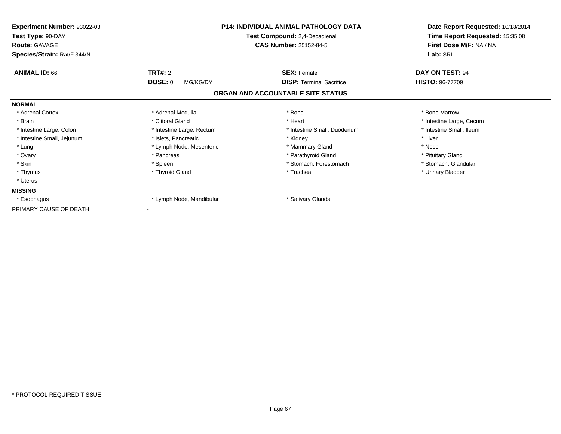| <b>Experiment Number: 93022-03</b><br>Test Type: 90-DAY<br><b>Route: GAVAGE</b><br>Species/Strain: Rat/F 344/N |                            | <b>P14: INDIVIDUAL ANIMAL PATHOLOGY DATA</b><br>Test Compound: 2,4-Decadienal<br><b>CAS Number: 25152-84-5</b> | Date Report Requested: 10/18/2014<br>Time Report Requested: 15:35:08<br>First Dose M/F: NA / NA<br>Lab: SRI |
|----------------------------------------------------------------------------------------------------------------|----------------------------|----------------------------------------------------------------------------------------------------------------|-------------------------------------------------------------------------------------------------------------|
| <b>ANIMAL ID: 66</b>                                                                                           | TRT#: 2                    | <b>SEX: Female</b>                                                                                             | DAY ON TEST: 94                                                                                             |
|                                                                                                                | <b>DOSE: 0</b><br>MG/KG/DY | <b>DISP:</b> Terminal Sacrifice                                                                                | <b>HISTO: 96-77709</b>                                                                                      |
|                                                                                                                |                            | ORGAN AND ACCOUNTABLE SITE STATUS                                                                              |                                                                                                             |
| <b>NORMAL</b>                                                                                                  |                            |                                                                                                                |                                                                                                             |
| * Adrenal Cortex                                                                                               | * Adrenal Medulla          | * Bone                                                                                                         | * Bone Marrow                                                                                               |
| * Brain                                                                                                        | * Clitoral Gland           | * Heart                                                                                                        | * Intestine Large, Cecum                                                                                    |
| * Intestine Large, Colon                                                                                       | * Intestine Large, Rectum  | * Intestine Small, Duodenum                                                                                    | * Intestine Small, Ileum                                                                                    |
| * Intestine Small, Jejunum                                                                                     | * Islets, Pancreatic       | * Kidney                                                                                                       | * Liver                                                                                                     |
| * Lung                                                                                                         | * Lymph Node, Mesenteric   | * Mammary Gland                                                                                                | * Nose                                                                                                      |
| * Ovary                                                                                                        | * Pancreas                 | * Parathyroid Gland                                                                                            | * Pituitary Gland                                                                                           |
| * Skin                                                                                                         | * Spleen                   | * Stomach, Forestomach                                                                                         | * Stomach, Glandular                                                                                        |
| * Thymus                                                                                                       | * Thyroid Gland            | * Trachea                                                                                                      | * Urinary Bladder                                                                                           |
| * Uterus                                                                                                       |                            |                                                                                                                |                                                                                                             |
| <b>MISSING</b>                                                                                                 |                            |                                                                                                                |                                                                                                             |
| * Esophagus                                                                                                    | * Lymph Node, Mandibular   | * Salivary Glands                                                                                              |                                                                                                             |
| PRIMARY CAUSE OF DEATH                                                                                         |                            |                                                                                                                |                                                                                                             |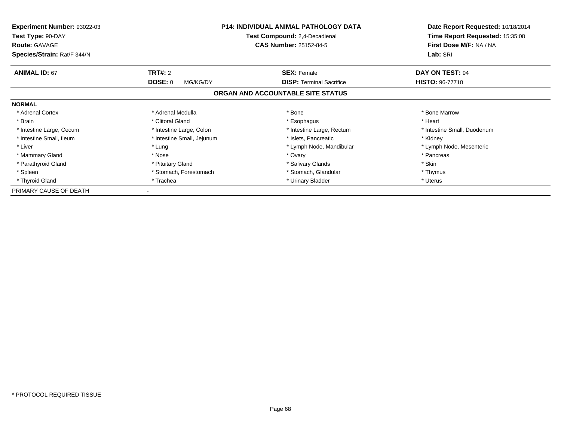| <b>Experiment Number: 93022-03</b><br>Test Type: 90-DAY<br><b>Route: GAVAGE</b> | <b>P14: INDIVIDUAL ANIMAL PATHOLOGY DATA</b><br>Test Compound: 2,4-Decadienal<br><b>CAS Number: 25152-84-5</b> |                                   | Date Report Requested: 10/18/2014<br>Time Report Requested: 15:35:08<br>First Dose M/F: NA / NA |
|---------------------------------------------------------------------------------|----------------------------------------------------------------------------------------------------------------|-----------------------------------|-------------------------------------------------------------------------------------------------|
| Species/Strain: Rat/F 344/N                                                     |                                                                                                                |                                   | Lab: SRI                                                                                        |
| <b>ANIMAL ID: 67</b>                                                            | <b>TRT#: 2</b>                                                                                                 | <b>SEX: Female</b>                | DAY ON TEST: 94                                                                                 |
|                                                                                 | DOSE: 0<br>MG/KG/DY                                                                                            | <b>DISP:</b> Terminal Sacrifice   | <b>HISTO: 96-77710</b>                                                                          |
|                                                                                 |                                                                                                                | ORGAN AND ACCOUNTABLE SITE STATUS |                                                                                                 |
| <b>NORMAL</b>                                                                   |                                                                                                                |                                   |                                                                                                 |
| * Adrenal Cortex                                                                | * Adrenal Medulla                                                                                              | * Bone                            | * Bone Marrow                                                                                   |
| * Brain                                                                         | * Clitoral Gland                                                                                               | * Esophagus                       | * Heart                                                                                         |
| * Intestine Large, Cecum                                                        | * Intestine Large, Colon                                                                                       | * Intestine Large, Rectum         | * Intestine Small, Duodenum                                                                     |
| * Intestine Small, Ileum                                                        | * Intestine Small, Jejunum                                                                                     | * Islets, Pancreatic              | * Kidney                                                                                        |
| * Liver                                                                         | * Lung                                                                                                         | * Lymph Node, Mandibular          | * Lymph Node, Mesenteric                                                                        |
| * Mammary Gland                                                                 | * Nose                                                                                                         | * Ovary                           | * Pancreas                                                                                      |
| * Parathyroid Gland                                                             | * Pituitary Gland                                                                                              | * Salivary Glands                 | * Skin                                                                                          |
| * Spleen                                                                        | * Stomach, Forestomach                                                                                         | * Stomach, Glandular              | * Thymus                                                                                        |
| * Thyroid Gland                                                                 | * Trachea                                                                                                      | * Urinary Bladder                 | * Uterus                                                                                        |
| PRIMARY CAUSE OF DEATH                                                          |                                                                                                                |                                   |                                                                                                 |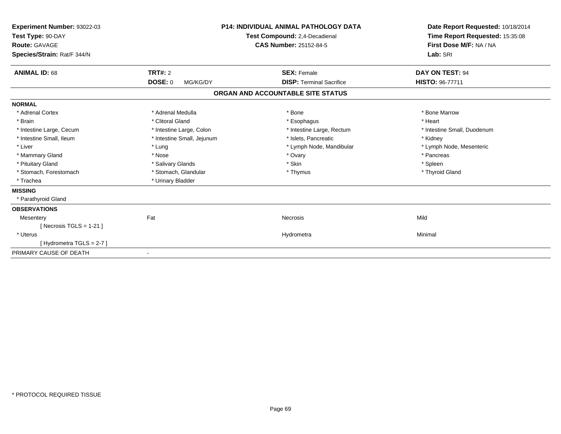| Experiment Number: 93022-03<br>Test Type: 90-DAY<br>Route: GAVAGE<br>Species/Strain: Rat/F 344/N | <b>P14: INDIVIDUAL ANIMAL PATHOLOGY DATA</b><br>Test Compound: 2,4-Decadienal<br><b>CAS Number: 25152-84-5</b> |                                   | Date Report Requested: 10/18/2014<br>Time Report Requested: 15:35:08<br>First Dose M/F: NA / NA<br>Lab: SRI |  |
|--------------------------------------------------------------------------------------------------|----------------------------------------------------------------------------------------------------------------|-----------------------------------|-------------------------------------------------------------------------------------------------------------|--|
| <b>ANIMAL ID: 68</b>                                                                             | TRT#: 2                                                                                                        | <b>SEX: Female</b>                | DAY ON TEST: 94                                                                                             |  |
|                                                                                                  | <b>DOSE: 0</b><br>MG/KG/DY                                                                                     | <b>DISP: Terminal Sacrifice</b>   | HISTO: 96-77711                                                                                             |  |
|                                                                                                  |                                                                                                                | ORGAN AND ACCOUNTABLE SITE STATUS |                                                                                                             |  |
| <b>NORMAL</b>                                                                                    |                                                                                                                |                                   |                                                                                                             |  |
| * Adrenal Cortex                                                                                 | * Adrenal Medulla                                                                                              | * Bone                            | * Bone Marrow                                                                                               |  |
| * Brain                                                                                          | * Clitoral Gland                                                                                               | * Esophagus                       | * Heart                                                                                                     |  |
| * Intestine Large, Cecum                                                                         | * Intestine Large, Colon                                                                                       | * Intestine Large, Rectum         | * Intestine Small, Duodenum                                                                                 |  |
| * Intestine Small, Ileum                                                                         | * Intestine Small, Jejunum                                                                                     | * Islets, Pancreatic              | * Kidney                                                                                                    |  |
| * Liver                                                                                          | * Lung                                                                                                         | * Lymph Node, Mandibular          | * Lymph Node, Mesenteric                                                                                    |  |
| * Mammary Gland                                                                                  | * Nose                                                                                                         | * Ovary                           | * Pancreas                                                                                                  |  |
| * Pituitary Gland                                                                                | * Salivary Glands                                                                                              | * Skin                            | * Spleen                                                                                                    |  |
| * Stomach, Forestomach                                                                           | * Stomach, Glandular                                                                                           | * Thymus                          | * Thyroid Gland                                                                                             |  |
| * Trachea                                                                                        | * Urinary Bladder                                                                                              |                                   |                                                                                                             |  |
| <b>MISSING</b>                                                                                   |                                                                                                                |                                   |                                                                                                             |  |
| * Parathyroid Gland                                                                              |                                                                                                                |                                   |                                                                                                             |  |
| <b>OBSERVATIONS</b>                                                                              |                                                                                                                |                                   |                                                                                                             |  |
| Mesentery                                                                                        | Fat                                                                                                            | Necrosis                          | Mild                                                                                                        |  |
| [Necrosis TGLS = $1-21$ ]                                                                        |                                                                                                                |                                   |                                                                                                             |  |
| * Uterus                                                                                         |                                                                                                                | Hydrometra                        | Minimal                                                                                                     |  |
| [Hydrometra TGLS = 2-7]                                                                          |                                                                                                                |                                   |                                                                                                             |  |
| PRIMARY CAUSE OF DEATH                                                                           | $\overline{\phantom{a}}$                                                                                       |                                   |                                                                                                             |  |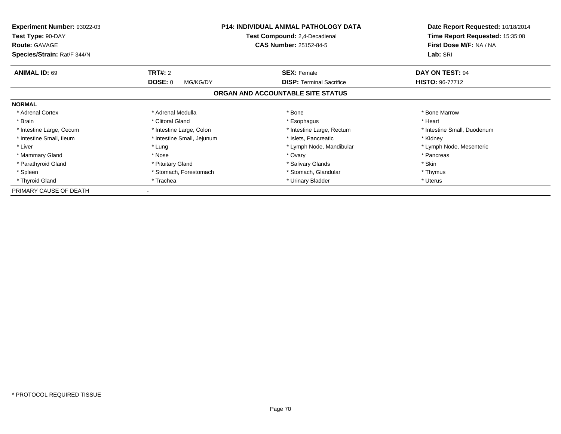| <b>Experiment Number: 93022-03</b><br>Test Type: 90-DAY<br><b>Route: GAVAGE</b> | <b>P14: INDIVIDUAL ANIMAL PATHOLOGY DATA</b><br>Test Compound: 2,4-Decadienal<br><b>CAS Number: 25152-84-5</b> |                                   | Date Report Requested: 10/18/2014<br>Time Report Requested: 15:35:08<br>First Dose M/F: NA / NA |
|---------------------------------------------------------------------------------|----------------------------------------------------------------------------------------------------------------|-----------------------------------|-------------------------------------------------------------------------------------------------|
| Species/Strain: Rat/F 344/N                                                     |                                                                                                                |                                   | Lab: SRI                                                                                        |
| <b>ANIMAL ID: 69</b>                                                            | <b>TRT#: 2</b>                                                                                                 | <b>SEX: Female</b>                | DAY ON TEST: 94                                                                                 |
|                                                                                 | DOSE: 0<br>MG/KG/DY                                                                                            | <b>DISP:</b> Terminal Sacrifice   | <b>HISTO: 96-77712</b>                                                                          |
|                                                                                 |                                                                                                                | ORGAN AND ACCOUNTABLE SITE STATUS |                                                                                                 |
| <b>NORMAL</b>                                                                   |                                                                                                                |                                   |                                                                                                 |
| * Adrenal Cortex                                                                | * Adrenal Medulla                                                                                              | * Bone                            | * Bone Marrow                                                                                   |
| * Brain                                                                         | * Clitoral Gland                                                                                               | * Esophagus                       | * Heart                                                                                         |
| * Intestine Large, Cecum                                                        | * Intestine Large, Colon                                                                                       | * Intestine Large, Rectum         | * Intestine Small, Duodenum                                                                     |
| * Intestine Small, Ileum                                                        | * Intestine Small, Jejunum                                                                                     | * Islets, Pancreatic              | * Kidney                                                                                        |
| * Liver                                                                         | * Lung                                                                                                         | * Lymph Node, Mandibular          | * Lymph Node, Mesenteric                                                                        |
| * Mammary Gland                                                                 | * Nose                                                                                                         | * Ovary                           | * Pancreas                                                                                      |
| * Parathyroid Gland                                                             | * Pituitary Gland                                                                                              | * Salivary Glands                 | * Skin                                                                                          |
| * Spleen                                                                        | * Stomach, Forestomach                                                                                         | * Stomach, Glandular              | * Thymus                                                                                        |
| * Thyroid Gland                                                                 | * Trachea                                                                                                      | * Urinary Bladder                 | * Uterus                                                                                        |
| PRIMARY CAUSE OF DEATH                                                          |                                                                                                                |                                   |                                                                                                 |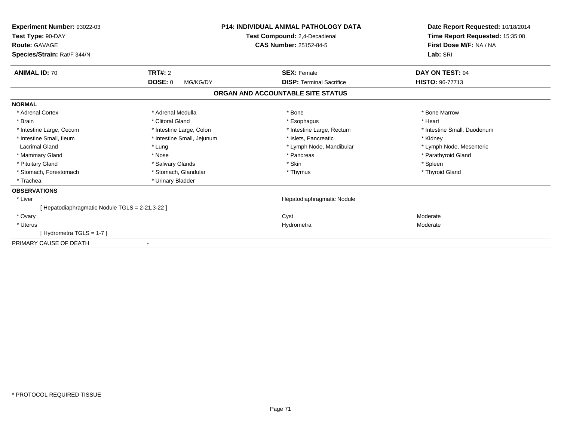| Experiment Number: 93022-03<br>Test Type: 90-DAY<br><b>Route: GAVAGE</b><br>Species/Strain: Rat/F 344/N |                            | <b>P14: INDIVIDUAL ANIMAL PATHOLOGY DATA</b><br>Test Compound: 2,4-Decadienal<br><b>CAS Number: 25152-84-5</b> | Date Report Requested: 10/18/2014<br>Time Report Requested: 15:35:08<br>First Dose M/F: NA / NA<br>Lab: SRI |
|---------------------------------------------------------------------------------------------------------|----------------------------|----------------------------------------------------------------------------------------------------------------|-------------------------------------------------------------------------------------------------------------|
| <b>ANIMAL ID: 70</b>                                                                                    | <b>TRT#: 2</b>             | <b>SEX: Female</b>                                                                                             | DAY ON TEST: 94                                                                                             |
|                                                                                                         | <b>DOSE: 0</b><br>MG/KG/DY | <b>DISP: Terminal Sacrifice</b>                                                                                | <b>HISTO: 96-77713</b>                                                                                      |
|                                                                                                         |                            | ORGAN AND ACCOUNTABLE SITE STATUS                                                                              |                                                                                                             |
| <b>NORMAL</b>                                                                                           |                            |                                                                                                                |                                                                                                             |
| * Adrenal Cortex                                                                                        | * Adrenal Medulla          | * Bone                                                                                                         | * Bone Marrow                                                                                               |
| * Brain                                                                                                 | * Clitoral Gland           | * Esophagus                                                                                                    | * Heart                                                                                                     |
| * Intestine Large, Cecum                                                                                | * Intestine Large, Colon   | * Intestine Large, Rectum                                                                                      | * Intestine Small, Duodenum                                                                                 |
| * Intestine Small. Ileum                                                                                | * Intestine Small, Jejunum | * Islets. Pancreatic                                                                                           | * Kidney                                                                                                    |
| <b>Lacrimal Gland</b>                                                                                   | * Lung                     | * Lymph Node, Mandibular                                                                                       | * Lymph Node, Mesenteric                                                                                    |
| * Mammary Gland                                                                                         | * Nose                     | * Pancreas                                                                                                     | * Parathyroid Gland                                                                                         |
| * Pituitary Gland                                                                                       | * Salivary Glands          | * Skin                                                                                                         | * Spleen                                                                                                    |
| * Stomach, Forestomach                                                                                  | * Stomach, Glandular       | * Thymus                                                                                                       | * Thyroid Gland                                                                                             |
| * Trachea                                                                                               | * Urinary Bladder          |                                                                                                                |                                                                                                             |
| <b>OBSERVATIONS</b>                                                                                     |                            |                                                                                                                |                                                                                                             |
| * Liver                                                                                                 |                            | Hepatodiaphragmatic Nodule                                                                                     |                                                                                                             |
| [ Hepatodiaphragmatic Nodule TGLS = 2-21,3-22 ]                                                         |                            |                                                                                                                |                                                                                                             |
| * Ovary                                                                                                 |                            | Cyst                                                                                                           | Moderate                                                                                                    |
| * Uterus                                                                                                |                            | Hydrometra                                                                                                     | Moderate                                                                                                    |
| [Hydrometra TGLS = 1-7]                                                                                 |                            |                                                                                                                |                                                                                                             |
| PRIMARY CAUSE OF DEATH                                                                                  |                            |                                                                                                                |                                                                                                             |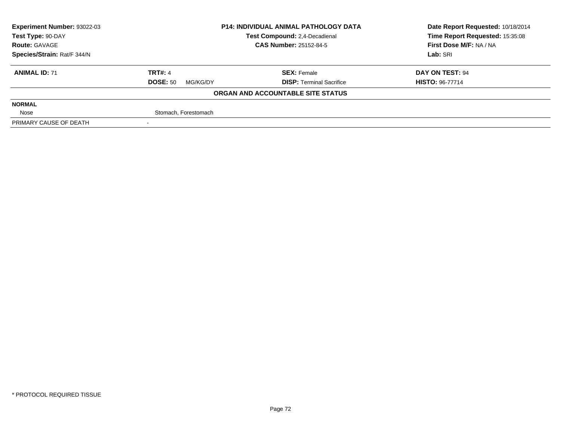| Experiment Number: 93022-03 | <b>P14: INDIVIDUAL ANIMAL PATHOLOGY DATA</b><br>Test Compound: 2,4-Decadienal<br><b>CAS Number: 25152-84-5</b> |                                   | Date Report Requested: 10/18/2014 |  |
|-----------------------------|----------------------------------------------------------------------------------------------------------------|-----------------------------------|-----------------------------------|--|
| Test Type: 90-DAY           |                                                                                                                |                                   | Time Report Requested: 15:35:08   |  |
| <b>Route: GAVAGE</b>        |                                                                                                                |                                   | First Dose M/F: NA / NA           |  |
| Species/Strain: Rat/F 344/N |                                                                                                                |                                   | Lab: SRI                          |  |
| <b>ANIMAL ID: 71</b>        | <b>TRT#: 4</b>                                                                                                 | <b>SEX: Female</b>                | DAY ON TEST: 94                   |  |
|                             | <b>DOSE: 50</b><br>MG/KG/DY                                                                                    | <b>DISP: Terminal Sacrifice</b>   | <b>HISTO: 96-77714</b>            |  |
|                             |                                                                                                                | ORGAN AND ACCOUNTABLE SITE STATUS |                                   |  |
| <b>NORMAL</b>               |                                                                                                                |                                   |                                   |  |
| Nose                        | Stomach, Forestomach                                                                                           |                                   |                                   |  |
| PRIMARY CAUSE OF DEATH      |                                                                                                                |                                   |                                   |  |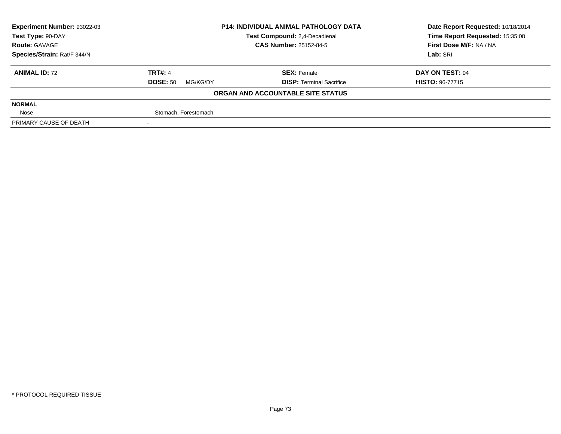| <b>Experiment Number: 93022-03</b>                 | <b>P14: INDIVIDUAL ANIMAL PATHOLOGY DATA</b> |                                   | Date Report Requested: 10/18/2014 |
|----------------------------------------------------|----------------------------------------------|-----------------------------------|-----------------------------------|
| Test Compound: 2,4-Decadienal<br>Test Type: 90-DAY |                                              |                                   | Time Report Requested: 15:35:08   |
| <b>Route: GAVAGE</b>                               |                                              | <b>CAS Number: 25152-84-5</b>     | First Dose M/F: NA / NA           |
| Species/Strain: Rat/F 344/N                        |                                              |                                   | Lab: SRI                          |
| <b>ANIMAL ID: 72</b>                               | <b>TRT#: 4</b>                               | <b>SEX: Female</b>                | DAY ON TEST: 94                   |
|                                                    | <b>DOSE: 50</b><br>MG/KG/DY                  | <b>DISP:</b> Terminal Sacrifice   | <b>HISTO: 96-77715</b>            |
|                                                    |                                              | ORGAN AND ACCOUNTABLE SITE STATUS |                                   |
| <b>NORMAL</b>                                      |                                              |                                   |                                   |
| Nose                                               | Stomach, Forestomach                         |                                   |                                   |
| PRIMARY CAUSE OF DEATH                             |                                              |                                   |                                   |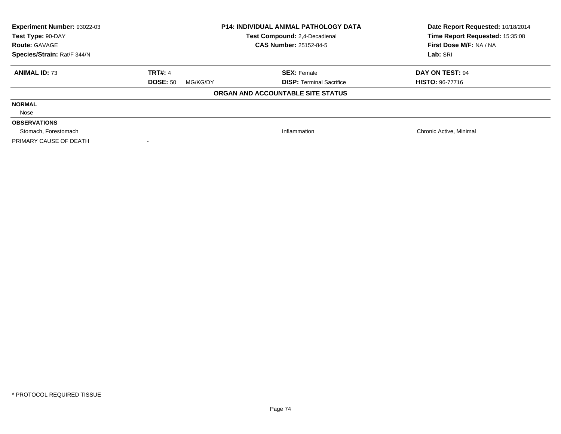| <b>Experiment Number: 93022-03</b><br>Test Type: 90-DAY<br><b>Route: GAVAGE</b><br>Species/Strain: Rat/F 344/N | <b>P14: INDIVIDUAL ANIMAL PATHOLOGY DATA</b><br>Test Compound: 2,4-Decadienal<br><b>CAS Number: 25152-84-5</b> |                                   | Date Report Requested: 10/18/2014<br>Time Report Requested: 15:35:08<br>First Dose M/F: NA / NA<br>Lab: SRI |
|----------------------------------------------------------------------------------------------------------------|----------------------------------------------------------------------------------------------------------------|-----------------------------------|-------------------------------------------------------------------------------------------------------------|
|                                                                                                                |                                                                                                                |                                   |                                                                                                             |
| <b>ANIMAL ID: 73</b>                                                                                           | <b>TRT#: 4</b>                                                                                                 | <b>SEX: Female</b>                | <b>DAY ON TEST: 94</b>                                                                                      |
|                                                                                                                | <b>DOSE: 50</b><br>MG/KG/DY                                                                                    | <b>DISP: Terminal Sacrifice</b>   | <b>HISTO: 96-77716</b>                                                                                      |
|                                                                                                                |                                                                                                                | ORGAN AND ACCOUNTABLE SITE STATUS |                                                                                                             |
| <b>NORMAL</b>                                                                                                  |                                                                                                                |                                   |                                                                                                             |
| Nose                                                                                                           |                                                                                                                |                                   |                                                                                                             |
| <b>OBSERVATIONS</b>                                                                                            |                                                                                                                |                                   |                                                                                                             |
| Stomach, Forestomach                                                                                           |                                                                                                                | Inflammation                      | Chronic Active, Minimal                                                                                     |
| PRIMARY CAUSE OF DEATH                                                                                         |                                                                                                                |                                   |                                                                                                             |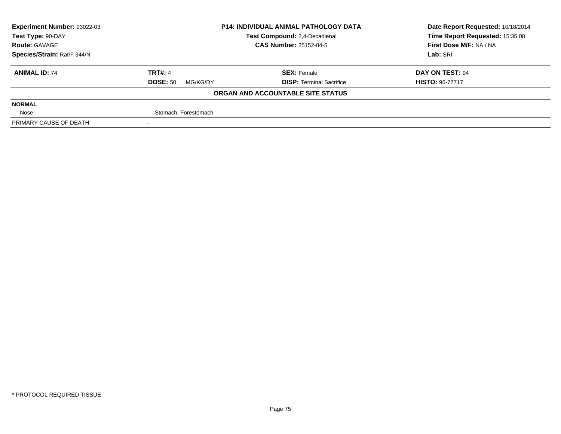| <b>Experiment Number: 93022-03</b> | <b>P14: INDIVIDUAL ANIMAL PATHOLOGY DATA</b> |                                   | Date Report Requested: 10/18/2014 |  |
|------------------------------------|----------------------------------------------|-----------------------------------|-----------------------------------|--|
| Test Type: 90-DAY                  |                                              | Test Compound: 2,4-Decadienal     | Time Report Requested: 15:35:08   |  |
| <b>Route: GAVAGE</b>               |                                              | <b>CAS Number: 25152-84-5</b>     | First Dose M/F: NA / NA           |  |
| Species/Strain: Rat/F 344/N        |                                              |                                   | Lab: SRI                          |  |
| <b>ANIMAL ID: 74</b>               | <b>TRT#: 4</b>                               | <b>SEX: Female</b>                | DAY ON TEST: 94                   |  |
|                                    | <b>DOSE: 50</b><br>MG/KG/DY                  | <b>DISP:</b> Terminal Sacrifice   | <b>HISTO: 96-77717</b>            |  |
|                                    |                                              | ORGAN AND ACCOUNTABLE SITE STATUS |                                   |  |
| <b>NORMAL</b>                      |                                              |                                   |                                   |  |
| Nose                               | Stomach, Forestomach                         |                                   |                                   |  |
| PRIMARY CAUSE OF DEATH             |                                              |                                   |                                   |  |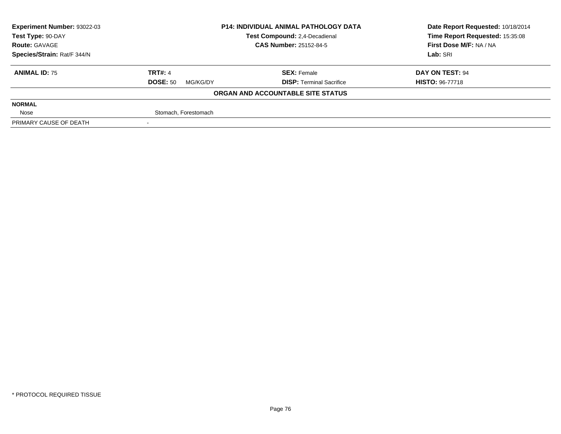| <b>Experiment Number: 93022-03</b> | <b>P14: INDIVIDUAL ANIMAL PATHOLOGY DATA</b> |                                   | Date Report Requested: 10/18/2014 |  |
|------------------------------------|----------------------------------------------|-----------------------------------|-----------------------------------|--|
| Test Type: 90-DAY                  |                                              | Test Compound: 2,4-Decadienal     | Time Report Requested: 15:35:08   |  |
| <b>Route: GAVAGE</b>               |                                              | <b>CAS Number: 25152-84-5</b>     | First Dose M/F: NA / NA           |  |
| Species/Strain: Rat/F 344/N        |                                              |                                   | Lab: SRI                          |  |
| <b>ANIMAL ID: 75</b>               | <b>TRT#: 4</b>                               | <b>SEX: Female</b>                | DAY ON TEST: 94                   |  |
|                                    | <b>DOSE: 50</b><br>MG/KG/DY                  | <b>DISP: Terminal Sacrifice</b>   | <b>HISTO: 96-77718</b>            |  |
|                                    |                                              | ORGAN AND ACCOUNTABLE SITE STATUS |                                   |  |
| <b>NORMAL</b>                      |                                              |                                   |                                   |  |
| Nose                               | Stomach, Forestomach                         |                                   |                                   |  |
| PRIMARY CAUSE OF DEATH             |                                              |                                   |                                   |  |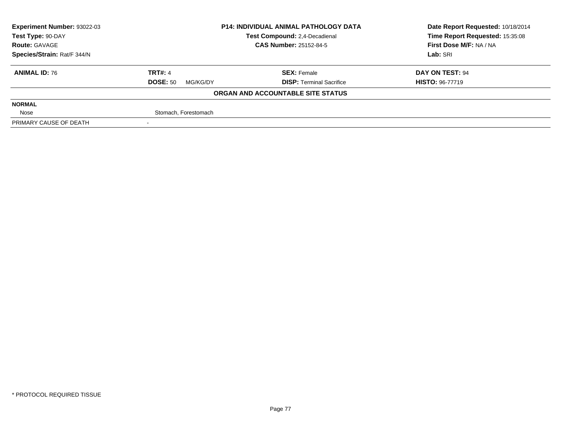| <b>Experiment Number: 93022-03</b> | <b>P14: INDIVIDUAL ANIMAL PATHOLOGY DATA</b> |                                   | Date Report Requested: 10/18/2014 |  |
|------------------------------------|----------------------------------------------|-----------------------------------|-----------------------------------|--|
| Test Type: 90-DAY                  |                                              | Test Compound: 2,4-Decadienal     | Time Report Requested: 15:35:08   |  |
| <b>Route: GAVAGE</b>               |                                              | <b>CAS Number: 25152-84-5</b>     | First Dose M/F: NA / NA           |  |
| Species/Strain: Rat/F 344/N        |                                              |                                   | Lab: SRI                          |  |
| <b>ANIMAL ID: 76</b>               | <b>TRT#: 4</b>                               | <b>SEX: Female</b>                | DAY ON TEST: 94                   |  |
|                                    | <b>DOSE: 50</b><br>MG/KG/DY                  | <b>DISP: Terminal Sacrifice</b>   | <b>HISTO: 96-77719</b>            |  |
|                                    |                                              | ORGAN AND ACCOUNTABLE SITE STATUS |                                   |  |
| <b>NORMAL</b>                      |                                              |                                   |                                   |  |
| Nose                               | Stomach, Forestomach                         |                                   |                                   |  |
| PRIMARY CAUSE OF DEATH             |                                              |                                   |                                   |  |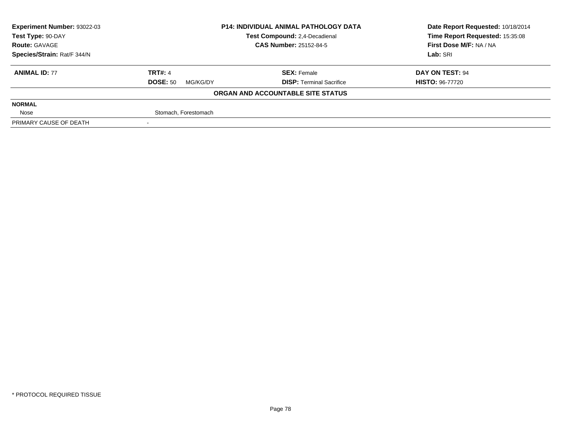| <b>Experiment Number: 93022-03</b><br><b>P14: INDIVIDUAL ANIMAL PATHOLOGY DATA</b> |                             | Date Report Requested: 10/18/2014 |                                 |  |
|------------------------------------------------------------------------------------|-----------------------------|-----------------------------------|---------------------------------|--|
| Test Type: 90-DAY                                                                  |                             | Test Compound: 2,4-Decadienal     | Time Report Requested: 15:35:08 |  |
| <b>Route: GAVAGE</b>                                                               |                             | <b>CAS Number: 25152-84-5</b>     | First Dose M/F: NA / NA         |  |
| Species/Strain: Rat/F 344/N                                                        |                             |                                   | Lab: SRI                        |  |
| <b>ANIMAL ID: 77</b>                                                               | <b>TRT#: 4</b>              | <b>SEX: Female</b>                | DAY ON TEST: 94                 |  |
|                                                                                    | <b>DOSE: 50</b><br>MG/KG/DY | <b>DISP:</b> Terminal Sacrifice   | <b>HISTO: 96-77720</b>          |  |
|                                                                                    |                             | ORGAN AND ACCOUNTABLE SITE STATUS |                                 |  |
| <b>NORMAL</b>                                                                      |                             |                                   |                                 |  |
| Nose                                                                               | Stomach, Forestomach        |                                   |                                 |  |
| PRIMARY CAUSE OF DEATH                                                             |                             |                                   |                                 |  |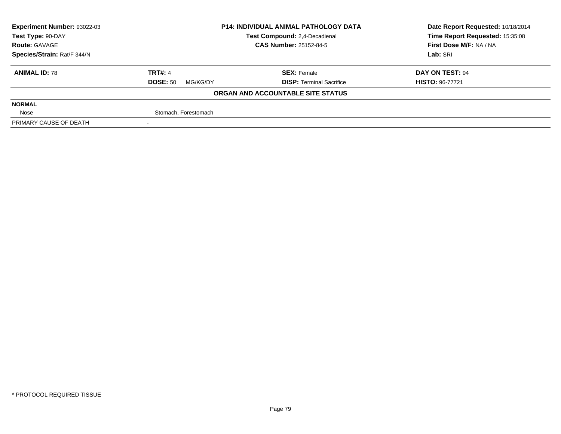| <b>Experiment Number: 93022-03</b> | <b>P14: INDIVIDUAL ANIMAL PATHOLOGY DATA</b> |                                   | Date Report Requested: 10/18/2014 |  |
|------------------------------------|----------------------------------------------|-----------------------------------|-----------------------------------|--|
| Test Type: 90-DAY                  |                                              | Test Compound: 2,4-Decadienal     | Time Report Requested: 15:35:08   |  |
| <b>Route: GAVAGE</b>               |                                              | <b>CAS Number: 25152-84-5</b>     | First Dose M/F: NA / NA           |  |
| Species/Strain: Rat/F 344/N        |                                              |                                   | Lab: SRI                          |  |
| <b>ANIMAL ID: 78</b>               | <b>TRT#: 4</b>                               | <b>SEX: Female</b>                | DAY ON TEST: 94                   |  |
|                                    | <b>DOSE: 50</b><br>MG/KG/DY                  | <b>DISP:</b> Terminal Sacrifice   | <b>HISTO: 96-77721</b>            |  |
|                                    |                                              | ORGAN AND ACCOUNTABLE SITE STATUS |                                   |  |
| <b>NORMAL</b>                      |                                              |                                   |                                   |  |
| Nose                               | Stomach, Forestomach                         |                                   |                                   |  |
| PRIMARY CAUSE OF DEATH             |                                              |                                   |                                   |  |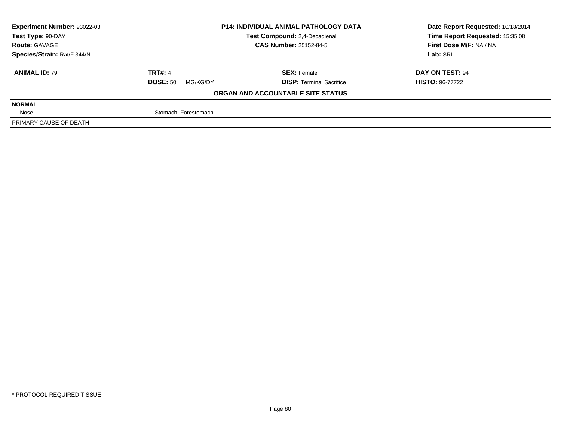| <b>Experiment Number: 93022-03</b> | <b>P14: INDIVIDUAL ANIMAL PATHOLOGY DATA</b> |                                   | Date Report Requested: 10/18/2014 |  |
|------------------------------------|----------------------------------------------|-----------------------------------|-----------------------------------|--|
| Test Type: 90-DAY                  |                                              | Test Compound: 2,4-Decadienal     | Time Report Requested: 15:35:08   |  |
| <b>Route: GAVAGE</b>               |                                              | <b>CAS Number: 25152-84-5</b>     | First Dose M/F: NA / NA           |  |
| Species/Strain: Rat/F 344/N        |                                              |                                   | Lab: SRI                          |  |
| <b>ANIMAL ID: 79</b>               | <b>TRT#: 4</b>                               | <b>SEX: Female</b>                | DAY ON TEST: 94                   |  |
|                                    | <b>DOSE: 50</b><br>MG/KG/DY                  | <b>DISP: Terminal Sacrifice</b>   | <b>HISTO: 96-77722</b>            |  |
|                                    |                                              | ORGAN AND ACCOUNTABLE SITE STATUS |                                   |  |
| <b>NORMAL</b>                      |                                              |                                   |                                   |  |
| Nose                               | Stomach, Forestomach                         |                                   |                                   |  |
| PRIMARY CAUSE OF DEATH             |                                              |                                   |                                   |  |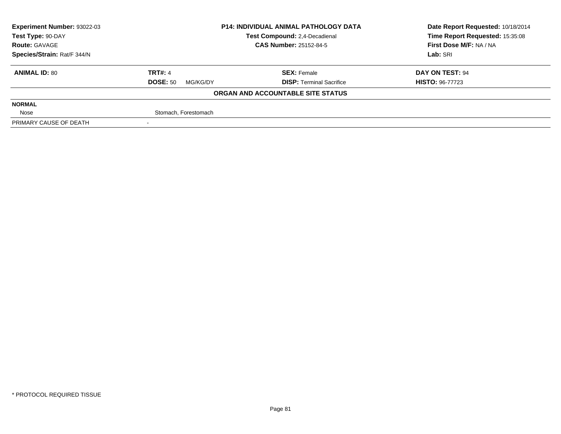| <b>Experiment Number: 93022-03</b> | <b>P14: INDIVIDUAL ANIMAL PATHOLOGY DATA</b><br>Test Compound: 2,4-Decadienal |                                   | Date Report Requested: 10/18/2014 |
|------------------------------------|-------------------------------------------------------------------------------|-----------------------------------|-----------------------------------|
| Test Type: 90-DAY                  |                                                                               |                                   | Time Report Requested: 15:35:08   |
| <b>Route: GAVAGE</b>               |                                                                               | <b>CAS Number: 25152-84-5</b>     | First Dose M/F: NA / NA           |
| Species/Strain: Rat/F 344/N        |                                                                               |                                   | Lab: SRI                          |
| <b>ANIMAL ID: 80</b>               | <b>TRT#: 4</b>                                                                | <b>SEX: Female</b>                | DAY ON TEST: 94                   |
|                                    | <b>DOSE: 50</b><br>MG/KG/DY                                                   | <b>DISP:</b> Terminal Sacrifice   | <b>HISTO: 96-77723</b>            |
|                                    |                                                                               | ORGAN AND ACCOUNTABLE SITE STATUS |                                   |
| <b>NORMAL</b>                      |                                                                               |                                   |                                   |
| Nose                               | Stomach, Forestomach                                                          |                                   |                                   |
| PRIMARY CAUSE OF DEATH             |                                                                               |                                   |                                   |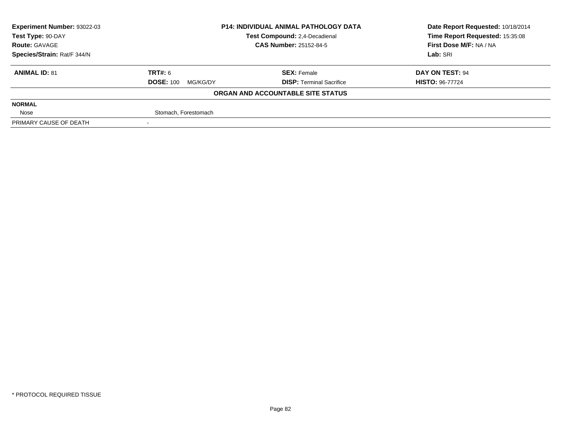| <b>Experiment Number: 93022-03</b> | <b>P14: INDIVIDUAL ANIMAL PATHOLOGY DATA</b><br>Test Compound: 2,4-Decadienal |                                   | Date Report Requested: 10/18/2014 |
|------------------------------------|-------------------------------------------------------------------------------|-----------------------------------|-----------------------------------|
| Test Type: 90-DAY                  |                                                                               |                                   | Time Report Requested: 15:35:08   |
| <b>Route: GAVAGE</b>               |                                                                               | <b>CAS Number: 25152-84-5</b>     | First Dose M/F: NA / NA           |
| Species/Strain: Rat/F 344/N        |                                                                               |                                   | Lab: SRI                          |
| <b>ANIMAL ID: 81</b>               | TRT#: 6                                                                       | <b>SEX: Female</b>                | DAY ON TEST: 94                   |
|                                    | <b>DOSE: 100</b><br>MG/KG/DY                                                  | <b>DISP:</b> Terminal Sacrifice   | <b>HISTO: 96-77724</b>            |
|                                    |                                                                               | ORGAN AND ACCOUNTABLE SITE STATUS |                                   |
| <b>NORMAL</b>                      |                                                                               |                                   |                                   |
| Nose                               | Stomach, Forestomach                                                          |                                   |                                   |
| PRIMARY CAUSE OF DEATH             |                                                                               |                                   |                                   |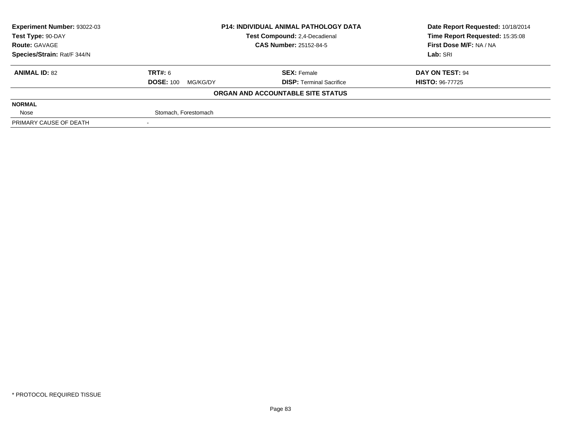| <b>Experiment Number: 93022-03</b> | <b>P14: INDIVIDUAL ANIMAL PATHOLOGY DATA</b><br>Test Compound: 2,4-Decadienal |                                   | Date Report Requested: 10/18/2014 |
|------------------------------------|-------------------------------------------------------------------------------|-----------------------------------|-----------------------------------|
| Test Type: 90-DAY                  |                                                                               |                                   | Time Report Requested: 15:35:08   |
| <b>Route: GAVAGE</b>               |                                                                               | <b>CAS Number: 25152-84-5</b>     | First Dose M/F: NA / NA           |
| Species/Strain: Rat/F 344/N        |                                                                               |                                   | Lab: SRI                          |
| <b>ANIMAL ID: 82</b>               | TRT#: 6                                                                       | <b>SEX: Female</b>                | DAY ON TEST: 94                   |
|                                    | <b>DOSE: 100</b><br>MG/KG/DY                                                  | <b>DISP:</b> Terminal Sacrifice   | <b>HISTO: 96-77725</b>            |
|                                    |                                                                               | ORGAN AND ACCOUNTABLE SITE STATUS |                                   |
| <b>NORMAL</b>                      |                                                                               |                                   |                                   |
| Nose                               | Stomach, Forestomach                                                          |                                   |                                   |
| PRIMARY CAUSE OF DEATH             |                                                                               |                                   |                                   |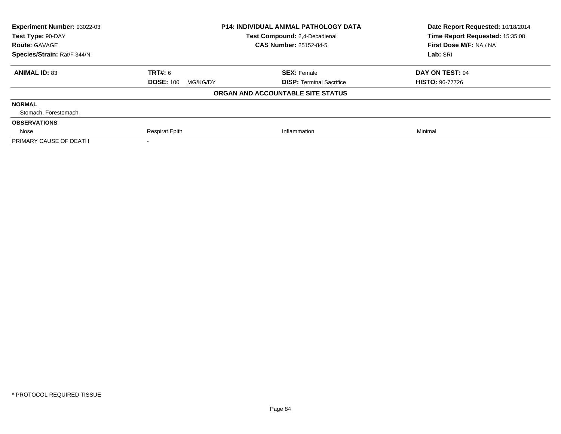| <b>Experiment Number: 93022-03</b> |                              | P14: INDIVIDUAL ANIMAL PATHOLOGY DATA | Date Report Requested: 10/18/2014<br>Time Report Requested: 15:35:08 |
|------------------------------------|------------------------------|---------------------------------------|----------------------------------------------------------------------|
| Test Type: 90-DAY                  |                              | <b>Test Compound: 2.4-Decadienal</b>  |                                                                      |
| <b>Route: GAVAGE</b>               |                              | <b>CAS Number: 25152-84-5</b>         | First Dose M/F: NA / NA                                              |
| Species/Strain: Rat/F 344/N        |                              |                                       |                                                                      |
| <b>ANIMAL ID: 83</b>               | <b>TRT#: 6</b>               | <b>SEX: Female</b>                    | DAY ON TEST: 94                                                      |
|                                    | <b>DOSE: 100</b><br>MG/KG/DY | <b>DISP:</b> Terminal Sacrifice       | <b>HISTO: 96-77726</b>                                               |
|                                    |                              | ORGAN AND ACCOUNTABLE SITE STATUS     |                                                                      |
| <b>NORMAL</b>                      |                              |                                       |                                                                      |
| Stomach, Forestomach               |                              |                                       |                                                                      |
| <b>OBSERVATIONS</b>                |                              |                                       |                                                                      |
| Nose                               | <b>Respirat Epith</b>        | Inflammation                          | Minimal                                                              |
| PRIMARY CAUSE OF DEATH             |                              |                                       |                                                                      |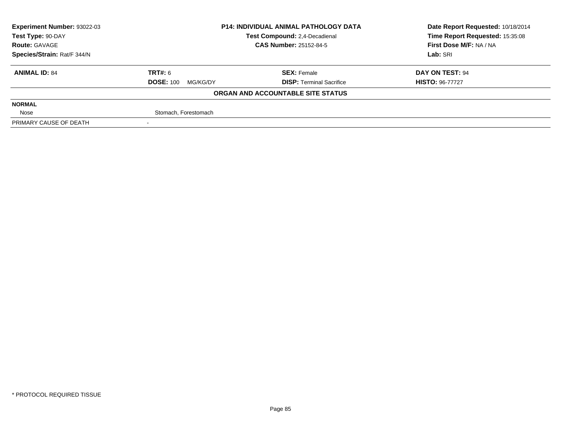| Experiment Number: 93022-03 | <b>P14: INDIVIDUAL ANIMAL PATHOLOGY DATA</b><br>Test Compound: 2,4-Decadienal<br><b>CAS Number: 25152-84-5</b> |                                   | Date Report Requested: 10/18/2014 |  |
|-----------------------------|----------------------------------------------------------------------------------------------------------------|-----------------------------------|-----------------------------------|--|
| Test Type: 90-DAY           |                                                                                                                |                                   | Time Report Requested: 15:35:08   |  |
| <b>Route: GAVAGE</b>        |                                                                                                                |                                   | First Dose M/F: NA / NA           |  |
| Species/Strain: Rat/F 344/N |                                                                                                                |                                   | Lab: SRI                          |  |
| <b>ANIMAL ID: 84</b>        | TRT#: 6                                                                                                        | <b>SEX: Female</b>                | DAY ON TEST: 94                   |  |
|                             | <b>DOSE: 100</b><br>MG/KG/DY                                                                                   | <b>DISP: Terminal Sacrifice</b>   | <b>HISTO: 96-77727</b>            |  |
|                             |                                                                                                                | ORGAN AND ACCOUNTABLE SITE STATUS |                                   |  |
| <b>NORMAL</b>               |                                                                                                                |                                   |                                   |  |
| Nose                        | Stomach, Forestomach                                                                                           |                                   |                                   |  |
| PRIMARY CAUSE OF DEATH      |                                                                                                                |                                   |                                   |  |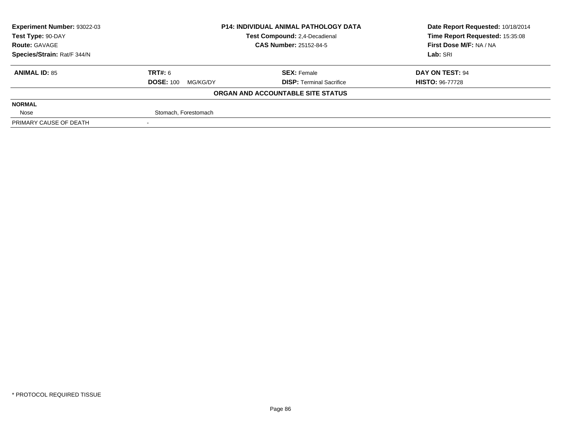| <b>Experiment Number: 93022-03</b> | <b>P14: INDIVIDUAL ANIMAL PATHOLOGY DATA</b><br>Test Compound: 2,4-Decadienal<br><b>CAS Number: 25152-84-5</b> |                                   | Date Report Requested: 10/18/2014 |
|------------------------------------|----------------------------------------------------------------------------------------------------------------|-----------------------------------|-----------------------------------|
| Test Type: 90-DAY                  |                                                                                                                |                                   | Time Report Requested: 15:35:08   |
| <b>Route: GAVAGE</b>               |                                                                                                                |                                   | First Dose M/F: NA / NA           |
| Species/Strain: Rat/F 344/N        |                                                                                                                |                                   | Lab: SRI                          |
| <b>ANIMAL ID: 85</b>               | TRT#: 6                                                                                                        | <b>SEX: Female</b>                | DAY ON TEST: 94                   |
|                                    | <b>DOSE: 100</b><br>MG/KG/DY                                                                                   | <b>DISP:</b> Terminal Sacrifice   | <b>HISTO: 96-77728</b>            |
|                                    |                                                                                                                | ORGAN AND ACCOUNTABLE SITE STATUS |                                   |
| <b>NORMAL</b>                      |                                                                                                                |                                   |                                   |
| Nose                               | Stomach, Forestomach                                                                                           |                                   |                                   |
| PRIMARY CAUSE OF DEATH             |                                                                                                                |                                   |                                   |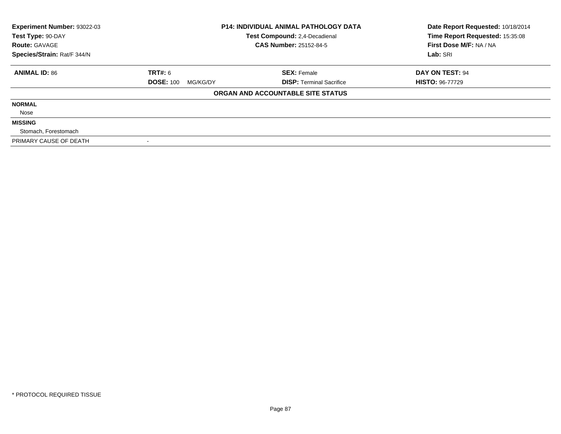| Experiment Number: 93022-03<br>Test Type: 90-DAY | <b>P14: INDIVIDUAL ANIMAL PATHOLOGY DATA</b><br>Test Compound: 2,4-Decadienal |                                   | Date Report Requested: 10/18/2014<br>Time Report Requested: 15:35:08 |
|--------------------------------------------------|-------------------------------------------------------------------------------|-----------------------------------|----------------------------------------------------------------------|
| <b>Route: GAVAGE</b>                             |                                                                               | <b>CAS Number: 25152-84-5</b>     | First Dose M/F: NA / NA                                              |
| Species/Strain: Rat/F 344/N                      |                                                                               |                                   | Lab: SRI                                                             |
| <b>ANIMAL ID: 86</b>                             | <b>TRT#: 6</b>                                                                | <b>SEX: Female</b>                | <b>DAY ON TEST: 94</b>                                               |
|                                                  | <b>DOSE: 100</b><br>MG/KG/DY                                                  | <b>DISP: Terminal Sacrifice</b>   | <b>HISTO: 96-77729</b>                                               |
|                                                  |                                                                               | ORGAN AND ACCOUNTABLE SITE STATUS |                                                                      |
| <b>NORMAL</b>                                    |                                                                               |                                   |                                                                      |
| Nose                                             |                                                                               |                                   |                                                                      |
| <b>MISSING</b>                                   |                                                                               |                                   |                                                                      |
| Stomach, Forestomach                             |                                                                               |                                   |                                                                      |
| PRIMARY CAUSE OF DEATH                           |                                                                               |                                   |                                                                      |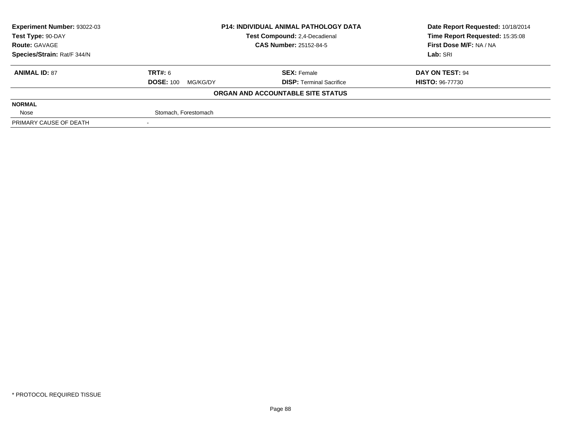| <b>Experiment Number: 93022-03</b> | <b>P14: INDIVIDUAL ANIMAL PATHOLOGY DATA</b><br>Test Compound: 2,4-Decadienal<br><b>CAS Number: 25152-84-5</b> |                                   | Date Report Requested: 10/18/2014 |  |
|------------------------------------|----------------------------------------------------------------------------------------------------------------|-----------------------------------|-----------------------------------|--|
| Test Type: 90-DAY                  |                                                                                                                |                                   | Time Report Requested: 15:35:08   |  |
| <b>Route: GAVAGE</b>               |                                                                                                                |                                   | First Dose M/F: NA / NA           |  |
| Species/Strain: Rat/F 344/N        |                                                                                                                |                                   | Lab: SRI                          |  |
| <b>ANIMAL ID: 87</b>               | TRT#: 6                                                                                                        | <b>SEX: Female</b>                | DAY ON TEST: 94                   |  |
|                                    | <b>DOSE: 100</b><br>MG/KG/DY                                                                                   | <b>DISP:</b> Terminal Sacrifice   | <b>HISTO: 96-77730</b>            |  |
|                                    |                                                                                                                | ORGAN AND ACCOUNTABLE SITE STATUS |                                   |  |
| <b>NORMAL</b>                      |                                                                                                                |                                   |                                   |  |
| Nose                               | Stomach, Forestomach                                                                                           |                                   |                                   |  |
| PRIMARY CAUSE OF DEATH             |                                                                                                                |                                   |                                   |  |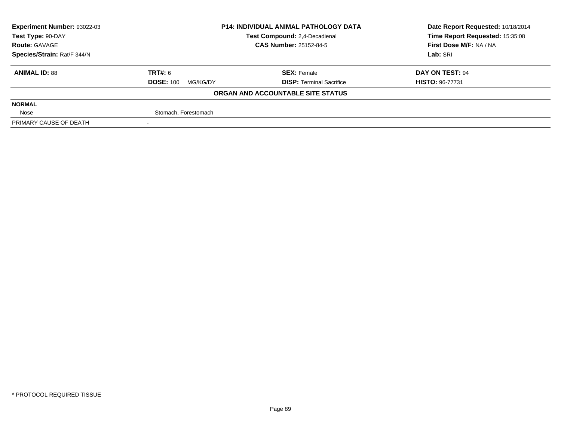| Experiment Number: 93022-03 | <b>P14: INDIVIDUAL ANIMAL PATHOLOGY DATA</b><br>Test Compound: 2,4-Decadienal<br><b>CAS Number: 25152-84-5</b> |                                   | Date Report Requested: 10/18/2014 |  |
|-----------------------------|----------------------------------------------------------------------------------------------------------------|-----------------------------------|-----------------------------------|--|
| Test Type: 90-DAY           |                                                                                                                |                                   | Time Report Requested: 15:35:08   |  |
| <b>Route: GAVAGE</b>        |                                                                                                                |                                   | First Dose M/F: NA / NA           |  |
| Species/Strain: Rat/F 344/N |                                                                                                                |                                   | Lab: SRI                          |  |
| <b>ANIMAL ID: 88</b>        | TRT#: 6                                                                                                        | <b>SEX: Female</b>                | DAY ON TEST: 94                   |  |
|                             | <b>DOSE: 100</b><br>MG/KG/DY                                                                                   | <b>DISP: Terminal Sacrifice</b>   | <b>HISTO: 96-77731</b>            |  |
|                             |                                                                                                                | ORGAN AND ACCOUNTABLE SITE STATUS |                                   |  |
| <b>NORMAL</b>               |                                                                                                                |                                   |                                   |  |
| Nose                        | Stomach, Forestomach                                                                                           |                                   |                                   |  |
| PRIMARY CAUSE OF DEATH      |                                                                                                                |                                   |                                   |  |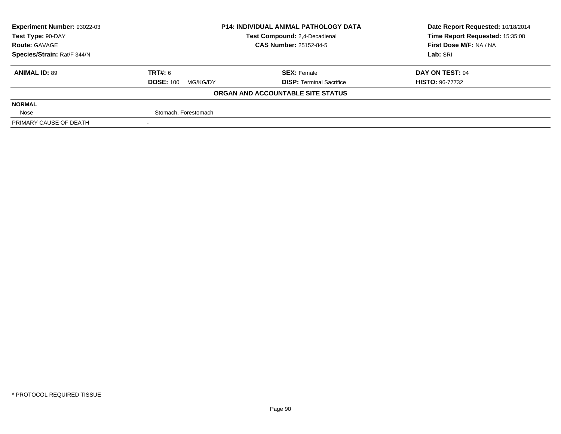| <b>Experiment Number: 93022-03</b> | <b>P14: INDIVIDUAL ANIMAL PATHOLOGY DATA</b><br>Test Compound: 2,4-Decadienal<br><b>CAS Number: 25152-84-5</b> |                                   | Date Report Requested: 10/18/2014 |  |
|------------------------------------|----------------------------------------------------------------------------------------------------------------|-----------------------------------|-----------------------------------|--|
| Test Type: 90-DAY                  |                                                                                                                |                                   | Time Report Requested: 15:35:08   |  |
| <b>Route: GAVAGE</b>               |                                                                                                                |                                   | First Dose M/F: NA / NA           |  |
| Species/Strain: Rat/F 344/N        |                                                                                                                |                                   | Lab: SRI                          |  |
| <b>ANIMAL ID: 89</b>               | TRT#: 6                                                                                                        | <b>SEX: Female</b>                | DAY ON TEST: 94                   |  |
|                                    | <b>DOSE: 100</b><br>MG/KG/DY                                                                                   | <b>DISP:</b> Terminal Sacrifice   | <b>HISTO: 96-77732</b>            |  |
|                                    |                                                                                                                | ORGAN AND ACCOUNTABLE SITE STATUS |                                   |  |
| <b>NORMAL</b>                      |                                                                                                                |                                   |                                   |  |
| Nose                               | Stomach, Forestomach                                                                                           |                                   |                                   |  |
| PRIMARY CAUSE OF DEATH             |                                                                                                                |                                   |                                   |  |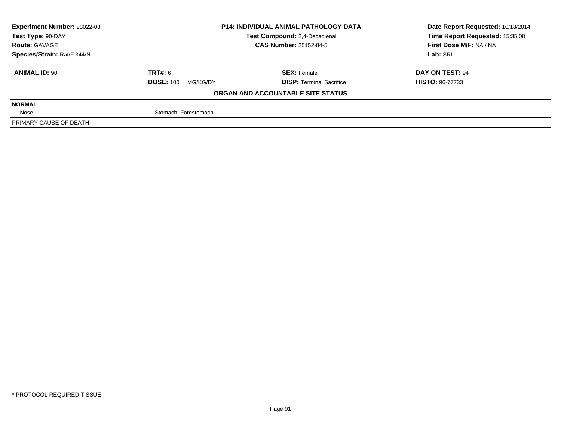| <b>Experiment Number: 93022-03</b> | <b>P14: INDIVIDUAL ANIMAL PATHOLOGY DATA</b><br>Test Compound: 2,4-Decadienal<br><b>CAS Number: 25152-84-5</b> |                                   | Date Report Requested: 10/18/2014 |  |
|------------------------------------|----------------------------------------------------------------------------------------------------------------|-----------------------------------|-----------------------------------|--|
| Test Type: 90-DAY                  |                                                                                                                |                                   | Time Report Requested: 15:35:08   |  |
| <b>Route: GAVAGE</b>               |                                                                                                                |                                   | First Dose M/F: NA / NA           |  |
| Species/Strain: Rat/F 344/N        |                                                                                                                |                                   | Lab: SRI                          |  |
| <b>ANIMAL ID: 90</b>               | TRT#: 6                                                                                                        | <b>SEX: Female</b>                | DAY ON TEST: 94                   |  |
|                                    | <b>DOSE: 100</b><br>MG/KG/DY                                                                                   | <b>DISP:</b> Terminal Sacrifice   | <b>HISTO: 96-77733</b>            |  |
|                                    |                                                                                                                | ORGAN AND ACCOUNTABLE SITE STATUS |                                   |  |
| <b>NORMAL</b>                      |                                                                                                                |                                   |                                   |  |
| Nose                               | Stomach, Forestomach                                                                                           |                                   |                                   |  |
| PRIMARY CAUSE OF DEATH             |                                                                                                                |                                   |                                   |  |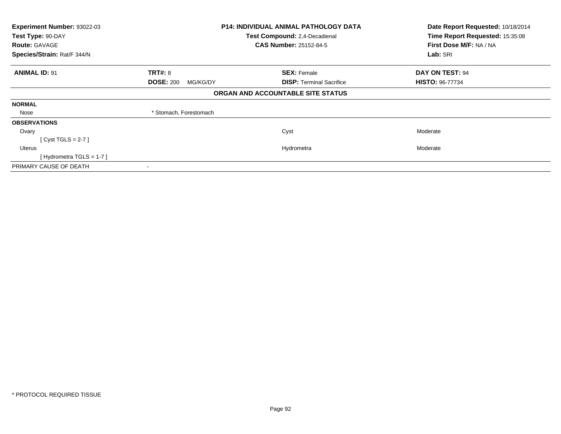| Experiment Number: 93022-03                        | <b>P14: INDIVIDUAL ANIMAL PATHOLOGY DATA</b> |                                   | Date Report Requested: 10/18/2014 |  |
|----------------------------------------------------|----------------------------------------------|-----------------------------------|-----------------------------------|--|
| Test Type: 90-DAY<br>Test Compound: 2,4-Decadienal |                                              | Time Report Requested: 15:35:08   |                                   |  |
| <b>Route: GAVAGE</b>                               |                                              | <b>CAS Number: 25152-84-5</b>     | First Dose M/F: NA / NA           |  |
| Species/Strain: Rat/F 344/N                        |                                              |                                   | Lab: SRI                          |  |
| <b>ANIMAL ID: 91</b>                               | <b>TRT#: 8</b>                               | <b>SEX: Female</b>                | DAY ON TEST: 94                   |  |
|                                                    | <b>DOSE: 200</b><br>MG/KG/DY                 | <b>DISP:</b> Terminal Sacrifice   | <b>HISTO: 96-77734</b>            |  |
|                                                    |                                              | ORGAN AND ACCOUNTABLE SITE STATUS |                                   |  |
| <b>NORMAL</b>                                      |                                              |                                   |                                   |  |
| Nose                                               | * Stomach, Forestomach                       |                                   |                                   |  |
| <b>OBSERVATIONS</b>                                |                                              |                                   |                                   |  |
| Ovary                                              |                                              | Cyst                              | Moderate                          |  |
| [Cyst TGLS = $2-7$ ]                               |                                              |                                   |                                   |  |
| Uterus                                             |                                              | Hydrometra                        | Moderate                          |  |
| [Hydrometra TGLS = $1-7$ ]                         |                                              |                                   |                                   |  |
| PRIMARY CAUSE OF DEATH                             |                                              |                                   |                                   |  |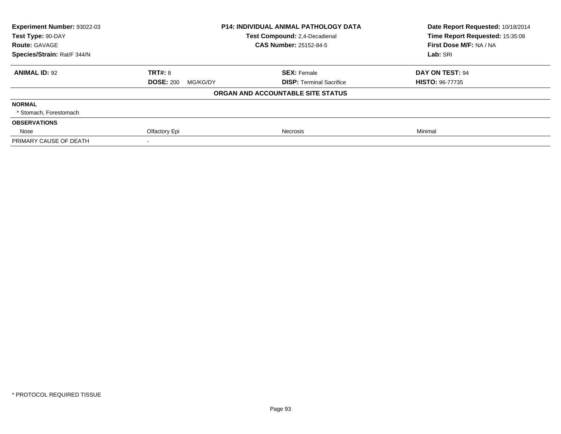| <b>Experiment Number: 93022-03</b> |                              | <b>P14: INDIVIDUAL ANIMAL PATHOLOGY DATA</b> | Date Report Requested: 10/18/2014 |
|------------------------------------|------------------------------|----------------------------------------------|-----------------------------------|
| Test Type: 90-DAY                  |                              | Test Compound: 2,4-Decadienal                |                                   |
| <b>Route: GAVAGE</b>               |                              | <b>CAS Number: 25152-84-5</b>                | First Dose M/F: NA / NA           |
| Species/Strain: Rat/F 344/N        |                              |                                              | Lab: SRI                          |
| <b>ANIMAL ID: 92</b>               | <b>TRT#: 8</b>               | <b>SEX: Female</b>                           | DAY ON TEST: 94                   |
|                                    | <b>DOSE: 200</b><br>MG/KG/DY | <b>DISP:</b> Terminal Sacrifice              | <b>HISTO: 96-77735</b>            |
|                                    |                              | ORGAN AND ACCOUNTABLE SITE STATUS            |                                   |
| <b>NORMAL</b>                      |                              |                                              |                                   |
| * Stomach, Forestomach             |                              |                                              |                                   |
| <b>OBSERVATIONS</b>                |                              |                                              |                                   |
| Nose                               | Olfactory Epi                | Necrosis                                     | Minimal                           |
| PRIMARY CAUSE OF DEATH             |                              |                                              |                                   |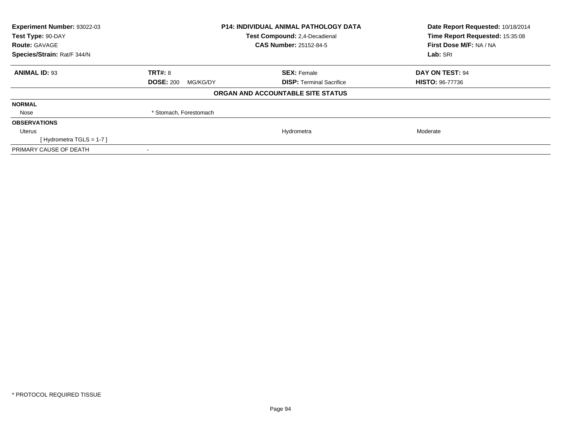| Experiment Number: 93022-03<br>Test Type: 90-DAY | <b>P14: INDIVIDUAL ANIMAL PATHOLOGY DATA</b><br>Test Compound: 2,4-Decadienal |                                   | Date Report Requested: 10/18/2014<br>Time Report Requested: 15:35:08 |  |
|--------------------------------------------------|-------------------------------------------------------------------------------|-----------------------------------|----------------------------------------------------------------------|--|
| <b>Route: GAVAGE</b>                             |                                                                               | <b>CAS Number: 25152-84-5</b>     | First Dose M/F: NA / NA                                              |  |
| Species/Strain: Rat/F 344/N                      |                                                                               |                                   | Lab: SRI                                                             |  |
| <b>ANIMAL ID: 93</b>                             | <b>TRT#: 8</b>                                                                | <b>SEX: Female</b>                | DAY ON TEST: 94                                                      |  |
|                                                  | <b>DOSE: 200</b><br>MG/KG/DY                                                  | <b>DISP:</b> Terminal Sacrifice   | <b>HISTO: 96-77736</b>                                               |  |
|                                                  |                                                                               | ORGAN AND ACCOUNTABLE SITE STATUS |                                                                      |  |
| <b>NORMAL</b>                                    |                                                                               |                                   |                                                                      |  |
| Nose                                             | * Stomach, Forestomach                                                        |                                   |                                                                      |  |
| <b>OBSERVATIONS</b>                              |                                                                               |                                   |                                                                      |  |
| Uterus                                           |                                                                               | Hydrometra                        | Moderate                                                             |  |
| [Hydrometra TGLS = $1-7$ ]                       |                                                                               |                                   |                                                                      |  |
| PRIMARY CAUSE OF DEATH                           |                                                                               |                                   |                                                                      |  |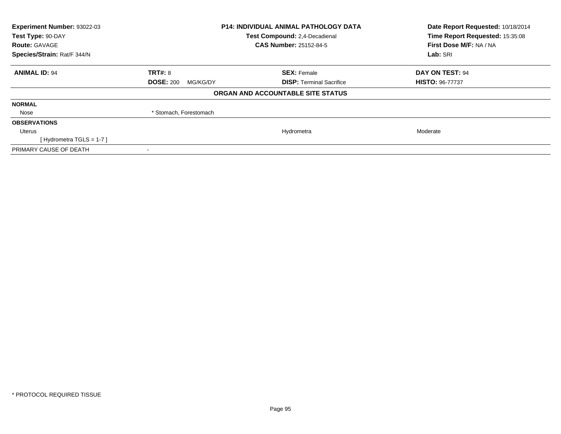| Experiment Number: 93022-03<br>Test Type: 90-DAY | <b>P14: INDIVIDUAL ANIMAL PATHOLOGY DATA</b><br>Test Compound: 2,4-Decadienal |                                   | Date Report Requested: 10/18/2014<br>Time Report Requested: 15:35:08 |  |
|--------------------------------------------------|-------------------------------------------------------------------------------|-----------------------------------|----------------------------------------------------------------------|--|
| <b>Route: GAVAGE</b>                             |                                                                               | <b>CAS Number: 25152-84-5</b>     | First Dose M/F: NA / NA                                              |  |
| Species/Strain: Rat/F 344/N                      |                                                                               |                                   | Lab: SRI                                                             |  |
| <b>ANIMAL ID: 94</b>                             | <b>TRT#: 8</b>                                                                | <b>SEX: Female</b>                | DAY ON TEST: 94                                                      |  |
|                                                  | <b>DOSE: 200</b><br>MG/KG/DY                                                  | <b>DISP:</b> Terminal Sacrifice   | <b>HISTO: 96-77737</b>                                               |  |
|                                                  |                                                                               | ORGAN AND ACCOUNTABLE SITE STATUS |                                                                      |  |
| <b>NORMAL</b>                                    |                                                                               |                                   |                                                                      |  |
| Nose                                             | * Stomach, Forestomach                                                        |                                   |                                                                      |  |
| <b>OBSERVATIONS</b>                              |                                                                               |                                   |                                                                      |  |
| Uterus                                           |                                                                               | Hydrometra                        | Moderate                                                             |  |
| [Hydrometra TGLS = $1-7$ ]                       |                                                                               |                                   |                                                                      |  |
| PRIMARY CAUSE OF DEATH                           |                                                                               |                                   |                                                                      |  |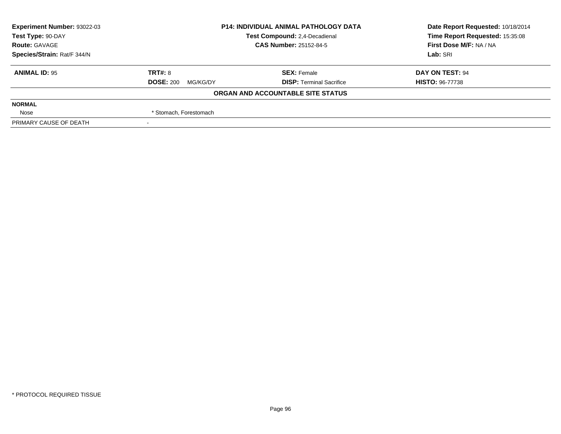| <b>Experiment Number: 93022-03</b> | <b>P14: INDIVIDUAL ANIMAL PATHOLOGY DATA</b><br>Test Compound: 2,4-Decadienal<br><b>CAS Number: 25152-84-5</b> |                                   | Date Report Requested: 10/18/2014 |
|------------------------------------|----------------------------------------------------------------------------------------------------------------|-----------------------------------|-----------------------------------|
| Test Type: 90-DAY                  |                                                                                                                |                                   | Time Report Requested: 15:35:08   |
| <b>Route: GAVAGE</b>               |                                                                                                                |                                   | First Dose M/F: NA / NA           |
| Species/Strain: Rat/F 344/N        |                                                                                                                |                                   | Lab: SRI                          |
| <b>ANIMAL ID: 95</b>               | <b>TRT#: 8</b>                                                                                                 | <b>SEX: Female</b>                | DAY ON TEST: 94                   |
|                                    | <b>DOSE: 200</b><br>MG/KG/DY                                                                                   | <b>DISP: Terminal Sacrifice</b>   | <b>HISTO: 96-77738</b>            |
|                                    |                                                                                                                | ORGAN AND ACCOUNTABLE SITE STATUS |                                   |
| <b>NORMAL</b>                      |                                                                                                                |                                   |                                   |
| Nose                               | * Stomach, Forestomach                                                                                         |                                   |                                   |
| PRIMARY CAUSE OF DEATH             |                                                                                                                |                                   |                                   |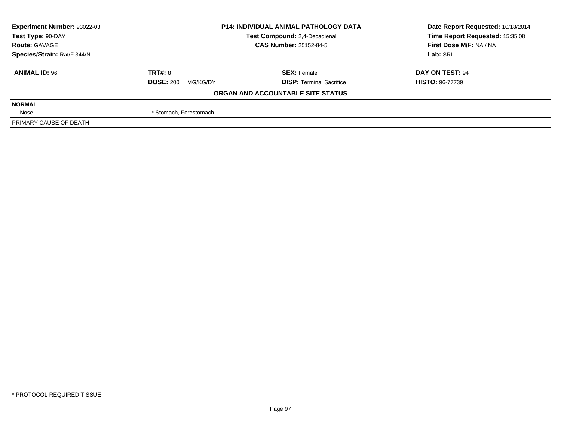| <b>Experiment Number: 93022-03</b> | <b>P14: INDIVIDUAL ANIMAL PATHOLOGY DATA</b><br>Test Compound: 2,4-Decadienal |                                   | Date Report Requested: 10/18/2014 |
|------------------------------------|-------------------------------------------------------------------------------|-----------------------------------|-----------------------------------|
| Test Type: 90-DAY                  |                                                                               |                                   | Time Report Requested: 15:35:08   |
| <b>Route: GAVAGE</b>               |                                                                               | <b>CAS Number: 25152-84-5</b>     | First Dose M/F: NA / NA           |
| Species/Strain: Rat/F 344/N        |                                                                               |                                   | Lab: SRI                          |
| <b>ANIMAL ID: 96</b>               | <b>TRT#: 8</b>                                                                | <b>SEX: Female</b>                | DAY ON TEST: 94                   |
|                                    | <b>DOSE: 200</b><br>MG/KG/DY                                                  | <b>DISP: Terminal Sacrifice</b>   | <b>HISTO: 96-77739</b>            |
|                                    |                                                                               | ORGAN AND ACCOUNTABLE SITE STATUS |                                   |
| <b>NORMAL</b>                      |                                                                               |                                   |                                   |
| Nose                               | * Stomach, Forestomach                                                        |                                   |                                   |
| PRIMARY CAUSE OF DEATH             |                                                                               |                                   |                                   |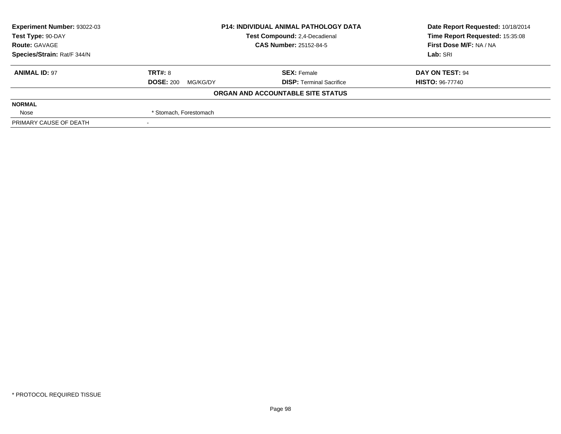| <b>Experiment Number: 93022-03</b> | <b>P14: INDIVIDUAL ANIMAL PATHOLOGY DATA</b><br>Test Compound: 2,4-Decadienal |                                   | Date Report Requested: 10/18/2014 |
|------------------------------------|-------------------------------------------------------------------------------|-----------------------------------|-----------------------------------|
| Test Type: 90-DAY                  |                                                                               |                                   | Time Report Requested: 15:35:08   |
| <b>Route: GAVAGE</b>               |                                                                               | <b>CAS Number: 25152-84-5</b>     | First Dose M/F: NA / NA           |
| Species/Strain: Rat/F 344/N        |                                                                               |                                   | Lab: SRI                          |
| <b>ANIMAL ID: 97</b>               | <b>TRT#: 8</b>                                                                | <b>SEX: Female</b>                | DAY ON TEST: 94                   |
|                                    | <b>DOSE: 200</b><br>MG/KG/DY                                                  | <b>DISP: Terminal Sacrifice</b>   | <b>HISTO: 96-77740</b>            |
|                                    |                                                                               | ORGAN AND ACCOUNTABLE SITE STATUS |                                   |
| <b>NORMAL</b>                      |                                                                               |                                   |                                   |
| Nose                               | * Stomach, Forestomach                                                        |                                   |                                   |
| PRIMARY CAUSE OF DEATH             |                                                                               |                                   |                                   |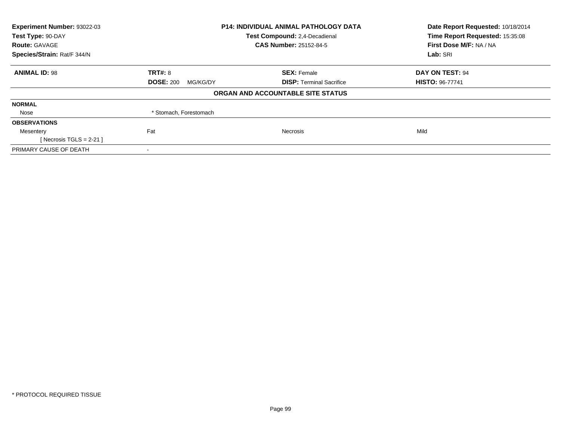| Experiment Number: 93022-03 | <b>P14: INDIVIDUAL ANIMAL PATHOLOGY DATA</b> |                                   | Date Report Requested: 10/18/2014 |
|-----------------------------|----------------------------------------------|-----------------------------------|-----------------------------------|
| Test Type: 90-DAY           |                                              | Test Compound: 2,4-Decadienal     | Time Report Requested: 15:35:08   |
| <b>Route: GAVAGE</b>        |                                              | CAS Number: 25152-84-5            | First Dose M/F: NA / NA           |
| Species/Strain: Rat/F 344/N |                                              |                                   | Lab: SRI                          |
| <b>ANIMAL ID: 98</b>        | TRT#: 8                                      | <b>SEX: Female</b>                | DAY ON TEST: 94                   |
|                             | <b>DOSE: 200</b><br>MG/KG/DY                 | <b>DISP:</b> Terminal Sacrifice   | <b>HISTO: 96-77741</b>            |
|                             |                                              | ORGAN AND ACCOUNTABLE SITE STATUS |                                   |
| <b>NORMAL</b>               |                                              |                                   |                                   |
| Nose                        | * Stomach, Forestomach                       |                                   |                                   |
| <b>OBSERVATIONS</b>         |                                              |                                   |                                   |
| Mesentery                   | Fat                                          | <b>Necrosis</b>                   | Mild                              |
| [ Necrosis TGLS = $2-21$ ]  |                                              |                                   |                                   |
| PRIMARY CAUSE OF DEATH      |                                              |                                   |                                   |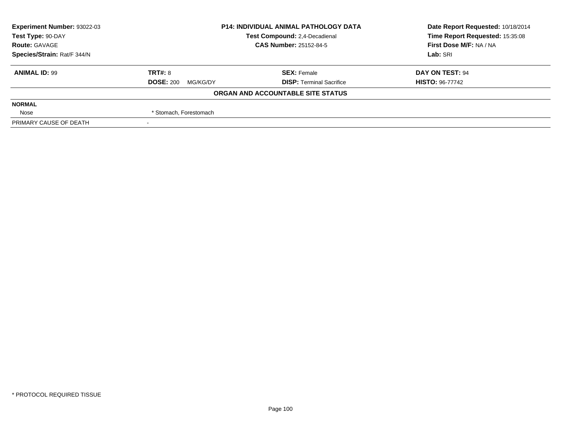| <b>Experiment Number: 93022-03</b> | <b>P14: INDIVIDUAL ANIMAL PATHOLOGY DATA</b><br>Test Compound: 2,4-Decadienal |                                   | Date Report Requested: 10/18/2014 |
|------------------------------------|-------------------------------------------------------------------------------|-----------------------------------|-----------------------------------|
| Test Type: 90-DAY                  |                                                                               |                                   | Time Report Requested: 15:35:08   |
| <b>Route: GAVAGE</b>               |                                                                               | <b>CAS Number: 25152-84-5</b>     | First Dose M/F: NA / NA           |
| Species/Strain: Rat/F 344/N        |                                                                               |                                   | Lab: SRI                          |
| <b>ANIMAL ID: 99</b>               | <b>TRT#: 8</b>                                                                | <b>SEX: Female</b>                | DAY ON TEST: 94                   |
|                                    | <b>DOSE: 200</b><br>MG/KG/DY                                                  | <b>DISP: Terminal Sacrifice</b>   | <b>HISTO: 96-77742</b>            |
|                                    |                                                                               | ORGAN AND ACCOUNTABLE SITE STATUS |                                   |
| <b>NORMAL</b>                      |                                                                               |                                   |                                   |
| Nose                               | * Stomach, Forestomach                                                        |                                   |                                   |
| PRIMARY CAUSE OF DEATH             |                                                                               |                                   |                                   |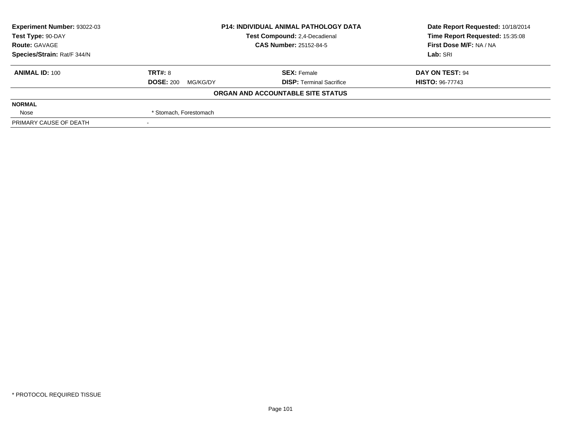| <b>Experiment Number: 93022-03</b> | <b>P14: INDIVIDUAL ANIMAL PATHOLOGY DATA</b><br>Test Compound: 2,4-Decadienal |                                   | Date Report Requested: 10/18/2014 |
|------------------------------------|-------------------------------------------------------------------------------|-----------------------------------|-----------------------------------|
| Test Type: 90-DAY                  |                                                                               |                                   | Time Report Requested: 15:35:08   |
| <b>Route: GAVAGE</b>               |                                                                               | <b>CAS Number: 25152-84-5</b>     | First Dose M/F: NA / NA           |
| Species/Strain: Rat/F 344/N        |                                                                               |                                   | Lab: SRI                          |
| <b>ANIMAL ID: 100</b>              | TRT#: 8                                                                       | <b>SEX: Female</b>                | DAY ON TEST: 94                   |
|                                    | <b>DOSE: 200</b><br>MG/KG/DY                                                  | <b>DISP:</b> Terminal Sacrifice   | <b>HISTO: 96-77743</b>            |
|                                    |                                                                               | ORGAN AND ACCOUNTABLE SITE STATUS |                                   |
| <b>NORMAL</b>                      |                                                                               |                                   |                                   |
| Nose                               | * Stomach, Forestomach                                                        |                                   |                                   |
| PRIMARY CAUSE OF DEATH             |                                                                               |                                   |                                   |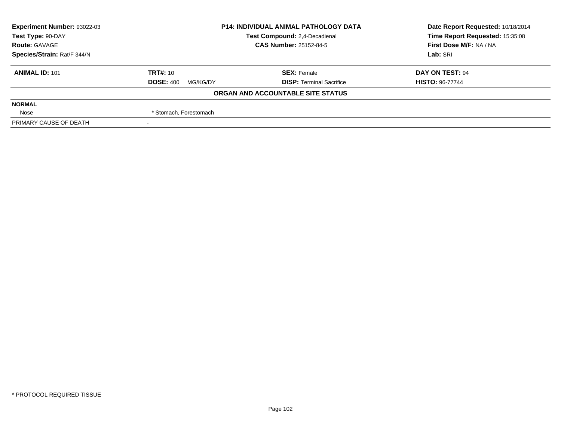| <b>Experiment Number: 93022-03</b> | <b>P14: INDIVIDUAL ANIMAL PATHOLOGY DATA</b><br>Test Compound: 2,4-Decadienal |                                   | Date Report Requested: 10/18/2014 |
|------------------------------------|-------------------------------------------------------------------------------|-----------------------------------|-----------------------------------|
| Test Type: 90-DAY                  |                                                                               |                                   | Time Report Requested: 15:35:08   |
| <b>Route: GAVAGE</b>               |                                                                               | <b>CAS Number: 25152-84-5</b>     | First Dose M/F: NA / NA           |
| Species/Strain: Rat/F 344/N        |                                                                               |                                   | Lab: SRI                          |
| <b>ANIMAL ID: 101</b>              | <b>TRT#: 10</b>                                                               | <b>SEX: Female</b>                | DAY ON TEST: 94                   |
|                                    | <b>DOSE: 400</b><br>MG/KG/DY                                                  | <b>DISP:</b> Terminal Sacrifice   | <b>HISTO: 96-77744</b>            |
|                                    |                                                                               | ORGAN AND ACCOUNTABLE SITE STATUS |                                   |
| <b>NORMAL</b>                      |                                                                               |                                   |                                   |
| Nose                               | * Stomach, Forestomach                                                        |                                   |                                   |
| PRIMARY CAUSE OF DEATH             |                                                                               |                                   |                                   |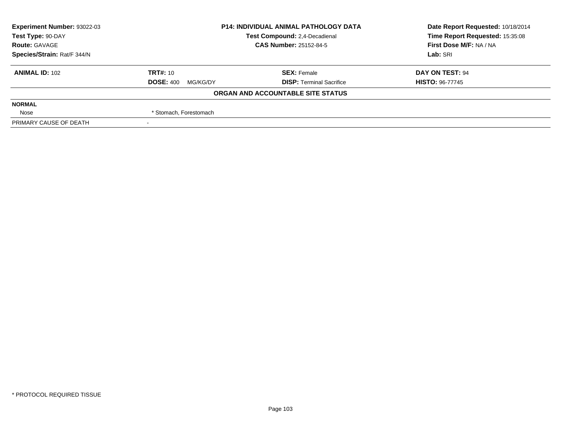| <b>Experiment Number: 93022-03</b> | <b>P14: INDIVIDUAL ANIMAL PATHOLOGY DATA</b><br>Test Compound: 2,4-Decadienal |                                   | Date Report Requested: 10/18/2014 |
|------------------------------------|-------------------------------------------------------------------------------|-----------------------------------|-----------------------------------|
| Test Type: 90-DAY                  |                                                                               |                                   | Time Report Requested: 15:35:08   |
| <b>Route: GAVAGE</b>               |                                                                               | <b>CAS Number: 25152-84-5</b>     | First Dose M/F: NA / NA           |
| Species/Strain: Rat/F 344/N        |                                                                               |                                   | Lab: SRI                          |
| <b>ANIMAL ID: 102</b>              | <b>TRT#: 10</b>                                                               | <b>SEX: Female</b>                | DAY ON TEST: 94                   |
|                                    | <b>DOSE: 400</b><br>MG/KG/DY                                                  | <b>DISP:</b> Terminal Sacrifice   | <b>HISTO: 96-77745</b>            |
|                                    |                                                                               | ORGAN AND ACCOUNTABLE SITE STATUS |                                   |
| <b>NORMAL</b>                      |                                                                               |                                   |                                   |
| Nose                               | * Stomach, Forestomach                                                        |                                   |                                   |
| PRIMARY CAUSE OF DEATH             |                                                                               |                                   |                                   |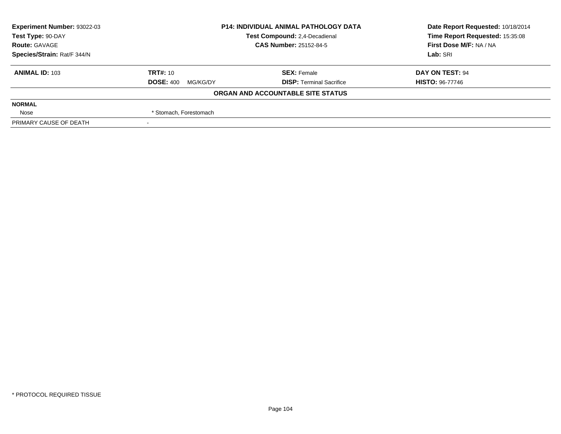| <b>Experiment Number: 93022-03</b> | <b>P14: INDIVIDUAL ANIMAL PATHOLOGY DATA</b><br>Test Compound: 2,4-Decadienal |                                   | Date Report Requested: 10/18/2014 |
|------------------------------------|-------------------------------------------------------------------------------|-----------------------------------|-----------------------------------|
| Test Type: 90-DAY                  |                                                                               |                                   | Time Report Requested: 15:35:08   |
| <b>Route: GAVAGE</b>               |                                                                               | <b>CAS Number: 25152-84-5</b>     | First Dose M/F: NA / NA           |
| Species/Strain: Rat/F 344/N        |                                                                               |                                   | Lab: SRI                          |
| <b>ANIMAL ID: 103</b>              | <b>TRT#: 10</b>                                                               | <b>SEX: Female</b>                | DAY ON TEST: 94                   |
|                                    | <b>DOSE: 400</b><br>MG/KG/DY                                                  | <b>DISP: Terminal Sacrifice</b>   | <b>HISTO: 96-77746</b>            |
|                                    |                                                                               | ORGAN AND ACCOUNTABLE SITE STATUS |                                   |
| <b>NORMAL</b>                      |                                                                               |                                   |                                   |
| Nose                               | * Stomach, Forestomach                                                        |                                   |                                   |
| PRIMARY CAUSE OF DEATH             |                                                                               |                                   |                                   |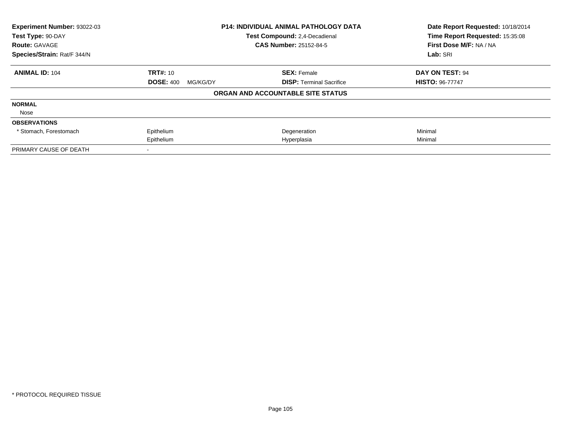| Experiment Number: 93022-03<br>P14: INDIVIDUAL ANIMAL PATHOLOGY DATA |                              | Date Report Requested: 10/18/2014 |                                 |
|----------------------------------------------------------------------|------------------------------|-----------------------------------|---------------------------------|
| Test Type: 90-DAY                                                    |                              | Test Compound: 2,4-Decadienal     | Time Report Requested: 15:35:08 |
| <b>Route: GAVAGE</b>                                                 |                              | <b>CAS Number: 25152-84-5</b>     | First Dose M/F: NA / NA         |
| Species/Strain: Rat/F 344/N                                          |                              |                                   |                                 |
| <b>ANIMAL ID: 104</b>                                                | <b>TRT#: 10</b>              | <b>SEX: Female</b>                | DAY ON TEST: 94                 |
|                                                                      | <b>DOSE: 400</b><br>MG/KG/DY | <b>DISP:</b> Terminal Sacrifice   | <b>HISTO: 96-77747</b>          |
|                                                                      |                              | ORGAN AND ACCOUNTABLE SITE STATUS |                                 |
| <b>NORMAL</b>                                                        |                              |                                   |                                 |
| Nose                                                                 |                              |                                   |                                 |
| <b>OBSERVATIONS</b>                                                  |                              |                                   |                                 |
| * Stomach, Forestomach                                               | Epithelium                   | Degeneration                      | Minimal                         |
|                                                                      | Epithelium                   | Hyperplasia                       | Minimal                         |
| PRIMARY CAUSE OF DEATH                                               |                              |                                   |                                 |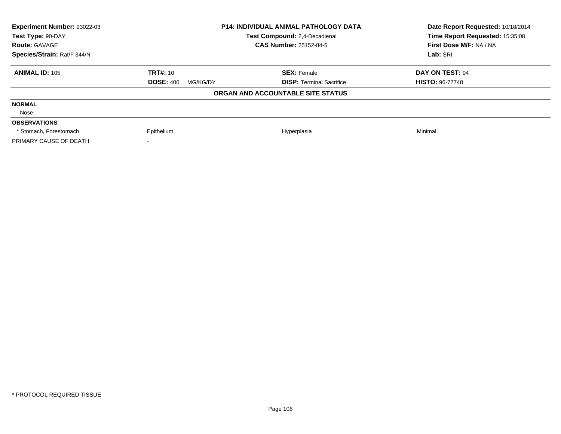| <b>Experiment Number: 93022-03</b><br>Test Type: 90-DAY | <b>P14: INDIVIDUAL ANIMAL PATHOLOGY DATA</b><br>Test Compound: 2,4-Decadienal |                                   | Date Report Requested: 10/18/2014<br>Time Report Requested: 15:35:08 |
|---------------------------------------------------------|-------------------------------------------------------------------------------|-----------------------------------|----------------------------------------------------------------------|
| <b>Route: GAVAGE</b>                                    |                                                                               | <b>CAS Number: 25152-84-5</b>     | First Dose M/F: NA / NA                                              |
| Species/Strain: Rat/F 344/N                             |                                                                               |                                   |                                                                      |
| <b>ANIMAL ID: 105</b>                                   | <b>TRT#: 10</b>                                                               | <b>SEX: Female</b>                | DAY ON TEST: 94                                                      |
|                                                         | <b>DOSE: 400</b><br>MG/KG/DY                                                  | <b>DISP:</b> Terminal Sacrifice   | <b>HISTO: 96-77748</b>                                               |
|                                                         |                                                                               | ORGAN AND ACCOUNTABLE SITE STATUS |                                                                      |
| <b>NORMAL</b>                                           |                                                                               |                                   |                                                                      |
| Nose                                                    |                                                                               |                                   |                                                                      |
| <b>OBSERVATIONS</b>                                     |                                                                               |                                   |                                                                      |
| * Stomach, Forestomach                                  | Epithelium                                                                    | Hyperplasia                       | Minimal                                                              |
| PRIMARY CAUSE OF DEATH                                  |                                                                               |                                   |                                                                      |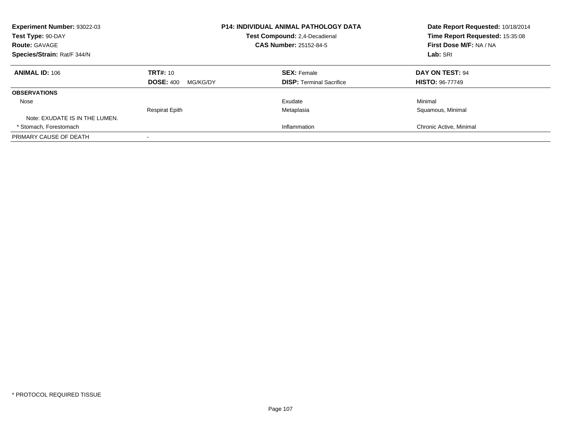| Experiment Number: 93022-03<br>Test Type: 90-DAY<br><b>Route: GAVAGE</b> |                              | <b>P14: INDIVIDUAL ANIMAL PATHOLOGY DATA</b><br><b>Test Compound: 2.4-Decadienal</b><br><b>CAS Number: 25152-84-5</b> | Date Report Requested: 10/18/2014<br>Time Report Requested: 15:35:08<br>First Dose M/F: NA / NA |  |
|--------------------------------------------------------------------------|------------------------------|-----------------------------------------------------------------------------------------------------------------------|-------------------------------------------------------------------------------------------------|--|
| Species/Strain: Rat/F 344/N                                              |                              |                                                                                                                       | Lab: SRI                                                                                        |  |
| <b>ANIMAL ID: 106</b>                                                    | <b>TRT#: 10</b>              | <b>SEX: Female</b>                                                                                                    | DAY ON TEST: 94                                                                                 |  |
|                                                                          | <b>DOSE: 400</b><br>MG/KG/DY | <b>DISP:</b> Terminal Sacrifice                                                                                       | <b>HISTO: 96-77749</b>                                                                          |  |
| <b>OBSERVATIONS</b>                                                      |                              |                                                                                                                       |                                                                                                 |  |
| Nose                                                                     |                              | Exudate                                                                                                               | Minimal                                                                                         |  |
|                                                                          | <b>Respirat Epith</b>        | Metaplasia                                                                                                            | Squamous, Minimal                                                                               |  |
| Note: EXUDATE IS IN THE LUMEN.                                           |                              |                                                                                                                       |                                                                                                 |  |
| * Stomach. Forestomach                                                   |                              | Inflammation                                                                                                          | Chronic Active, Minimal                                                                         |  |
| PRIMARY CAUSE OF DEATH                                                   |                              |                                                                                                                       |                                                                                                 |  |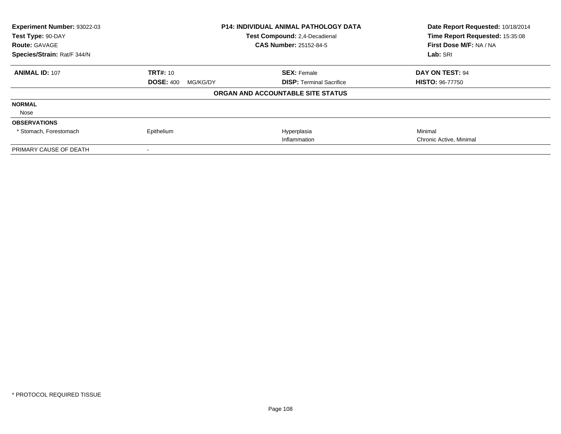| Experiment Number: 93022-03<br><b>P14: INDIVIDUAL ANIMAL PATHOLOGY DATA</b><br>Test Type: 90-DAY<br>Test Compound: 2,4-Decadienal |                              |                                   | Date Report Requested: 10/18/2014 |
|-----------------------------------------------------------------------------------------------------------------------------------|------------------------------|-----------------------------------|-----------------------------------|
|                                                                                                                                   |                              | Time Report Requested: 15:35:08   |                                   |
| <b>Route: GAVAGE</b>                                                                                                              |                              | <b>CAS Number: 25152-84-5</b>     | First Dose M/F: NA / NA           |
| Species/Strain: Rat/F 344/N                                                                                                       |                              |                                   | Lab: SRI                          |
| <b>ANIMAL ID: 107</b>                                                                                                             | <b>TRT#: 10</b>              | <b>SEX: Female</b>                | DAY ON TEST: 94                   |
|                                                                                                                                   | <b>DOSE: 400</b><br>MG/KG/DY | <b>DISP:</b> Terminal Sacrifice   | <b>HISTO: 96-77750</b>            |
|                                                                                                                                   |                              | ORGAN AND ACCOUNTABLE SITE STATUS |                                   |
| <b>NORMAL</b>                                                                                                                     |                              |                                   |                                   |
| Nose                                                                                                                              |                              |                                   |                                   |
| <b>OBSERVATIONS</b>                                                                                                               |                              |                                   |                                   |
| * Stomach, Forestomach                                                                                                            | Epithelium                   | Hyperplasia                       | Minimal                           |
|                                                                                                                                   |                              | Inflammation                      | Chronic Active, Minimal           |
| PRIMARY CAUSE OF DEATH                                                                                                            |                              |                                   |                                   |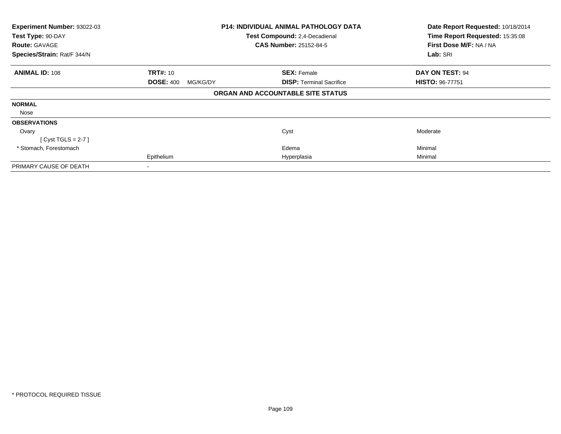| Experiment Number: 93022-03 |                              | <b>P14: INDIVIDUAL ANIMAL PATHOLOGY DATA</b> | Date Report Requested: 10/18/2014<br>Time Report Requested: 15:35:08 |
|-----------------------------|------------------------------|----------------------------------------------|----------------------------------------------------------------------|
| Test Type: 90-DAY           |                              | Test Compound: 2,4-Decadienal                |                                                                      |
| <b>Route: GAVAGE</b>        |                              | <b>CAS Number: 25152-84-5</b>                | First Dose M/F: NA / NA                                              |
| Species/Strain: Rat/F 344/N |                              |                                              | Lab: SRI                                                             |
| <b>ANIMAL ID: 108</b>       | <b>TRT#: 10</b>              | <b>SEX: Female</b>                           | DAY ON TEST: 94                                                      |
|                             | <b>DOSE: 400</b><br>MG/KG/DY | <b>DISP:</b> Terminal Sacrifice              | <b>HISTO: 96-77751</b>                                               |
|                             |                              | ORGAN AND ACCOUNTABLE SITE STATUS            |                                                                      |
| <b>NORMAL</b>               |                              |                                              |                                                                      |
| Nose                        |                              |                                              |                                                                      |
| <b>OBSERVATIONS</b>         |                              |                                              |                                                                      |
| Ovary                       |                              | Cyst                                         | Moderate                                                             |
| $[Cyst TGLS = 2-7]$         |                              |                                              |                                                                      |
| * Stomach, Forestomach      |                              | Edema                                        | Minimal                                                              |
|                             | Epithelium                   | Hyperplasia                                  | Minimal                                                              |
| PRIMARY CAUSE OF DEATH      |                              |                                              |                                                                      |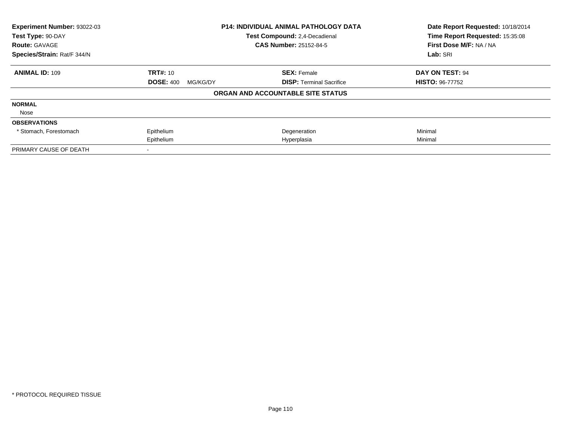| Experiment Number: 93022-03 |                              | P14: INDIVIDUAL ANIMAL PATHOLOGY DATA | Date Report Requested: 10/18/2014 |
|-----------------------------|------------------------------|---------------------------------------|-----------------------------------|
| Test Type: 90-DAY           |                              | Test Compound: 2,4-Decadienal         | Time Report Requested: 15:35:08   |
| <b>Route: GAVAGE</b>        |                              | <b>CAS Number: 25152-84-5</b>         | First Dose M/F: NA / NA           |
| Species/Strain: Rat/F 344/N |                              |                                       | Lab: SRI                          |
| <b>ANIMAL ID: 109</b>       | <b>TRT#: 10</b>              | <b>SEX: Female</b>                    | DAY ON TEST: 94                   |
|                             | <b>DOSE: 400</b><br>MG/KG/DY | <b>DISP:</b> Terminal Sacrifice       | <b>HISTO: 96-77752</b>            |
|                             |                              | ORGAN AND ACCOUNTABLE SITE STATUS     |                                   |
| <b>NORMAL</b>               |                              |                                       |                                   |
| Nose                        |                              |                                       |                                   |
| <b>OBSERVATIONS</b>         |                              |                                       |                                   |
| * Stomach, Forestomach      | Epithelium                   | Degeneration                          | Minimal                           |
|                             | Epithelium                   | Hyperplasia                           | Minimal                           |
| PRIMARY CAUSE OF DEATH      |                              |                                       |                                   |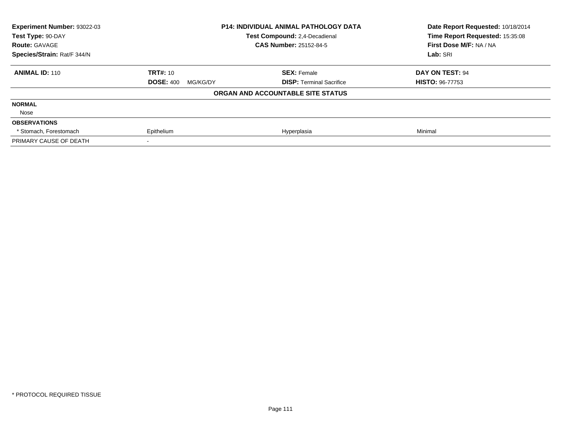| <b>Experiment Number: 93022-03</b><br>Test Type: 90-DAY |                              | <b>P14: INDIVIDUAL ANIMAL PATHOLOGY DATA</b><br>Test Compound: 2.4-Decadienal | Date Report Requested: 10/18/2014<br>Time Report Requested: 15:35:08 |
|---------------------------------------------------------|------------------------------|-------------------------------------------------------------------------------|----------------------------------------------------------------------|
| <b>Route: GAVAGE</b>                                    |                              | <b>CAS Number: 25152-84-5</b>                                                 | First Dose M/F: NA / NA                                              |
| Species/Strain: Rat/F 344/N                             |                              |                                                                               | Lab: SRI                                                             |
| <b>ANIMAL ID: 110</b>                                   | <b>TRT#: 10</b>              | <b>SEX: Female</b>                                                            | DAY ON TEST: 94                                                      |
|                                                         | <b>DOSE: 400</b><br>MG/KG/DY | <b>DISP:</b> Terminal Sacrifice                                               | <b>HISTO: 96-77753</b>                                               |
|                                                         |                              | ORGAN AND ACCOUNTABLE SITE STATUS                                             |                                                                      |
| <b>NORMAL</b>                                           |                              |                                                                               |                                                                      |
| Nose                                                    |                              |                                                                               |                                                                      |
| <b>OBSERVATIONS</b>                                     |                              |                                                                               |                                                                      |
| * Stomach, Forestomach                                  | Epithelium                   | Hyperplasia                                                                   | Minimal                                                              |
| PRIMARY CAUSE OF DEATH                                  |                              |                                                                               |                                                                      |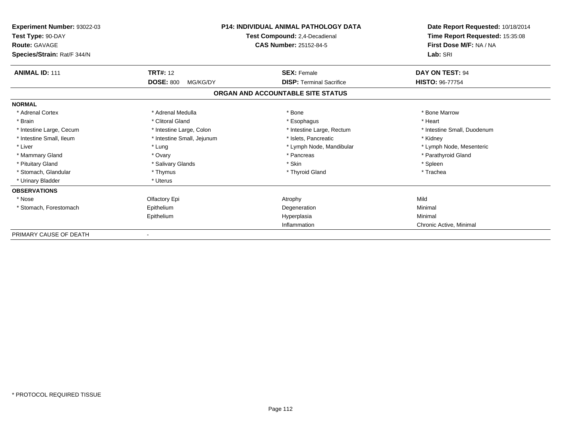| Experiment Number: 93022-03<br>Test Type: 90-DAY<br><b>Route: GAVAGE</b><br>Species/Strain: Rat/F 344/N | <b>P14: INDIVIDUAL ANIMAL PATHOLOGY DATA</b><br>Test Compound: 2,4-Decadienal<br><b>CAS Number: 25152-84-5</b> |                                   | Date Report Requested: 10/18/2014<br>Time Report Requested: 15:35:08<br>First Dose M/F: NA / NA<br>Lab: SRI |
|---------------------------------------------------------------------------------------------------------|----------------------------------------------------------------------------------------------------------------|-----------------------------------|-------------------------------------------------------------------------------------------------------------|
| <b>ANIMAL ID: 111</b>                                                                                   | <b>TRT#: 12</b>                                                                                                | <b>SEX: Female</b>                | DAY ON TEST: 94                                                                                             |
|                                                                                                         | <b>DOSE: 800</b><br>MG/KG/DY                                                                                   | <b>DISP:</b> Terminal Sacrifice   | <b>HISTO: 96-77754</b>                                                                                      |
|                                                                                                         |                                                                                                                | ORGAN AND ACCOUNTABLE SITE STATUS |                                                                                                             |
| <b>NORMAL</b>                                                                                           |                                                                                                                |                                   |                                                                                                             |
| * Adrenal Cortex                                                                                        | * Adrenal Medulla                                                                                              | * Bone                            | * Bone Marrow                                                                                               |
| * Brain                                                                                                 | * Clitoral Gland                                                                                               | * Esophagus                       | * Heart                                                                                                     |
| * Intestine Large, Cecum                                                                                | * Intestine Large, Colon                                                                                       | * Intestine Large, Rectum         | * Intestine Small, Duodenum                                                                                 |
| * Intestine Small, Ileum                                                                                | * Intestine Small, Jejunum                                                                                     | * Islets. Pancreatic              | * Kidney                                                                                                    |
| * Liver                                                                                                 | * Lung                                                                                                         | * Lymph Node, Mandibular          | * Lymph Node, Mesenteric                                                                                    |
| * Mammary Gland                                                                                         | * Ovary                                                                                                        | * Pancreas                        | * Parathyroid Gland                                                                                         |
| * Pituitary Gland                                                                                       | * Salivary Glands                                                                                              | * Skin                            | * Spleen                                                                                                    |
| * Stomach, Glandular                                                                                    | * Thymus                                                                                                       | * Thyroid Gland                   | * Trachea                                                                                                   |
| * Urinary Bladder                                                                                       | * Uterus                                                                                                       |                                   |                                                                                                             |
| <b>OBSERVATIONS</b>                                                                                     |                                                                                                                |                                   |                                                                                                             |
| * Nose                                                                                                  | Olfactory Epi                                                                                                  | Atrophy                           | Mild                                                                                                        |
| * Stomach, Forestomach                                                                                  | Epithelium                                                                                                     | Degeneration                      | Minimal                                                                                                     |
|                                                                                                         | Epithelium                                                                                                     | Hyperplasia                       | Minimal                                                                                                     |
|                                                                                                         |                                                                                                                | Inflammation                      | Chronic Active, Minimal                                                                                     |
| PRIMARY CAUSE OF DEATH                                                                                  |                                                                                                                |                                   |                                                                                                             |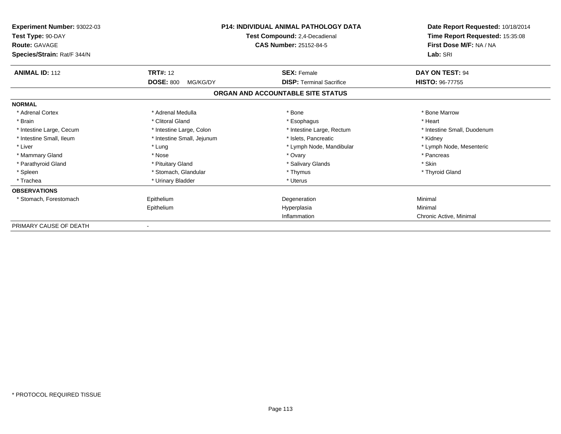| Experiment Number: 93022-03<br>Test Type: 90-DAY<br><b>Route: GAVAGE</b><br>Species/Strain: Rat/F 344/N |                                                 | <b>P14: INDIVIDUAL ANIMAL PATHOLOGY DATA</b><br>Test Compound: 2,4-Decadienal<br><b>CAS Number: 25152-84-5</b> | Date Report Requested: 10/18/2014<br>Time Report Requested: 15:35:08<br>First Dose M/F: NA / NA<br>Lab: SRI |
|---------------------------------------------------------------------------------------------------------|-------------------------------------------------|----------------------------------------------------------------------------------------------------------------|-------------------------------------------------------------------------------------------------------------|
| <b>ANIMAL ID: 112</b>                                                                                   | <b>TRT#: 12</b><br><b>DOSE: 800</b><br>MG/KG/DY | <b>SEX: Female</b><br><b>DISP: Terminal Sacrifice</b>                                                          | DAY ON TEST: 94<br><b>HISTO: 96-77755</b>                                                                   |
|                                                                                                         |                                                 | ORGAN AND ACCOUNTABLE SITE STATUS                                                                              |                                                                                                             |
| <b>NORMAL</b>                                                                                           |                                                 |                                                                                                                |                                                                                                             |
| * Adrenal Cortex                                                                                        | * Adrenal Medulla                               | * Bone                                                                                                         | * Bone Marrow                                                                                               |
| * Brain                                                                                                 | * Clitoral Gland                                | * Esophagus                                                                                                    | * Heart                                                                                                     |
| * Intestine Large, Cecum                                                                                | * Intestine Large, Colon                        | * Intestine Large, Rectum                                                                                      | * Intestine Small, Duodenum                                                                                 |
| * Intestine Small, Ileum                                                                                | * Intestine Small, Jejunum                      | * Islets, Pancreatic                                                                                           | * Kidney                                                                                                    |
| * Liver                                                                                                 | * Lung                                          | * Lymph Node, Mandibular                                                                                       | * Lymph Node, Mesenteric                                                                                    |
| * Mammary Gland                                                                                         | * Nose                                          | * Ovary                                                                                                        | * Pancreas                                                                                                  |
| * Parathyroid Gland                                                                                     | * Pituitary Gland                               | * Salivary Glands                                                                                              | * Skin                                                                                                      |
| * Spleen                                                                                                | * Stomach, Glandular                            | * Thymus                                                                                                       | * Thyroid Gland                                                                                             |
| * Trachea                                                                                               | * Urinary Bladder                               | * Uterus                                                                                                       |                                                                                                             |
| <b>OBSERVATIONS</b>                                                                                     |                                                 |                                                                                                                |                                                                                                             |
| * Stomach, Forestomach                                                                                  | Epithelium                                      | Degeneration                                                                                                   | Minimal                                                                                                     |
|                                                                                                         | Epithelium                                      | Hyperplasia                                                                                                    | Minimal                                                                                                     |
|                                                                                                         |                                                 | Inflammation                                                                                                   | Chronic Active, Minimal                                                                                     |
| PRIMARY CAUSE OF DEATH                                                                                  |                                                 |                                                                                                                |                                                                                                             |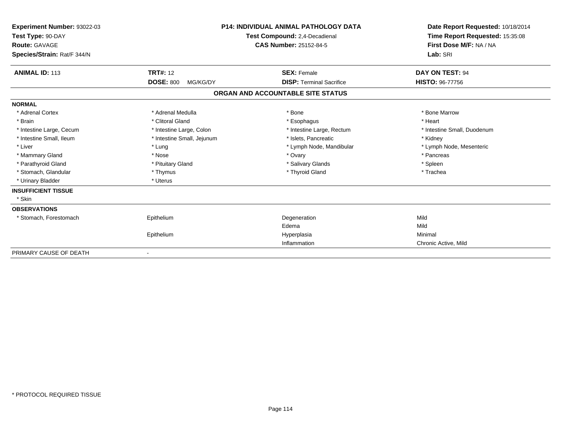| Experiment Number: 93022-03<br>Test Type: 90-DAY<br><b>Route: GAVAGE</b><br>Species/Strain: Rat/F 344/N |                              | <b>P14: INDIVIDUAL ANIMAL PATHOLOGY DATA</b><br>Test Compound: 2,4-Decadienal<br><b>CAS Number: 25152-84-5</b> | Date Report Requested: 10/18/2014<br>Time Report Requested: 15:35:08<br>First Dose M/F: NA / NA<br>Lab: SRI |
|---------------------------------------------------------------------------------------------------------|------------------------------|----------------------------------------------------------------------------------------------------------------|-------------------------------------------------------------------------------------------------------------|
| <b>ANIMAL ID: 113</b>                                                                                   | <b>TRT#: 12</b>              | <b>SEX: Female</b>                                                                                             | DAY ON TEST: 94                                                                                             |
|                                                                                                         | <b>DOSE: 800</b><br>MG/KG/DY | <b>DISP: Terminal Sacrifice</b>                                                                                | <b>HISTO: 96-77756</b>                                                                                      |
|                                                                                                         |                              | ORGAN AND ACCOUNTABLE SITE STATUS                                                                              |                                                                                                             |
| <b>NORMAL</b>                                                                                           |                              |                                                                                                                |                                                                                                             |
| * Adrenal Cortex                                                                                        | * Adrenal Medulla            | * Bone                                                                                                         | * Bone Marrow                                                                                               |
| * Brain                                                                                                 | * Clitoral Gland             | * Esophagus                                                                                                    | * Heart                                                                                                     |
| * Intestine Large, Cecum                                                                                | * Intestine Large, Colon     | * Intestine Large, Rectum                                                                                      | * Intestine Small, Duodenum                                                                                 |
| * Intestine Small, Ileum                                                                                | * Intestine Small, Jejunum   | * Islets, Pancreatic                                                                                           | * Kidney                                                                                                    |
| * Liver                                                                                                 | * Lung                       | * Lymph Node, Mandibular                                                                                       | * Lymph Node, Mesenteric                                                                                    |
| * Mammary Gland                                                                                         | * Nose                       | * Ovary                                                                                                        | * Pancreas                                                                                                  |
| * Parathyroid Gland                                                                                     | * Pituitary Gland            | * Salivary Glands                                                                                              | * Spleen                                                                                                    |
| * Stomach, Glandular                                                                                    | * Thymus                     | * Thyroid Gland                                                                                                | * Trachea                                                                                                   |
| * Urinary Bladder                                                                                       | * Uterus                     |                                                                                                                |                                                                                                             |
| <b>INSUFFICIENT TISSUE</b>                                                                              |                              |                                                                                                                |                                                                                                             |
| * Skin                                                                                                  |                              |                                                                                                                |                                                                                                             |
| <b>OBSERVATIONS</b>                                                                                     |                              |                                                                                                                |                                                                                                             |
| * Stomach, Forestomach                                                                                  | Epithelium                   | Degeneration                                                                                                   | Mild                                                                                                        |
|                                                                                                         |                              | Edema                                                                                                          | Mild                                                                                                        |
|                                                                                                         | Epithelium                   | Hyperplasia                                                                                                    | Minimal                                                                                                     |
|                                                                                                         |                              | Inflammation                                                                                                   | Chronic Active, Mild                                                                                        |
| PRIMARY CAUSE OF DEATH                                                                                  | $\overline{\phantom{a}}$     |                                                                                                                |                                                                                                             |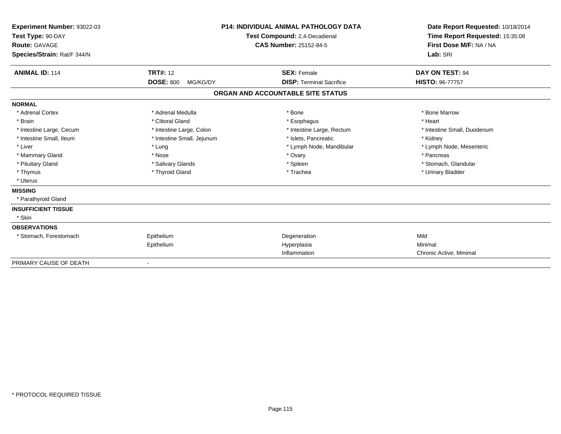| Experiment Number: 93022-03<br>Test Type: 90-DAY<br>Route: GAVAGE<br>Species/Strain: Rat/F 344/N |                              | <b>P14: INDIVIDUAL ANIMAL PATHOLOGY DATA</b><br>Test Compound: 2,4-Decadienal<br><b>CAS Number: 25152-84-5</b> | Date Report Requested: 10/18/2014<br>Time Report Requested: 15:35:08<br>First Dose M/F: NA / NA<br>Lab: SRI |
|--------------------------------------------------------------------------------------------------|------------------------------|----------------------------------------------------------------------------------------------------------------|-------------------------------------------------------------------------------------------------------------|
| <b>ANIMAL ID: 114</b>                                                                            | <b>TRT#: 12</b>              | <b>SEX: Female</b>                                                                                             | DAY ON TEST: 94                                                                                             |
|                                                                                                  | <b>DOSE: 800</b><br>MG/KG/DY | <b>DISP: Terminal Sacrifice</b>                                                                                | <b>HISTO: 96-77757</b>                                                                                      |
|                                                                                                  |                              | ORGAN AND ACCOUNTABLE SITE STATUS                                                                              |                                                                                                             |
| <b>NORMAL</b>                                                                                    |                              |                                                                                                                |                                                                                                             |
| * Adrenal Cortex                                                                                 | * Adrenal Medulla            | * Bone                                                                                                         | * Bone Marrow                                                                                               |
| * Brain                                                                                          | * Clitoral Gland             | * Esophagus                                                                                                    | * Heart                                                                                                     |
| * Intestine Large, Cecum                                                                         | * Intestine Large, Colon     | * Intestine Large, Rectum                                                                                      | * Intestine Small, Duodenum                                                                                 |
| * Intestine Small, Ileum                                                                         | * Intestine Small, Jejunum   | * Islets, Pancreatic                                                                                           | * Kidney                                                                                                    |
| * Liver                                                                                          | * Lung                       | * Lymph Node, Mandibular                                                                                       | * Lymph Node, Mesenteric                                                                                    |
| * Mammary Gland                                                                                  | * Nose                       | * Ovary                                                                                                        | * Pancreas                                                                                                  |
| * Pituitary Gland                                                                                | * Salivary Glands            | * Spleen                                                                                                       | * Stomach, Glandular                                                                                        |
| * Thymus                                                                                         | * Thyroid Gland              | * Trachea                                                                                                      | * Urinary Bladder                                                                                           |
| * Uterus                                                                                         |                              |                                                                                                                |                                                                                                             |
| <b>MISSING</b>                                                                                   |                              |                                                                                                                |                                                                                                             |
| * Parathyroid Gland                                                                              |                              |                                                                                                                |                                                                                                             |
| <b>INSUFFICIENT TISSUE</b>                                                                       |                              |                                                                                                                |                                                                                                             |
| * Skin                                                                                           |                              |                                                                                                                |                                                                                                             |
| <b>OBSERVATIONS</b>                                                                              |                              |                                                                                                                |                                                                                                             |
| * Stomach, Forestomach                                                                           | Epithelium                   | Degeneration                                                                                                   | Mild                                                                                                        |
|                                                                                                  | Epithelium                   | Hyperplasia                                                                                                    | Minimal                                                                                                     |
|                                                                                                  |                              | Inflammation                                                                                                   | Chronic Active, Minimal                                                                                     |
| PRIMARY CAUSE OF DEATH                                                                           |                              |                                                                                                                |                                                                                                             |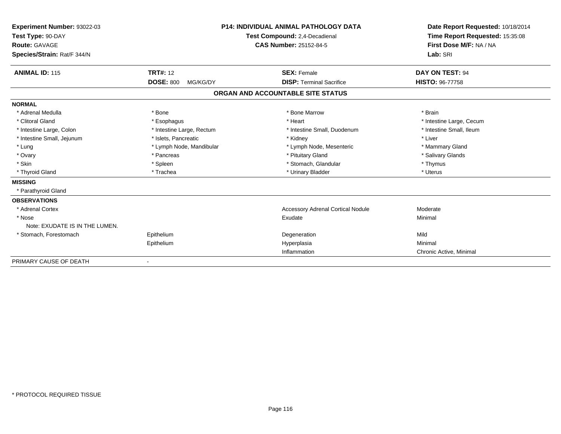| Experiment Number: 93022-03<br>Test Type: 90-DAY<br><b>Route: GAVAGE</b> |                              | <b>P14: INDIVIDUAL ANIMAL PATHOLOGY DATA</b><br>Test Compound: 2.4-Decadienal | Date Report Requested: 10/18/2014<br>Time Report Requested: 15:35:08<br>First Dose M/F: NA / NA |  |
|--------------------------------------------------------------------------|------------------------------|-------------------------------------------------------------------------------|-------------------------------------------------------------------------------------------------|--|
|                                                                          |                              | <b>CAS Number: 25152-84-5</b>                                                 |                                                                                                 |  |
| Species/Strain: Rat/F 344/N                                              |                              |                                                                               | Lab: SRI                                                                                        |  |
| <b>ANIMAL ID: 115</b>                                                    | <b>TRT#: 12</b>              | <b>SEX: Female</b>                                                            | DAY ON TEST: 94                                                                                 |  |
|                                                                          | <b>DOSE: 800</b><br>MG/KG/DY | <b>DISP: Terminal Sacrifice</b>                                               | <b>HISTO: 96-77758</b>                                                                          |  |
|                                                                          |                              | ORGAN AND ACCOUNTABLE SITE STATUS                                             |                                                                                                 |  |
| <b>NORMAL</b>                                                            |                              |                                                                               |                                                                                                 |  |
| * Adrenal Medulla                                                        | * Bone                       | * Bone Marrow                                                                 | * Brain                                                                                         |  |
| * Clitoral Gland                                                         | * Esophagus                  | * Heart                                                                       | * Intestine Large, Cecum                                                                        |  |
| * Intestine Large, Colon                                                 | * Intestine Large, Rectum    | * Intestine Small, Duodenum                                                   | * Intestine Small, Ileum                                                                        |  |
| * Intestine Small, Jejunum                                               | * Islets, Pancreatic         | * Kidney                                                                      | * Liver                                                                                         |  |
| * Lung                                                                   | * Lymph Node, Mandibular     | * Lymph Node, Mesenteric                                                      | * Mammary Gland                                                                                 |  |
| * Ovary                                                                  | * Pancreas                   | * Pituitary Gland                                                             | * Salivary Glands                                                                               |  |
| * Skin                                                                   | * Spleen                     | * Stomach, Glandular                                                          | * Thymus                                                                                        |  |
| * Thyroid Gland                                                          | * Trachea                    | * Urinary Bladder                                                             | * Uterus                                                                                        |  |
| <b>MISSING</b>                                                           |                              |                                                                               |                                                                                                 |  |
| * Parathyroid Gland                                                      |                              |                                                                               |                                                                                                 |  |
| <b>OBSERVATIONS</b>                                                      |                              |                                                                               |                                                                                                 |  |
| * Adrenal Cortex                                                         |                              | <b>Accessory Adrenal Cortical Nodule</b>                                      | Moderate                                                                                        |  |
| * Nose                                                                   |                              | Exudate                                                                       | Minimal                                                                                         |  |
| Note: EXUDATE IS IN THE LUMEN.                                           |                              |                                                                               |                                                                                                 |  |
| * Stomach, Forestomach                                                   | Epithelium                   | Degeneration                                                                  | Mild                                                                                            |  |
|                                                                          | Epithelium                   | Hyperplasia                                                                   | Minimal                                                                                         |  |
|                                                                          |                              | Inflammation                                                                  | Chronic Active, Minimal                                                                         |  |
| PRIMARY CAUSE OF DEATH                                                   |                              |                                                                               |                                                                                                 |  |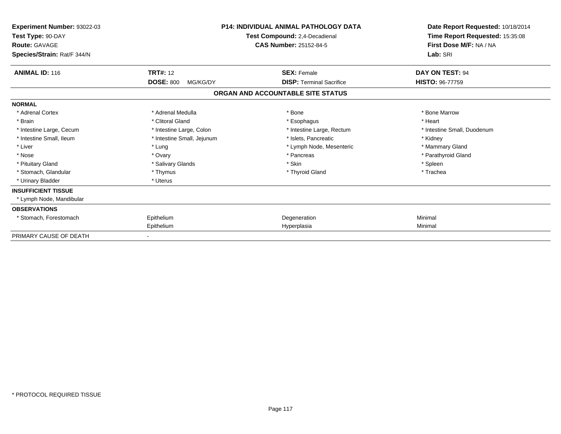| Experiment Number: 93022-03<br>Test Type: 90-DAY<br><b>Route: GAVAGE</b><br>Species/Strain: Rat/F 344/N | <b>P14: INDIVIDUAL ANIMAL PATHOLOGY DATA</b><br>Test Compound: 2,4-Decadienal<br><b>CAS Number: 25152-84-5</b> |                                   | Date Report Requested: 10/18/2014<br>Time Report Requested: 15:35:08<br>First Dose M/F: NA / NA<br>Lab: SRI |
|---------------------------------------------------------------------------------------------------------|----------------------------------------------------------------------------------------------------------------|-----------------------------------|-------------------------------------------------------------------------------------------------------------|
| <b>ANIMAL ID: 116</b>                                                                                   | <b>TRT#: 12</b>                                                                                                | <b>SEX: Female</b>                | DAY ON TEST: 94                                                                                             |
|                                                                                                         | <b>DOSE: 800</b><br>MG/KG/DY                                                                                   | <b>DISP: Terminal Sacrifice</b>   | <b>HISTO: 96-77759</b>                                                                                      |
|                                                                                                         |                                                                                                                | ORGAN AND ACCOUNTABLE SITE STATUS |                                                                                                             |
| <b>NORMAL</b>                                                                                           |                                                                                                                |                                   |                                                                                                             |
| * Adrenal Cortex                                                                                        | * Adrenal Medulla                                                                                              | * Bone                            | * Bone Marrow                                                                                               |
| * Brain                                                                                                 | * Clitoral Gland                                                                                               | * Esophagus                       | * Heart                                                                                                     |
| * Intestine Large, Cecum                                                                                | * Intestine Large, Colon                                                                                       | * Intestine Large, Rectum         | * Intestine Small, Duodenum                                                                                 |
| * Intestine Small, Ileum                                                                                | * Intestine Small, Jejunum                                                                                     | * Islets. Pancreatic              | * Kidney                                                                                                    |
| * Liver                                                                                                 | * Lung                                                                                                         | * Lymph Node, Mesenteric          | * Mammary Gland                                                                                             |
| * Nose                                                                                                  | * Ovary                                                                                                        | * Pancreas                        | * Parathyroid Gland                                                                                         |
| * Pituitary Gland                                                                                       | * Salivary Glands                                                                                              | * Skin                            | * Spleen                                                                                                    |
| * Stomach, Glandular                                                                                    | * Thymus                                                                                                       | * Thyroid Gland                   | * Trachea                                                                                                   |
| * Urinary Bladder                                                                                       | * Uterus                                                                                                       |                                   |                                                                                                             |
| <b>INSUFFICIENT TISSUE</b>                                                                              |                                                                                                                |                                   |                                                                                                             |
| * Lymph Node, Mandibular                                                                                |                                                                                                                |                                   |                                                                                                             |
| <b>OBSERVATIONS</b>                                                                                     |                                                                                                                |                                   |                                                                                                             |
| * Stomach, Forestomach                                                                                  | Epithelium                                                                                                     | Degeneration                      | Minimal                                                                                                     |
|                                                                                                         | Epithelium                                                                                                     | Hyperplasia                       | Minimal                                                                                                     |
| PRIMARY CAUSE OF DEATH                                                                                  |                                                                                                                |                                   |                                                                                                             |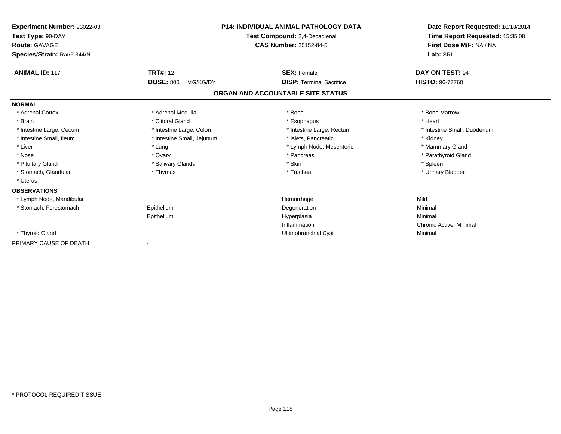| Experiment Number: 93022-03<br>Test Type: 90-DAY<br><b>Route: GAVAGE</b><br>Species/Strain: Rat/F 344/N |                              | <b>P14: INDIVIDUAL ANIMAL PATHOLOGY DATA</b><br>Test Compound: 2,4-Decadienal<br>CAS Number: 25152-84-5 | Date Report Requested: 10/18/2014<br>Time Report Requested: 15:35:08<br>First Dose M/F: NA / NA<br>Lab: SRI |
|---------------------------------------------------------------------------------------------------------|------------------------------|---------------------------------------------------------------------------------------------------------|-------------------------------------------------------------------------------------------------------------|
| <b>ANIMAL ID: 117</b>                                                                                   | <b>TRT#: 12</b>              | <b>SEX: Female</b>                                                                                      | DAY ON TEST: 94                                                                                             |
|                                                                                                         | <b>DOSE: 800</b><br>MG/KG/DY | <b>DISP: Terminal Sacrifice</b>                                                                         | <b>HISTO: 96-77760</b>                                                                                      |
|                                                                                                         |                              | ORGAN AND ACCOUNTABLE SITE STATUS                                                                       |                                                                                                             |
| <b>NORMAL</b>                                                                                           |                              |                                                                                                         |                                                                                                             |
| * Adrenal Cortex                                                                                        | * Adrenal Medulla            | * Bone                                                                                                  | * Bone Marrow                                                                                               |
| * Brain                                                                                                 | * Clitoral Gland             | * Esophagus                                                                                             | * Heart                                                                                                     |
| * Intestine Large, Cecum                                                                                | * Intestine Large, Colon     | * Intestine Large, Rectum                                                                               | * Intestine Small, Duodenum                                                                                 |
| * Intestine Small, Ileum                                                                                | * Intestine Small, Jejunum   | * Islets, Pancreatic                                                                                    | * Kidney                                                                                                    |
| * Liver                                                                                                 | * Lung                       | * Lymph Node, Mesenteric                                                                                | * Mammary Gland                                                                                             |
| * Nose                                                                                                  | * Ovary                      | * Pancreas                                                                                              | * Parathyroid Gland                                                                                         |
| * Pituitary Gland                                                                                       | * Salivary Glands            | * Skin                                                                                                  | * Spleen                                                                                                    |
| * Stomach, Glandular                                                                                    | * Thymus                     | * Trachea                                                                                               | * Urinary Bladder                                                                                           |
| * Uterus                                                                                                |                              |                                                                                                         |                                                                                                             |
| <b>OBSERVATIONS</b>                                                                                     |                              |                                                                                                         |                                                                                                             |
| * Lymph Node, Mandibular                                                                                |                              | Hemorrhage                                                                                              | Mild                                                                                                        |
| * Stomach, Forestomach                                                                                  | Epithelium                   | Degeneration                                                                                            | Minimal                                                                                                     |
|                                                                                                         | Epithelium                   | Hyperplasia                                                                                             | Minimal                                                                                                     |
|                                                                                                         |                              | Inflammation                                                                                            | Chronic Active, Minimal                                                                                     |
| * Thyroid Gland                                                                                         |                              | Ultimobranchial Cyst                                                                                    | Minimal                                                                                                     |
| PRIMARY CAUSE OF DEATH                                                                                  |                              |                                                                                                         |                                                                                                             |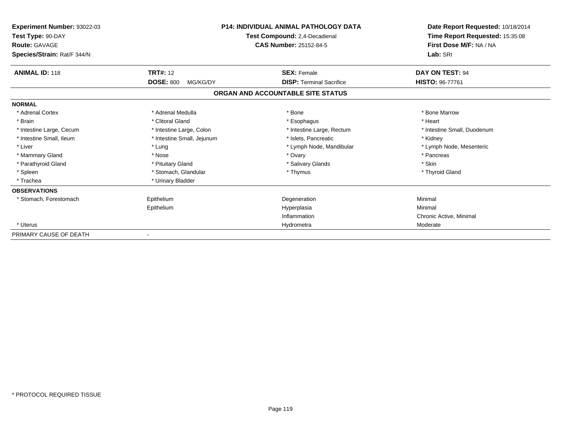| Experiment Number: 93022-03<br>Test Type: 90-DAY<br><b>Route: GAVAGE</b><br>Species/Strain: Rat/F 344/N | <b>P14: INDIVIDUAL ANIMAL PATHOLOGY DATA</b><br>Test Compound: 2,4-Decadienal<br><b>CAS Number: 25152-84-5</b> |                                   | Date Report Requested: 10/18/2014<br>Time Report Requested: 15:35:08<br>First Dose M/F: NA / NA<br>Lab: SRI |  |
|---------------------------------------------------------------------------------------------------------|----------------------------------------------------------------------------------------------------------------|-----------------------------------|-------------------------------------------------------------------------------------------------------------|--|
| <b>ANIMAL ID: 118</b>                                                                                   | <b>TRT#: 12</b>                                                                                                | <b>SEX: Female</b>                | DAY ON TEST: 94                                                                                             |  |
|                                                                                                         | <b>DOSE: 800</b><br>MG/KG/DY                                                                                   | <b>DISP: Terminal Sacrifice</b>   | <b>HISTO: 96-77761</b>                                                                                      |  |
|                                                                                                         |                                                                                                                | ORGAN AND ACCOUNTABLE SITE STATUS |                                                                                                             |  |
| <b>NORMAL</b>                                                                                           |                                                                                                                |                                   |                                                                                                             |  |
| * Adrenal Cortex                                                                                        | * Adrenal Medulla                                                                                              | * Bone                            | * Bone Marrow                                                                                               |  |
| * Brain                                                                                                 | * Clitoral Gland                                                                                               | * Esophagus                       | * Heart                                                                                                     |  |
| * Intestine Large, Cecum                                                                                | * Intestine Large, Colon                                                                                       | * Intestine Large, Rectum         | * Intestine Small, Duodenum                                                                                 |  |
| * Intestine Small, Ileum                                                                                | * Intestine Small, Jejunum                                                                                     | * Islets. Pancreatic              | * Kidney                                                                                                    |  |
| * Liver                                                                                                 | * Lung                                                                                                         | * Lymph Node, Mandibular          | * Lymph Node, Mesenteric                                                                                    |  |
| * Mammary Gland                                                                                         | * Nose                                                                                                         | * Ovary                           | * Pancreas                                                                                                  |  |
| * Parathyroid Gland                                                                                     | * Pituitary Gland                                                                                              | * Salivary Glands                 | * Skin                                                                                                      |  |
| * Spleen                                                                                                | * Stomach, Glandular                                                                                           | * Thymus                          | * Thyroid Gland                                                                                             |  |
| * Trachea                                                                                               | * Urinary Bladder                                                                                              |                                   |                                                                                                             |  |
| <b>OBSERVATIONS</b>                                                                                     |                                                                                                                |                                   |                                                                                                             |  |
| * Stomach, Forestomach                                                                                  | Epithelium                                                                                                     | Degeneration                      | Minimal                                                                                                     |  |
|                                                                                                         | Epithelium                                                                                                     | Hyperplasia                       | Minimal                                                                                                     |  |
|                                                                                                         |                                                                                                                | Inflammation                      | Chronic Active, Minimal                                                                                     |  |
| * Uterus                                                                                                |                                                                                                                | Hydrometra                        | Moderate                                                                                                    |  |
| PRIMARY CAUSE OF DEATH                                                                                  |                                                                                                                |                                   |                                                                                                             |  |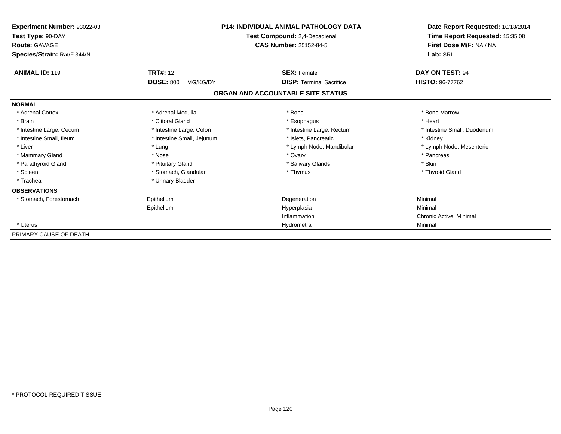| Experiment Number: 93022-03<br>Test Type: 90-DAY<br><b>Route: GAVAGE</b><br>Species/Strain: Rat/F 344/N | <b>P14: INDIVIDUAL ANIMAL PATHOLOGY DATA</b><br>Test Compound: 2,4-Decadienal<br><b>CAS Number: 25152-84-5</b> |                                   | Date Report Requested: 10/18/2014<br>Time Report Requested: 15:35:08<br>First Dose M/F: NA / NA<br>Lab: SRI |  |
|---------------------------------------------------------------------------------------------------------|----------------------------------------------------------------------------------------------------------------|-----------------------------------|-------------------------------------------------------------------------------------------------------------|--|
| <b>ANIMAL ID: 119</b>                                                                                   | <b>TRT#: 12</b>                                                                                                | <b>SEX: Female</b>                | DAY ON TEST: 94                                                                                             |  |
|                                                                                                         | <b>DOSE: 800</b><br>MG/KG/DY                                                                                   | <b>DISP: Terminal Sacrifice</b>   | <b>HISTO: 96-77762</b>                                                                                      |  |
|                                                                                                         |                                                                                                                | ORGAN AND ACCOUNTABLE SITE STATUS |                                                                                                             |  |
| <b>NORMAL</b>                                                                                           |                                                                                                                |                                   |                                                                                                             |  |
| * Adrenal Cortex                                                                                        | * Adrenal Medulla                                                                                              | * Bone                            | * Bone Marrow                                                                                               |  |
| * Brain                                                                                                 | * Clitoral Gland                                                                                               | * Esophagus                       | * Heart                                                                                                     |  |
| * Intestine Large, Cecum                                                                                | * Intestine Large, Colon                                                                                       | * Intestine Large, Rectum         | * Intestine Small, Duodenum                                                                                 |  |
| * Intestine Small, Ileum                                                                                | * Intestine Small, Jejunum                                                                                     | * Islets, Pancreatic              | * Kidney                                                                                                    |  |
| * Liver                                                                                                 | * Lung                                                                                                         | * Lymph Node, Mandibular          | * Lymph Node, Mesenteric                                                                                    |  |
| * Mammary Gland                                                                                         | * Nose                                                                                                         | * Ovary                           | * Pancreas                                                                                                  |  |
| * Parathyroid Gland                                                                                     | * Pituitary Gland                                                                                              | * Salivary Glands                 | * Skin                                                                                                      |  |
| * Spleen                                                                                                | * Stomach, Glandular                                                                                           | * Thymus                          | * Thyroid Gland                                                                                             |  |
| * Trachea                                                                                               | * Urinary Bladder                                                                                              |                                   |                                                                                                             |  |
| <b>OBSERVATIONS</b>                                                                                     |                                                                                                                |                                   |                                                                                                             |  |
| * Stomach, Forestomach                                                                                  | Epithelium                                                                                                     | Degeneration                      | Minimal                                                                                                     |  |
|                                                                                                         | Epithelium                                                                                                     | Hyperplasia                       | Minimal                                                                                                     |  |
|                                                                                                         |                                                                                                                | Inflammation                      | Chronic Active, Minimal                                                                                     |  |
| * Uterus                                                                                                |                                                                                                                | Hydrometra                        | Minimal                                                                                                     |  |
| PRIMARY CAUSE OF DEATH                                                                                  |                                                                                                                |                                   |                                                                                                             |  |